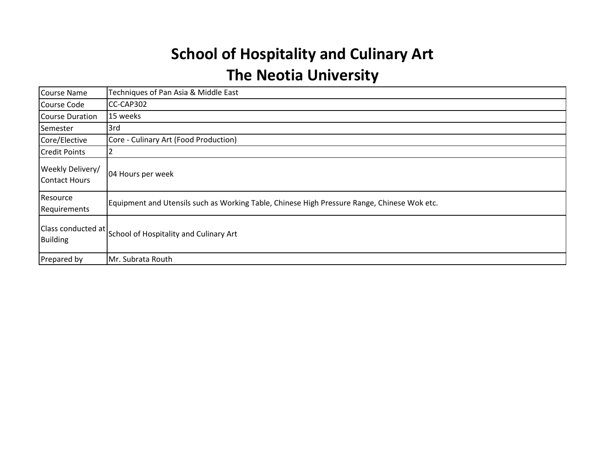# **School of Hospitality and Culinary Art The Neotia University**

| <b>Course Name</b>                       | Techniques of Pan Asia & Middle East                                                        |
|------------------------------------------|---------------------------------------------------------------------------------------------|
| Course Code                              | CC-CAP302                                                                                   |
| <b>Course Duration</b>                   | 15 weeks                                                                                    |
| Semester                                 | 3rd                                                                                         |
| Core/Elective                            | Core - Culinary Art (Food Production)                                                       |
| <b>Credit Points</b>                     |                                                                                             |
| Weekly Delivery/<br><b>Contact Hours</b> | 04 Hours per week                                                                           |
| Resource<br>Requirements                 | Equipment and Utensils such as Working Table, Chinese High Pressure Range, Chinese Wok etc. |
| <b>Building</b>                          | Class conducted at School of Hospitality and Culinary Art                                   |
| Prepared by                              | Mr. Subrata Routh                                                                           |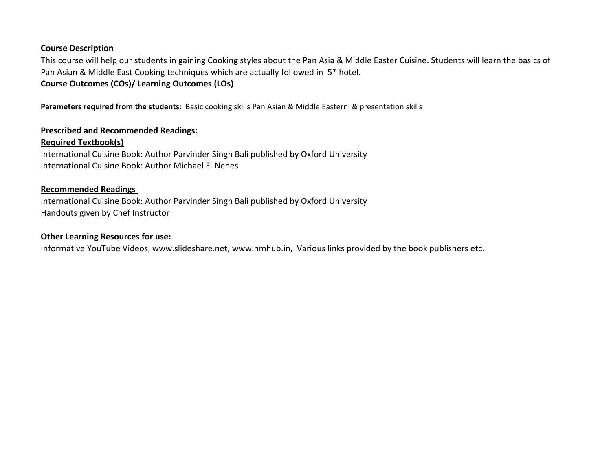## **Course Description**

This course will help our students in gaining Cooking styles about the Pan Asia & Middle Easter Cuisine. Students will learn the basics of Pan Asian & Middle East Cooking techniques which are actually followed in 5\* hotel. **Course Outcomes (COs)/ Learning Outcomes (LOs)**

**Parameters required from the students:** Basic cooking skills Pan Asian & Middle Eastern & presentation skills

### **Prescribed and Recommended Readings:**

### **Required Textbook(s)**

International Cuisine Book: Author Parvinder Singh Bali published by Oxford University International Cuisine Book: Author Michael F. Nenes

#### **Recommended Readings**

International Cuisine Book: Author Parvinder Singh Bali published by Oxford University Handouts given by Chef Instructor

#### **Other Learning Resources for use:**

Informative YouTube Videos, www.slideshare.net, www.hmhub.in, Various links provided by the book publishers etc.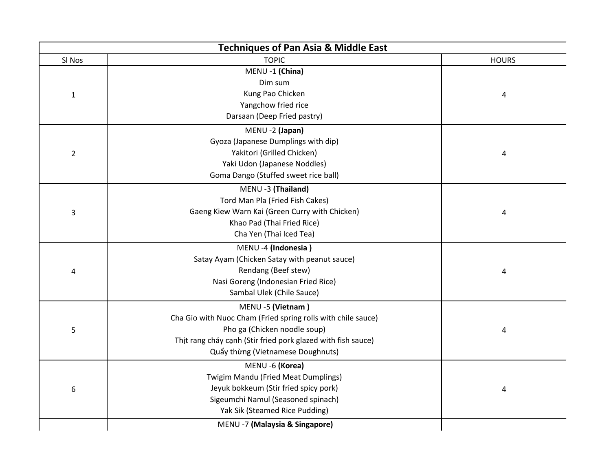|                | <b>Techniques of Pan Asia &amp; Middle East</b>              |              |
|----------------|--------------------------------------------------------------|--------------|
| SI Nos         | <b>TOPIC</b>                                                 | <b>HOURS</b> |
|                | MENU -1 (China)                                              |              |
|                | Dim sum                                                      |              |
| $\mathbf{1}$   | Kung Pao Chicken                                             | 4            |
|                | Yangchow fried rice                                          |              |
|                | Darsaan (Deep Fried pastry)                                  |              |
|                | MENU -2 (Japan)                                              |              |
|                | Gyoza (Japanese Dumplings with dip)                          |              |
| $\overline{2}$ | Yakitori (Grilled Chicken)                                   | 4            |
|                | Yaki Udon (Japanese Noddles)                                 |              |
|                | Goma Dango (Stuffed sweet rice ball)                         |              |
|                | MENU -3 (Thailand)                                           |              |
|                | Tord Man Pla (Fried Fish Cakes)                              |              |
| 3              | Gaeng Kiew Warn Kai (Green Curry with Chicken)               | 4            |
|                | Khao Pad (Thai Fried Rice)                                   |              |
|                | Cha Yen (Thai Iced Tea)                                      |              |
|                | MENU -4 (Indonesia)                                          |              |
|                | Satay Ayam (Chicken Satay with peanut sauce)                 |              |
| 4              | Rendang (Beef stew)                                          | 4            |
|                | Nasi Goreng (Indonesian Fried Rice)                          |              |
|                | Sambal Ulek (Chile Sauce)                                    |              |
|                | MENU -5 (Vietnam)                                            |              |
|                | Cha Gio with Nuoc Cham (Fried spring rolls with chile sauce) |              |
| 5              | Pho ga (Chicken noodle soup)                                 | 4            |
|                | Thịt rang cháy cạnh (Stir fried pork glazed with fish sauce) |              |
|                | Quẩy thừng (Vietnamese Doughnuts)                            |              |
|                | MENU -6 (Korea)                                              |              |
|                | Twigim Mandu (Fried Meat Dumplings)                          |              |
| 6              | Jeyuk bokkeum (Stir fried spicy pork)                        | 4            |
|                | Sigeumchi Namul (Seasoned spinach)                           |              |
|                | Yak Sik (Steamed Rice Pudding)                               |              |
|                | MENU -7 (Malaysia & Singapore)                               |              |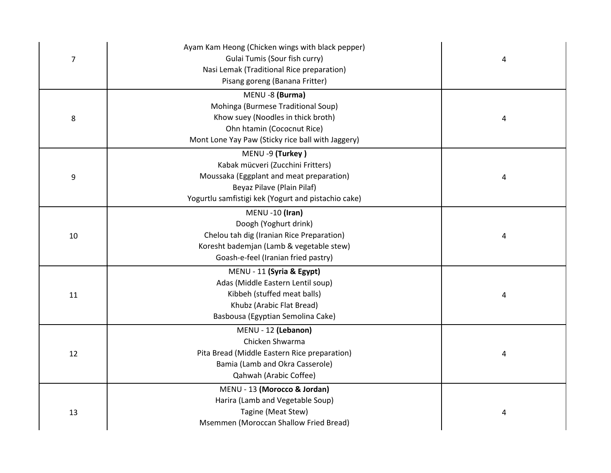|                | Ayam Kam Heong (Chicken wings with black pepper)    |   |
|----------------|-----------------------------------------------------|---|
| $\overline{7}$ | Gulai Tumis (Sour fish curry)                       | 4 |
|                | Nasi Lemak (Traditional Rice preparation)           |   |
|                | Pisang goreng (Banana Fritter)                      |   |
|                | MENU -8 (Burma)                                     |   |
|                | Mohinga (Burmese Traditional Soup)                  |   |
| 8              | Khow suey (Noodles in thick broth)                  | 4 |
|                | Ohn htamin (Cococnut Rice)                          |   |
|                | Mont Lone Yay Paw (Sticky rice ball with Jaggery)   |   |
|                | MENU -9 (Turkey)                                    |   |
|                | Kabak mücveri (Zucchini Fritters)                   |   |
| 9              | Moussaka (Eggplant and meat preparation)            | 4 |
|                | Beyaz Pilave (Plain Pilaf)                          |   |
|                | Yogurtlu samfistigi kek (Yogurt and pistachio cake) |   |
|                | MENU -10 (Iran)                                     |   |
|                | Doogh (Yoghurt drink)                               |   |
| 10             | Chelou tah dig (Iranian Rice Preparation)           | 4 |
|                | Koresht bademjan (Lamb & vegetable stew)            |   |
|                | Goash-e-feel (Iranian fried pastry)                 |   |
|                | MENU - 11 (Syria & Egypt)                           |   |
|                | Adas (Middle Eastern Lentil soup)                   |   |
| 11             | Kibbeh (stuffed meat balls)                         | 4 |
|                | Khubz (Arabic Flat Bread)                           |   |
|                | Basbousa (Egyptian Semolina Cake)                   |   |
|                | MENU - 12 (Lebanon)                                 |   |
|                | Chicken Shwarma                                     |   |
| 12             | Pita Bread (Middle Eastern Rice preparation)        | 4 |
|                | Bamia (Lamb and Okra Casserole)                     |   |
|                | Qahwah (Arabic Coffee)                              |   |
|                | MENU - 13 (Morocco & Jordan)                        |   |
|                | Harira (Lamb and Vegetable Soup)                    |   |
| 13             | Tagine (Meat Stew)                                  | 4 |
|                | Msemmen (Moroccan Shallow Fried Bread)              |   |
|                |                                                     |   |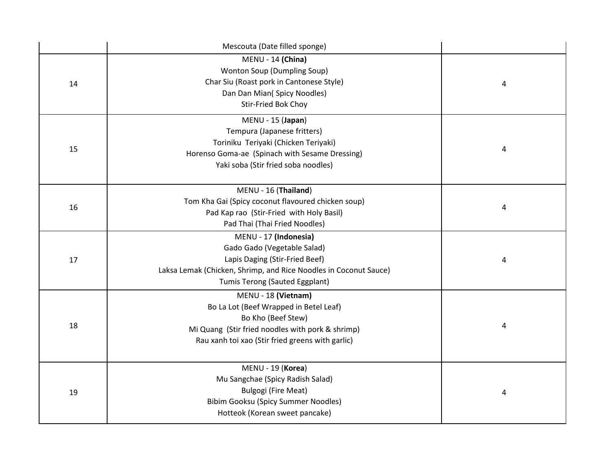|    | Mescouta (Date filled sponge)                                    |   |  |
|----|------------------------------------------------------------------|---|--|
|    | MENU - 14 (China)                                                |   |  |
|    | <b>Wonton Soup (Dumpling Soup)</b>                               |   |  |
| 14 | Char Siu (Roast pork in Cantonese Style)                         | 4 |  |
|    | Dan Dan Mian( Spicy Noodles)                                     |   |  |
|    | Stir-Fried Bok Choy                                              |   |  |
|    | MENU - 15 (Japan)                                                |   |  |
|    | Tempura (Japanese fritters)                                      |   |  |
| 15 | Toriniku Teriyaki (Chicken Teriyaki)                             | 4 |  |
|    | Horenso Goma-ae (Spinach with Sesame Dressing)                   |   |  |
|    | Yaki soba (Stir fried soba noodles)                              |   |  |
|    | MENU - 16 (Thailand)                                             |   |  |
|    | Tom Kha Gai (Spicy coconut flavoured chicken soup)               |   |  |
| 16 | Pad Kap rao (Stir-Fried with Holy Basil)                         | 4 |  |
|    | Pad Thai (Thai Fried Noodles)                                    |   |  |
|    | MENU - 17 (Indonesia)                                            |   |  |
|    | Gado Gado (Vegetable Salad)                                      |   |  |
| 17 | Lapis Daging (Stir-Fried Beef)                                   | 4 |  |
|    | Laksa Lemak (Chicken, Shrimp, and Rice Noodles in Coconut Sauce) |   |  |
|    | Tumis Terong (Sauted Eggplant)                                   |   |  |
|    | MENU - 18 (Vietnam)                                              |   |  |
|    | Bo La Lot (Beef Wrapped in Betel Leaf)                           |   |  |
| 18 | Bo Kho (Beef Stew)                                               | 4 |  |
|    | Mi Quang (Stir fried noodles with pork & shrimp)                 |   |  |
|    | Rau xanh toi xao (Stir fried greens with garlic)                 |   |  |
|    | MENU - 19 (Korea)                                                |   |  |
|    | Mu Sangchae (Spicy Radish Salad)                                 |   |  |
| 19 | <b>Bulgogi (Fire Meat)</b>                                       | 4 |  |
|    | <b>Bibim Gooksu (Spicy Summer Noodles)</b>                       |   |  |
|    | Hotteok (Korean sweet pancake)                                   |   |  |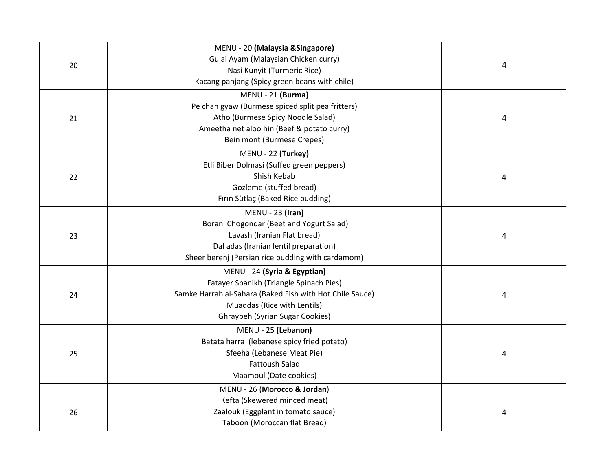|    | MENU - 20 (Malaysia & Singapore)                         |   |
|----|----------------------------------------------------------|---|
| 20 | Gulai Ayam (Malaysian Chicken curry)                     | 4 |
|    | Nasi Kunyit (Turmeric Rice)                              |   |
|    | Kacang panjang (Spicy green beans with chile)            |   |
|    | MENU - 21 (Burma)                                        |   |
|    | Pe chan gyaw (Burmese spiced split pea fritters)         |   |
| 21 | Atho (Burmese Spicy Noodle Salad)                        | 4 |
|    | Ameetha net aloo hin (Beef & potato curry)               |   |
|    | Bein mont (Burmese Crepes)                               |   |
|    | MENU - 22 (Turkey)                                       |   |
|    | Etli Biber Dolmasi (Suffed green peppers)                |   |
| 22 | Shish Kebab                                              | 4 |
|    | Gozleme (stuffed bread)                                  |   |
|    | Fırın Sütlaç (Baked Rice pudding)                        |   |
|    | $MENU - 23$ (Iran)                                       |   |
|    | Borani Chogondar (Beet and Yogurt Salad)                 |   |
| 23 | Lavash (Iranian Flat bread)                              | 4 |
|    | Dal adas (Iranian lentil preparation)                    |   |
|    | Sheer berenj (Persian rice pudding with cardamom)        |   |
|    | MENU - 24 (Syria & Egyptian)                             |   |
|    | Fatayer Sbanikh (Triangle Spinach Pies)                  |   |
| 24 | Samke Harrah al-Sahara (Baked Fish with Hot Chile Sauce) | 4 |
|    | Muaddas (Rice with Lentils)                              |   |
|    | Ghraybeh (Syrian Sugar Cookies)                          |   |
|    | MENU - 25 (Lebanon)                                      |   |
|    | Batata harra (lebanese spicy fried potato)               |   |
| 25 | Sfeeha (Lebanese Meat Pie)                               | 4 |
|    | <b>Fattoush Salad</b>                                    |   |
|    | Maamoul (Date cookies)                                   |   |
|    | MENU - 26 (Morocco & Jordan)                             |   |
|    | Kefta (Skewered minced meat)                             |   |
| 26 | Zaalouk (Eggplant in tomato sauce)                       |   |
|    | Taboon (Moroccan flat Bread)                             |   |
|    |                                                          |   |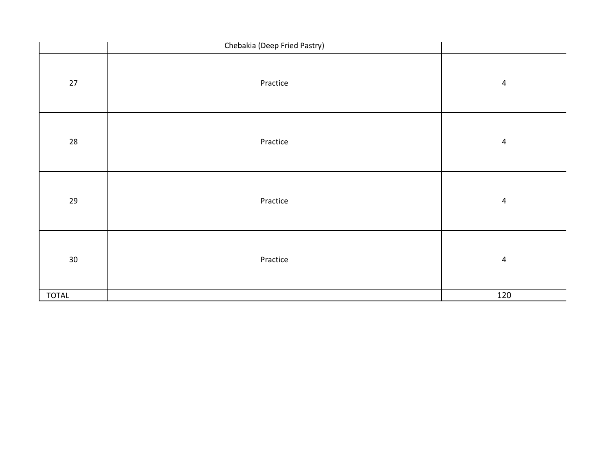|                 | Chebakia (Deep Fried Pastry) |                |
|-----------------|------------------------------|----------------|
| $27\,$          | Practice                     | $\overline{a}$ |
| 28              | Practice                     | $\overline{4}$ |
| 29              | Practice                     | $\overline{4}$ |
| 30 <sup>°</sup> | Practice                     | $\overline{4}$ |
| <b>TOTAL</b>    |                              | 120            |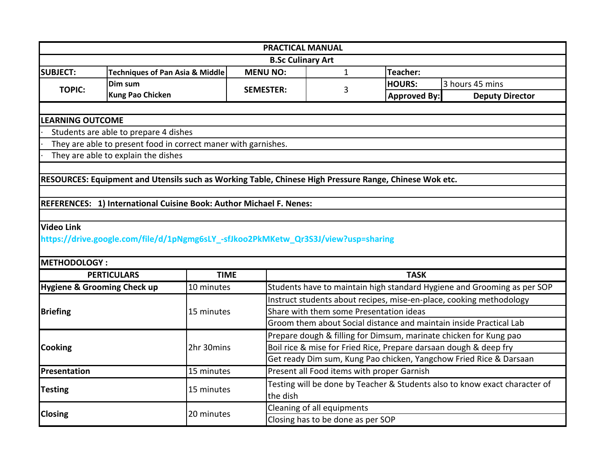|                          |                                                                                                        |                  | <b>PRACTICAL MANUAL</b>                                             |                     |                                                                            |  |
|--------------------------|--------------------------------------------------------------------------------------------------------|------------------|---------------------------------------------------------------------|---------------------|----------------------------------------------------------------------------|--|
| <b>B.Sc Culinary Art</b> |                                                                                                        |                  |                                                                     |                     |                                                                            |  |
| <b>SUBJECT:</b>          | <b>Techniques of Pan Asia &amp; Middle</b>                                                             | <b>MENU NO:</b>  | $\mathbf{1}$                                                        | Teacher:            |                                                                            |  |
| <b>TOPIC:</b>            | Dim sum                                                                                                | <b>SEMESTER:</b> | 3                                                                   | <b>HOURS:</b>       | 3 hours 45 mins                                                            |  |
|                          | <b>Kung Pao Chicken</b>                                                                                |                  |                                                                     | <b>Approved By:</b> | <b>Deputy Director</b>                                                     |  |
|                          |                                                                                                        |                  |                                                                     |                     |                                                                            |  |
| <b>LEARNING OUTCOME</b>  |                                                                                                        |                  |                                                                     |                     |                                                                            |  |
|                          | Students are able to prepare 4 dishes                                                                  |                  |                                                                     |                     |                                                                            |  |
|                          | They are able to present food in correct maner with garnishes.                                         |                  |                                                                     |                     |                                                                            |  |
|                          | They are able to explain the dishes                                                                    |                  |                                                                     |                     |                                                                            |  |
|                          |                                                                                                        |                  |                                                                     |                     |                                                                            |  |
|                          | RESOURCES: Equipment and Utensils such as Working Table, Chinese High Pressure Range, Chinese Wok etc. |                  |                                                                     |                     |                                                                            |  |
|                          |                                                                                                        |                  |                                                                     |                     |                                                                            |  |
|                          | REFERENCES: 1) International Cuisine Book: Author Michael F. Nenes:                                    |                  |                                                                     |                     |                                                                            |  |
|                          |                                                                                                        |                  |                                                                     |                     |                                                                            |  |
| <b>Video Link</b>        |                                                                                                        |                  |                                                                     |                     |                                                                            |  |
|                          | https://drive.google.com/file/d/1pNgmg6sLY_-sfJkoo2PkMKetw_Qr3S3J/view?usp=sharing                     |                  |                                                                     |                     |                                                                            |  |
|                          |                                                                                                        |                  |                                                                     |                     |                                                                            |  |
| <b>METHODOLOGY:</b>      |                                                                                                        |                  |                                                                     |                     |                                                                            |  |
|                          | <b>PERTICULARS</b>                                                                                     | <b>TIME</b>      |                                                                     | <b>TASK</b>         |                                                                            |  |
|                          | Hygiene & Grooming Check up<br>10 minutes                                                              |                  |                                                                     |                     | Students have to maintain high standard Hygiene and Grooming as per SOP    |  |
|                          |                                                                                                        |                  | Instruct students about recipes, mise-en-place, cooking methodology |                     |                                                                            |  |
| <b>Briefing</b>          | 15 minutes                                                                                             |                  | Share with them some Presentation ideas                             |                     |                                                                            |  |
|                          |                                                                                                        |                  | Groom them about Social distance and maintain inside Practical Lab  |                     |                                                                            |  |
|                          |                                                                                                        |                  | Prepare dough & filling for Dimsum, marinate chicken for Kung pao   |                     |                                                                            |  |
| <b>Cooking</b>           | 2hr 30mins                                                                                             |                  | Boil rice & mise for Fried Rice, Prepare darsaan dough & deep fry   |                     |                                                                            |  |
|                          |                                                                                                        |                  | Get ready Dim sum, Kung Pao chicken, Yangchow Fried Rice & Darsaan  |                     |                                                                            |  |
| Presentation             | 15 minutes                                                                                             |                  | Present all Food items with proper Garnish                          |                     |                                                                            |  |
| <b>Testing</b>           | 15 minutes                                                                                             |                  |                                                                     |                     | Testing will be done by Teacher & Students also to know exact character of |  |
|                          |                                                                                                        |                  | the dish                                                            |                     |                                                                            |  |
| <b>Closing</b>           | 20 minutes                                                                                             |                  | Cleaning of all equipments                                          |                     |                                                                            |  |
|                          |                                                                                                        |                  | Closing has to be done as per SOP                                   |                     |                                                                            |  |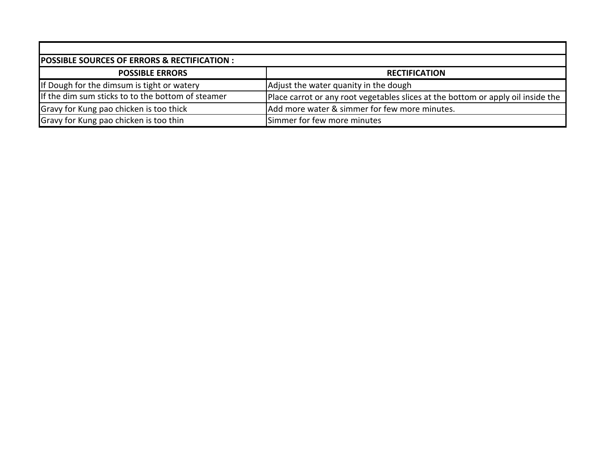| POSSIBLE SOURCES OF ERRORS & RECTIFICATION :      |                                                                                  |  |  |  |
|---------------------------------------------------|----------------------------------------------------------------------------------|--|--|--|
| <b>POSSIBLE ERRORS</b>                            | <b>RECTIFICATION</b>                                                             |  |  |  |
| If Dough for the dimsum is tight or watery        | Adjust the water quanity in the dough                                            |  |  |  |
| If the dim sum sticks to to the bottom of steamer | Place carrot or any root vegetables slices at the bottom or apply oil inside the |  |  |  |
| Gravy for Kung pao chicken is too thick           | Add more water & simmer for few more minutes.                                    |  |  |  |
| Gravy for Kung pao chicken is too thin            | Simmer for few more minutes                                                      |  |  |  |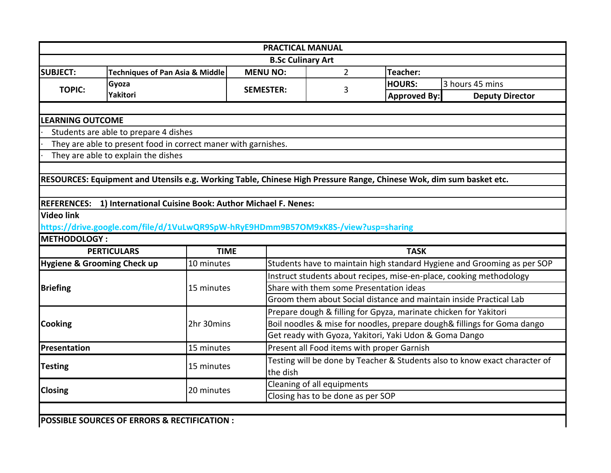|                                        |                                                                                                                     |                  |                                                                            | <b>PRACTICAL MANUAL</b>                    |                                                        |                                                                         |  |
|----------------------------------------|---------------------------------------------------------------------------------------------------------------------|------------------|----------------------------------------------------------------------------|--------------------------------------------|--------------------------------------------------------|-------------------------------------------------------------------------|--|
|                                        |                                                                                                                     |                  | <b>B.Sc Culinary Art</b>                                                   |                                            |                                                        |                                                                         |  |
| <b>SUBJECT:</b>                        | <b>Techniques of Pan Asia &amp; Middle</b>                                                                          | <b>MENU NO:</b>  |                                                                            | $\overline{2}$                             | Teacher:                                               |                                                                         |  |
| <b>TOPIC:</b>                          | Gyoza                                                                                                               | <b>SEMESTER:</b> |                                                                            |                                            | <b>HOURS:</b>                                          | 3 hours 45 mins                                                         |  |
|                                        | Yakitori                                                                                                            |                  |                                                                            | 3                                          | Approved By:                                           | <b>Deputy Director</b>                                                  |  |
|                                        |                                                                                                                     |                  |                                                                            |                                            |                                                        |                                                                         |  |
| <b>LEARNING OUTCOME</b>                |                                                                                                                     |                  |                                                                            |                                            |                                                        |                                                                         |  |
|                                        | Students are able to prepare 4 dishes                                                                               |                  |                                                                            |                                            |                                                        |                                                                         |  |
|                                        | They are able to present food in correct maner with garnishes.                                                      |                  |                                                                            |                                            |                                                        |                                                                         |  |
|                                        | They are able to explain the dishes                                                                                 |                  |                                                                            |                                            |                                                        |                                                                         |  |
|                                        |                                                                                                                     |                  |                                                                            |                                            |                                                        |                                                                         |  |
|                                        | RESOURCES: Equipment and Utensils e.g. Working Table, Chinese High Pressure Range, Chinese Wok, dim sum basket etc. |                  |                                                                            |                                            |                                                        |                                                                         |  |
|                                        |                                                                                                                     |                  |                                                                            |                                            |                                                        |                                                                         |  |
| <b>REFERENCES:</b>                     | 1) International Cuisine Book: Author Michael F. Nenes:                                                             |                  |                                                                            |                                            |                                                        |                                                                         |  |
| <b>Video link</b>                      |                                                                                                                     |                  |                                                                            |                                            |                                                        |                                                                         |  |
|                                        | https://drive.google.com/file/d/1VuLwQR9SpW-hRyE9HDmm9B57OM9xK8S-/view?usp=sharing                                  |                  |                                                                            |                                            |                                                        |                                                                         |  |
| <b>METHODOLOGY:</b>                    |                                                                                                                     |                  |                                                                            |                                            |                                                        |                                                                         |  |
|                                        | <b>PERTICULARS</b>                                                                                                  | <b>TIME</b>      |                                                                            |                                            | <b>TASK</b>                                            |                                                                         |  |
| <b>Hygiene &amp; Grooming Check up</b> | 10 minutes                                                                                                          |                  |                                                                            |                                            |                                                        | Students have to maintain high standard Hygiene and Grooming as per SOP |  |
|                                        |                                                                                                                     |                  | Instruct students about recipes, mise-en-place, cooking methodology        |                                            |                                                        |                                                                         |  |
| <b>Briefing</b>                        | 15 minutes                                                                                                          |                  | Share with them some Presentation ideas                                    |                                            |                                                        |                                                                         |  |
|                                        |                                                                                                                     |                  | Groom them about Social distance and maintain inside Practical Lab         |                                            |                                                        |                                                                         |  |
|                                        |                                                                                                                     |                  | Prepare dough & filling for Gpyza, marinate chicken for Yakitori           |                                            |                                                        |                                                                         |  |
| <b>Cooking</b>                         | 2hr 30mins                                                                                                          |                  | Boil noodles & mise for noodles, prepare dough& fillings for Goma dango    |                                            |                                                        |                                                                         |  |
|                                        |                                                                                                                     |                  |                                                                            |                                            | Get ready with Gyoza, Yakitori, Yaki Udon & Goma Dango |                                                                         |  |
| Presentation                           | 15 minutes                                                                                                          |                  |                                                                            | Present all Food items with proper Garnish |                                                        |                                                                         |  |
|                                        |                                                                                                                     |                  | Testing will be done by Teacher & Students also to know exact character of |                                            |                                                        |                                                                         |  |
| <b>Testing</b>                         | 15 minutes                                                                                                          |                  | the dish                                                                   |                                            |                                                        |                                                                         |  |
|                                        |                                                                                                                     |                  | Cleaning of all equipments                                                 |                                            |                                                        |                                                                         |  |
| <b>Closing</b>                         | 20 minutes                                                                                                          |                  | Closing has to be done as per SOP                                          |                                            |                                                        |                                                                         |  |
|                                        |                                                                                                                     |                  |                                                                            |                                            |                                                        |                                                                         |  |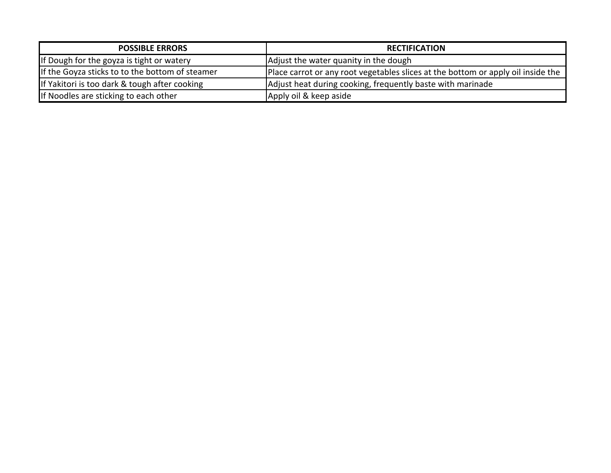| <b>POSSIBLE ERRORS</b>                          | <b>RECTIFICATION</b>                                                             |
|-------------------------------------------------|----------------------------------------------------------------------------------|
| If Dough for the goyza is tight or watery       | Adjust the water quanity in the dough                                            |
| If the Goyza sticks to to the bottom of steamer | Place carrot or any root vegetables slices at the bottom or apply oil inside the |
| If Yakitori is too dark & tough after cooking   | Adjust heat during cooking, frequently baste with marinade                       |
| If Noodles are sticking to each other           | Apply oil & keep aside                                                           |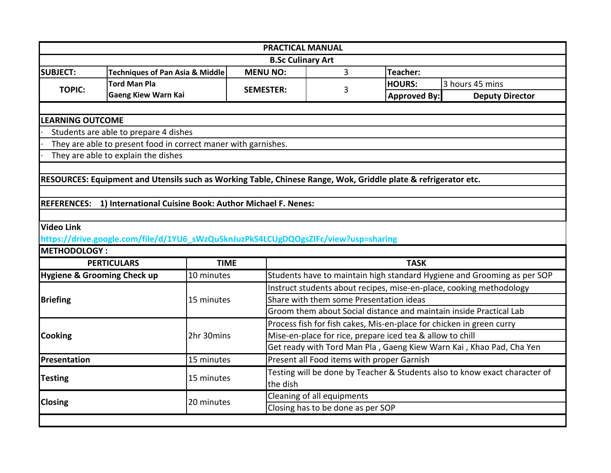|                                        |                                                                                                                |                                            | <b>PRACTICAL MANUAL</b>                                              |                                                                            |                                                                         |  |  |
|----------------------------------------|----------------------------------------------------------------------------------------------------------------|--------------------------------------------|----------------------------------------------------------------------|----------------------------------------------------------------------------|-------------------------------------------------------------------------|--|--|
|                                        |                                                                                                                |                                            | <b>B.Sc Culinary Art</b>                                             |                                                                            |                                                                         |  |  |
| <b>SUBJECT:</b>                        | <b>Techniques of Pan Asia &amp; Middle</b>                                                                     | <b>MENU NO:</b>                            | 3                                                                    | Teacher:                                                                   |                                                                         |  |  |
| <b>TOPIC:</b>                          | <b>Tord Man Pla</b>                                                                                            |                                            |                                                                      | <b>HOURS:</b>                                                              | 3 hours 45 mins                                                         |  |  |
|                                        | <b>Gaeng Kiew Warn Kai</b>                                                                                     | <b>SEMESTER:</b>                           | 3                                                                    | <b>Approved By:</b>                                                        | <b>Deputy Director</b>                                                  |  |  |
|                                        |                                                                                                                |                                            |                                                                      |                                                                            |                                                                         |  |  |
| <b>LEARNING OUTCOME</b>                |                                                                                                                |                                            |                                                                      |                                                                            |                                                                         |  |  |
|                                        | Students are able to prepare 4 dishes                                                                          |                                            |                                                                      |                                                                            |                                                                         |  |  |
|                                        | They are able to present food in correct maner with garnishes.                                                 |                                            |                                                                      |                                                                            |                                                                         |  |  |
|                                        | They are able to explain the dishes                                                                            |                                            |                                                                      |                                                                            |                                                                         |  |  |
|                                        |                                                                                                                |                                            |                                                                      |                                                                            |                                                                         |  |  |
|                                        | RESOURCES: Equipment and Utensils such as Working Table, Chinese Range, Wok, Griddle plate & refrigerator etc. |                                            |                                                                      |                                                                            |                                                                         |  |  |
|                                        |                                                                                                                |                                            |                                                                      |                                                                            |                                                                         |  |  |
|                                        | REFERENCES: 1) International Cuisine Book: Author Michael F. Nenes:                                            |                                            |                                                                      |                                                                            |                                                                         |  |  |
|                                        |                                                                                                                |                                            |                                                                      |                                                                            |                                                                         |  |  |
| <b>Video Link</b>                      |                                                                                                                |                                            |                                                                      |                                                                            |                                                                         |  |  |
|                                        | https://drive.google.com/file/d/1YU6_sWzQuSknJuzPkS4LCUgDQOgsZIFc/view?usp=sharing                             |                                            |                                                                      |                                                                            |                                                                         |  |  |
| <b>METHODOLOGY:</b>                    |                                                                                                                |                                            |                                                                      |                                                                            |                                                                         |  |  |
|                                        | <b>PERTICULARS</b><br><b>TIME</b>                                                                              |                                            |                                                                      | <b>TASK</b>                                                                |                                                                         |  |  |
| <b>Hygiene &amp; Grooming Check up</b> | 10 minutes                                                                                                     |                                            |                                                                      |                                                                            | Students have to maintain high standard Hygiene and Grooming as per SOP |  |  |
|                                        | 15 minutes                                                                                                     |                                            |                                                                      |                                                                            | Instruct students about recipes, mise-en-place, cooking methodology     |  |  |
| <b>Briefing</b>                        |                                                                                                                |                                            | Share with them some Presentation ideas                              |                                                                            |                                                                         |  |  |
|                                        |                                                                                                                |                                            | Groom them about Social distance and maintain inside Practical Lab   |                                                                            |                                                                         |  |  |
|                                        |                                                                                                                |                                            | Process fish for fish cakes, Mis-en-place for chicken in green curry |                                                                            |                                                                         |  |  |
| <b>Cooking</b>                         | 2hr 30mins                                                                                                     |                                            | Mise-en-place for rice, prepare iced tea & allow to chill            |                                                                            |                                                                         |  |  |
|                                        |                                                                                                                |                                            | Get ready with Tord Man Pla, Gaeng Kiew Warn Kai, Khao Pad, Cha Yen  |                                                                            |                                                                         |  |  |
| Presentation                           | 15 minutes                                                                                                     | Present all Food items with proper Garnish |                                                                      |                                                                            |                                                                         |  |  |
|                                        |                                                                                                                |                                            |                                                                      | Testing will be done by Teacher & Students also to know exact character of |                                                                         |  |  |
| <b>Testing</b>                         | 15 minutes                                                                                                     | the dish                                   |                                                                      |                                                                            |                                                                         |  |  |
|                                        |                                                                                                                |                                            | Cleaning of all equipments                                           |                                                                            |                                                                         |  |  |
| <b>Closing</b>                         | 20 minutes                                                                                                     |                                            | Closing has to be done as per SOP                                    |                                                                            |                                                                         |  |  |
|                                        |                                                                                                                |                                            |                                                                      |                                                                            |                                                                         |  |  |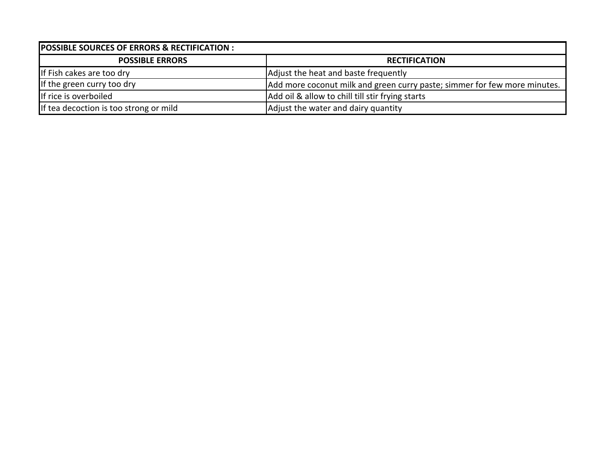| <b>POSSIBLE SOURCES OF ERRORS &amp; RECTIFICATION :</b> |                                                                           |  |  |
|---------------------------------------------------------|---------------------------------------------------------------------------|--|--|
| <b>POSSIBLE ERRORS</b>                                  | <b>RECTIFICATION</b>                                                      |  |  |
| If Fish cakes are too dry                               | Adjust the heat and baste frequently                                      |  |  |
| If the green curry too dry                              | Add more coconut milk and green curry paste; simmer for few more minutes. |  |  |
| If rice is overboiled                                   | Add oil & allow to chill till stir frying starts                          |  |  |
| If tea decoction is too strong or mild                  | Adjust the water and dairy quantity                                       |  |  |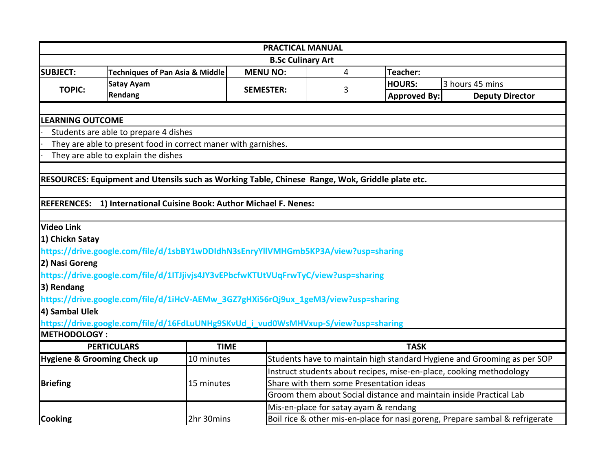| <b>PRACTICAL MANUAL</b>                                                                                      |                                                                                                 |             |                                         |                                                                    |                     |                                                                         |  |  |
|--------------------------------------------------------------------------------------------------------------|-------------------------------------------------------------------------------------------------|-------------|-----------------------------------------|--------------------------------------------------------------------|---------------------|-------------------------------------------------------------------------|--|--|
| <b>B.Sc Culinary Art</b>                                                                                     |                                                                                                 |             |                                         |                                                                    |                     |                                                                         |  |  |
| <b>SUBJECT:</b>                                                                                              | <b>Techniques of Pan Asia &amp; Middle</b>                                                      |             | <b>MENU NO:</b>                         | 4                                                                  | Teacher:            |                                                                         |  |  |
|                                                                                                              | <b>Satay Ayam</b>                                                                               |             |                                         |                                                                    | <b>HOURS:</b>       | 3 hours 45 mins                                                         |  |  |
| <b>TOPIC:</b>                                                                                                | Rendang                                                                                         |             | <b>SEMESTER:</b>                        | 3                                                                  | <b>Approved By:</b> | <b>Deputy Director</b>                                                  |  |  |
|                                                                                                              |                                                                                                 |             |                                         |                                                                    |                     |                                                                         |  |  |
| <b>LEARNING OUTCOME</b>                                                                                      |                                                                                                 |             |                                         |                                                                    |                     |                                                                         |  |  |
|                                                                                                              | Students are able to prepare 4 dishes                                                           |             |                                         |                                                                    |                     |                                                                         |  |  |
|                                                                                                              | They are able to present food in correct maner with garnishes.                                  |             |                                         |                                                                    |                     |                                                                         |  |  |
|                                                                                                              | They are able to explain the dishes                                                             |             |                                         |                                                                    |                     |                                                                         |  |  |
|                                                                                                              |                                                                                                 |             |                                         |                                                                    |                     |                                                                         |  |  |
|                                                                                                              | RESOURCES: Equipment and Utensils such as Working Table, Chinese Range, Wok, Griddle plate etc. |             |                                         |                                                                    |                     |                                                                         |  |  |
|                                                                                                              |                                                                                                 |             |                                         |                                                                    |                     |                                                                         |  |  |
|                                                                                                              | REFERENCES: 1) International Cuisine Book: Author Michael F. Nenes:                             |             |                                         |                                                                    |                     |                                                                         |  |  |
|                                                                                                              |                                                                                                 |             |                                         |                                                                    |                     |                                                                         |  |  |
| <b>Video Link</b>                                                                                            |                                                                                                 |             |                                         |                                                                    |                     |                                                                         |  |  |
| 1) Chickn Satay                                                                                              |                                                                                                 |             |                                         |                                                                    |                     |                                                                         |  |  |
|                                                                                                              | https://drive.google.com/file/d/1sbBY1wDDIdhN3sEnryYllVMHGmb5KP3A/view?usp=sharing              |             |                                         |                                                                    |                     |                                                                         |  |  |
| 2) Nasi Goreng                                                                                               |                                                                                                 |             |                                         |                                                                    |                     |                                                                         |  |  |
|                                                                                                              | https://drive.google.com/file/d/1ITJjivjs4JY3vEPbcfwKTUtVUqFrwTyC/view?usp=sharing              |             |                                         |                                                                    |                     |                                                                         |  |  |
| 3) Rendang                                                                                                   |                                                                                                 |             |                                         |                                                                    |                     |                                                                         |  |  |
|                                                                                                              | https://drive.google.com/file/d/1iHcV-AEMw_3GZ7gHXi56rQj9ux_1geM3/view?usp=sharing              |             |                                         |                                                                    |                     |                                                                         |  |  |
| 4) Sambal Ulek                                                                                               |                                                                                                 |             |                                         |                                                                    |                     |                                                                         |  |  |
|                                                                                                              | https://drive.google.com/file/d/16FdLuUNHg9SKvUd_i_vud0WsMHVxup-S/view?usp=sharing              |             |                                         |                                                                    |                     |                                                                         |  |  |
| <b>METHODOLOGY:</b>                                                                                          |                                                                                                 |             |                                         |                                                                    |                     |                                                                         |  |  |
|                                                                                                              | <b>PERTICULARS</b>                                                                              | <b>TIME</b> |                                         |                                                                    | <b>TASK</b>         |                                                                         |  |  |
| Hygiene & Grooming Check up                                                                                  |                                                                                                 | 10 minutes  |                                         |                                                                    |                     | Students have to maintain high standard Hygiene and Grooming as per SOP |  |  |
|                                                                                                              |                                                                                                 |             |                                         |                                                                    |                     | Instruct students about recipes, mise-en-place, cooking methodology     |  |  |
| <b>Briefing</b>                                                                                              |                                                                                                 | 15 minutes  | Share with them some Presentation ideas |                                                                    |                     |                                                                         |  |  |
|                                                                                                              |                                                                                                 |             |                                         | Groom them about Social distance and maintain inside Practical Lab |                     |                                                                         |  |  |
|                                                                                                              |                                                                                                 |             |                                         | Mis-en-place for satay ayam & rendang                              |                     |                                                                         |  |  |
| <b>Cooking</b><br>Boil rice & other mis-en-place for nasi goreng, Prepare sambal & refrigerate<br>2hr 30mins |                                                                                                 |             |                                         |                                                                    |                     |                                                                         |  |  |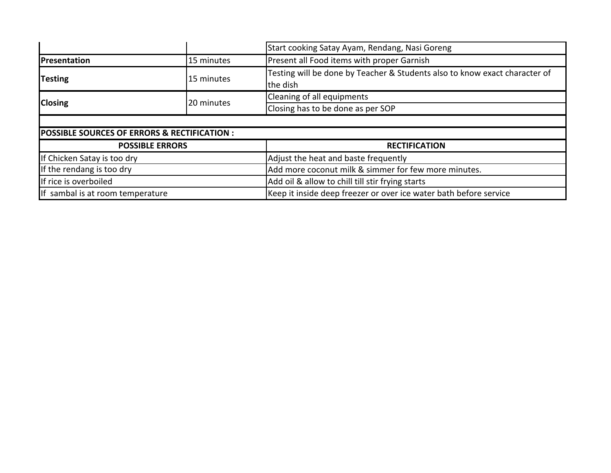|                                                         |                        | Start cooking Satay Ayam, Rendang, Nasi Goreng                                         |  |  |  |
|---------------------------------------------------------|------------------------|----------------------------------------------------------------------------------------|--|--|--|
| Presentation                                            | 15 minutes             | Present all Food items with proper Garnish                                             |  |  |  |
| <b>Testing</b>                                          | 15 minutes             | Testing will be done by Teacher & Students also to know exact character of<br>the dish |  |  |  |
|                                                         |                        | Cleaning of all equipments                                                             |  |  |  |
| <b>Closing</b><br>20 minutes                            |                        | Closing has to be done as per SOP                                                      |  |  |  |
|                                                         |                        |                                                                                        |  |  |  |
| <b>POSSIBLE SOURCES OF ERRORS &amp; RECTIFICATION :</b> |                        |                                                                                        |  |  |  |
|                                                         | <b>POSSIBLE ERRORS</b> | <b>RECTIFICATION</b>                                                                   |  |  |  |
| If Chicken Satay is too dry                             |                        | Adjust the heat and baste frequently                                                   |  |  |  |
| If the rendang is too dry                               |                        | Add more coconut milk & simmer for few more minutes.                                   |  |  |  |
| If rice is overboiled                                   |                        | Add oil & allow to chill till stir frying starts                                       |  |  |  |
| If sambal is at room temperature                        |                        | Keep it inside deep freezer or over ice water bath before service                      |  |  |  |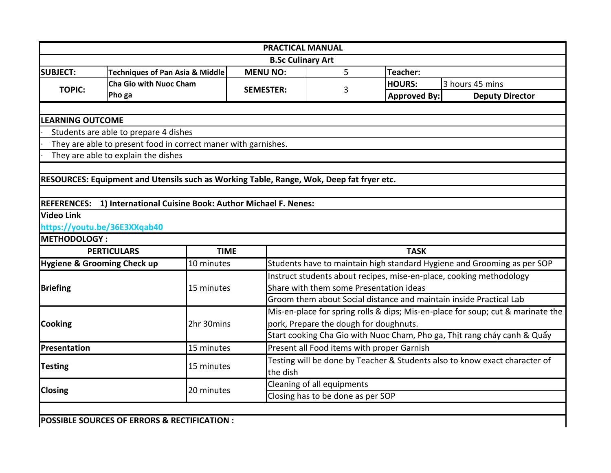|                                   | <b>PRACTICAL MANUAL</b>                                                                  |                     |                                            |               |                                                                                 |  |  |  |
|-----------------------------------|------------------------------------------------------------------------------------------|---------------------|--------------------------------------------|---------------|---------------------------------------------------------------------------------|--|--|--|
|                                   |                                                                                          |                     | <b>B.Sc Culinary Art</b>                   |               |                                                                                 |  |  |  |
| <b>SUBJECT:</b>                   | <b>Techniques of Pan Asia &amp; Middle</b>                                               | <b>MENU NO:</b>     | 5                                          | Teacher:      |                                                                                 |  |  |  |
| <b>TOPIC:</b>                     | <b>Cha Gio with Nuoc Cham</b>                                                            | <b>SEMESTER:</b>    | 3                                          | <b>HOURS:</b> | 3 hours 45 mins                                                                 |  |  |  |
|                                   | Pho ga                                                                                   |                     |                                            | Approved By:  | <b>Deputy Director</b>                                                          |  |  |  |
|                                   |                                                                                          |                     |                                            |               |                                                                                 |  |  |  |
| <b>LEARNING OUTCOME</b>           |                                                                                          |                     |                                            |               |                                                                                 |  |  |  |
|                                   | Students are able to prepare 4 dishes                                                    |                     |                                            |               |                                                                                 |  |  |  |
|                                   | They are able to present food in correct maner with garnishes.                           |                     |                                            |               |                                                                                 |  |  |  |
|                                   | They are able to explain the dishes                                                      |                     |                                            |               |                                                                                 |  |  |  |
|                                   |                                                                                          |                     |                                            |               |                                                                                 |  |  |  |
|                                   | RESOURCES: Equipment and Utensils such as Working Table, Range, Wok, Deep fat fryer etc. |                     |                                            |               |                                                                                 |  |  |  |
|                                   |                                                                                          |                     |                                            |               |                                                                                 |  |  |  |
| <b>REFERENCES:</b>                | 1) International Cuisine Book: Author Michael F. Nenes:                                  |                     |                                            |               |                                                                                 |  |  |  |
| <b>Video Link</b>                 |                                                                                          |                     |                                            |               |                                                                                 |  |  |  |
|                                   | https://youtu.be/36E3XXqab40                                                             |                     |                                            |               |                                                                                 |  |  |  |
|                                   |                                                                                          | <b>METHODOLOGY:</b> |                                            |               |                                                                                 |  |  |  |
| <b>PERTICULARS</b><br><b>TIME</b> |                                                                                          |                     |                                            |               |                                                                                 |  |  |  |
|                                   |                                                                                          |                     |                                            | <b>TASK</b>   |                                                                                 |  |  |  |
|                                   | <b>Hygiene &amp; Grooming Check up</b><br>10 minutes                                     |                     |                                            |               | Students have to maintain high standard Hygiene and Grooming as per SOP         |  |  |  |
|                                   |                                                                                          |                     |                                            |               | Instruct students about recipes, mise-en-place, cooking methodology             |  |  |  |
| <b>Briefing</b>                   | 15 minutes                                                                               |                     | Share with them some Presentation ideas    |               |                                                                                 |  |  |  |
|                                   |                                                                                          |                     |                                            |               | Groom them about Social distance and maintain inside Practical Lab              |  |  |  |
|                                   |                                                                                          |                     |                                            |               | Mis-en-place for spring rolls & dips; Mis-en-place for soup; cut & marinate the |  |  |  |
| <b>Cooking</b>                    | 2hr 30mins                                                                               |                     | pork, Prepare the dough for doughnuts.     |               |                                                                                 |  |  |  |
|                                   |                                                                                          |                     |                                            |               | Start cooking Cha Gio with Nuoc Cham, Pho ga, Thit rang cháy cạnh & Quẩy        |  |  |  |
| <b>Presentation</b>               | 15 minutes                                                                               |                     | Present all Food items with proper Garnish |               |                                                                                 |  |  |  |
|                                   |                                                                                          |                     |                                            |               | Testing will be done by Teacher & Students also to know exact character of      |  |  |  |
| <b>Testing</b>                    | 15 minutes                                                                               | the dish            |                                            |               |                                                                                 |  |  |  |
|                                   |                                                                                          |                     | Cleaning of all equipments                 |               |                                                                                 |  |  |  |
| Closing                           | 20 minutes                                                                               |                     | Closing has to be done as per SOP          |               |                                                                                 |  |  |  |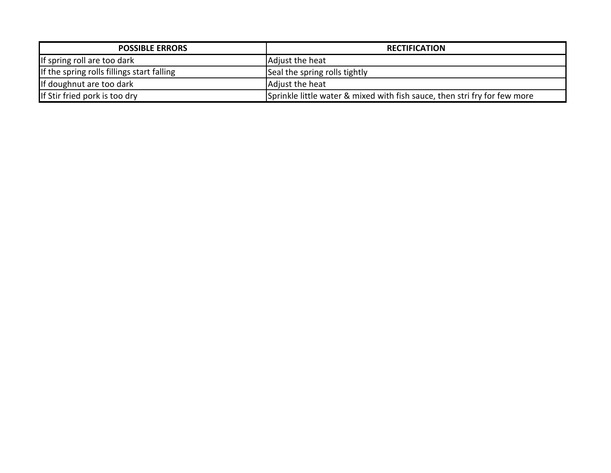| <b>POSSIBLE ERRORS</b>                     | <b>RECTIFICATION</b>                                                      |
|--------------------------------------------|---------------------------------------------------------------------------|
| If spring roll are too dark                | Adjust the heat                                                           |
| If the spring rolls fillings start falling | Seal the spring rolls tightly                                             |
| If doughnut are too dark                   | Adjust the heat                                                           |
| If Stir fried pork is too dry              | Sprinkle little water & mixed with fish sauce, then stri fry for few more |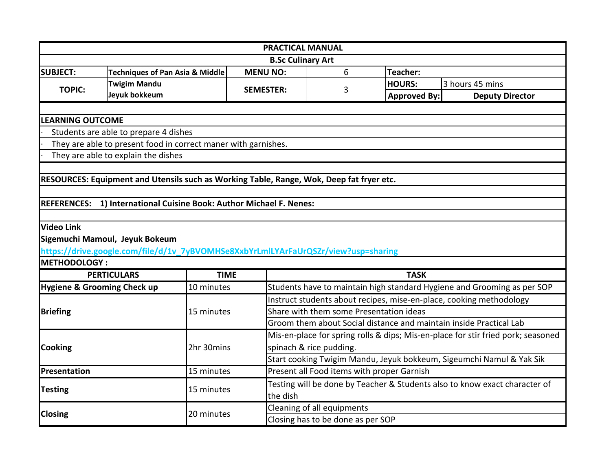| <b>PRACTICAL MANUAL</b> |                                                                                          |                  |                                                                            |                     |                                                                                  |  |  |
|-------------------------|------------------------------------------------------------------------------------------|------------------|----------------------------------------------------------------------------|---------------------|----------------------------------------------------------------------------------|--|--|
|                         |                                                                                          |                  | <b>B.Sc Culinary Art</b>                                                   |                     |                                                                                  |  |  |
| <b>SUBJECT:</b>         | <b>Techniques of Pan Asia &amp; Middle</b>                                               | <b>MENU NO:</b>  | 6                                                                          | Teacher:            |                                                                                  |  |  |
| <b>TOPIC:</b>           | <b>Twigim Mandu</b>                                                                      | <b>SEMESTER:</b> | 3                                                                          | <b>HOURS:</b>       | 3 hours 45 mins                                                                  |  |  |
|                         | Jeyuk bokkeum                                                                            |                  |                                                                            | <b>Approved By:</b> | <b>Deputy Director</b>                                                           |  |  |
|                         |                                                                                          |                  |                                                                            |                     |                                                                                  |  |  |
| <b>LEARNING OUTCOME</b> |                                                                                          |                  |                                                                            |                     |                                                                                  |  |  |
|                         | Students are able to prepare 4 dishes                                                    |                  |                                                                            |                     |                                                                                  |  |  |
|                         | They are able to present food in correct maner with garnishes.                           |                  |                                                                            |                     |                                                                                  |  |  |
|                         | They are able to explain the dishes                                                      |                  |                                                                            |                     |                                                                                  |  |  |
|                         |                                                                                          |                  |                                                                            |                     |                                                                                  |  |  |
|                         | RESOURCES: Equipment and Utensils such as Working Table, Range, Wok, Deep fat fryer etc. |                  |                                                                            |                     |                                                                                  |  |  |
|                         |                                                                                          |                  |                                                                            |                     |                                                                                  |  |  |
| <b>REFERENCES:</b>      | 1) International Cuisine Book: Author Michael F. Nenes:                                  |                  |                                                                            |                     |                                                                                  |  |  |
|                         |                                                                                          |                  |                                                                            |                     |                                                                                  |  |  |
| <b>Video Link</b>       |                                                                                          |                  |                                                                            |                     |                                                                                  |  |  |
|                         | Sigemuchi Mamoul, Jeyuk Bokeum                                                           |                  |                                                                            |                     |                                                                                  |  |  |
|                         | https://drive.google.com/file/d/1v_7yBVOMHSe8XxbYrLmlLYArFaUrQSZr/view?usp=sharing       |                  |                                                                            |                     |                                                                                  |  |  |
| <b>METHODOLOGY:</b>     |                                                                                          |                  |                                                                            |                     |                                                                                  |  |  |
|                         | <b>PERTICULARS</b>                                                                       | <b>TIME</b>      |                                                                            | <b>TASK</b>         |                                                                                  |  |  |
|                         | <b>Hygiene &amp; Grooming Check up</b><br>10 minutes                                     |                  |                                                                            |                     | Students have to maintain high standard Hygiene and Grooming as per SOP          |  |  |
|                         |                                                                                          |                  | Instruct students about recipes, mise-en-place, cooking methodology        |                     |                                                                                  |  |  |
| <b>Briefing</b>         | 15 minutes                                                                               |                  | Share with them some Presentation ideas                                    |                     |                                                                                  |  |  |
|                         |                                                                                          |                  | Groom them about Social distance and maintain inside Practical Lab         |                     |                                                                                  |  |  |
|                         |                                                                                          |                  |                                                                            |                     | Mis-en-place for spring rolls & dips; Mis-en-place for stir fried pork; seasoned |  |  |
| <b>Cooking</b>          | 2hr 30mins                                                                               |                  | spinach & rice pudding.                                                    |                     |                                                                                  |  |  |
|                         |                                                                                          |                  |                                                                            |                     | Start cooking Twigim Mandu, Jeyuk bokkeum, Sigeumchi Namul & Yak Sik             |  |  |
| Presentation            | 15 minutes                                                                               |                  | Present all Food items with proper Garnish                                 |                     |                                                                                  |  |  |
| <b>Testing</b>          | 15 minutes                                                                               |                  | Testing will be done by Teacher & Students also to know exact character of |                     |                                                                                  |  |  |
|                         |                                                                                          |                  | the dish                                                                   |                     |                                                                                  |  |  |
| <b>Closing</b>          | 20 minutes                                                                               |                  | Cleaning of all equipments                                                 |                     |                                                                                  |  |  |
|                         |                                                                                          |                  | Closing has to be done as per SOP                                          |                     |                                                                                  |  |  |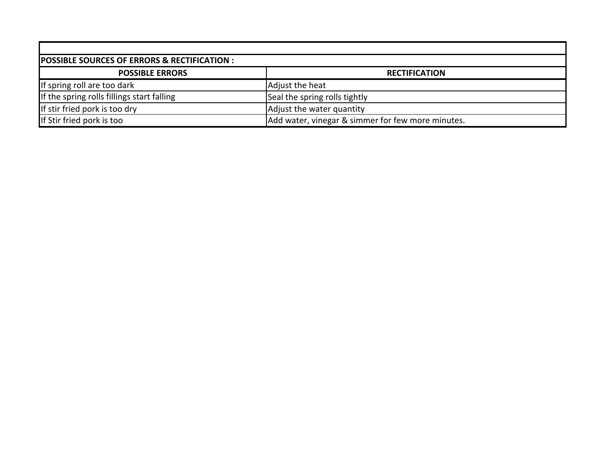| POSSIBLE SOURCES OF ERRORS & RECTIFICATION : |                                                   |  |  |  |  |
|----------------------------------------------|---------------------------------------------------|--|--|--|--|
| <b>POSSIBLE ERRORS</b>                       | <b>RECTIFICATION</b>                              |  |  |  |  |
| If spring roll are too dark                  | Adjust the heat                                   |  |  |  |  |
| If the spring rolls fillings start falling   | Seal the spring rolls tightly                     |  |  |  |  |
| If stir fried pork is too dry                | Adjust the water quantity                         |  |  |  |  |
| If Stir fried pork is too                    | Add water, vinegar & simmer for few more minutes. |  |  |  |  |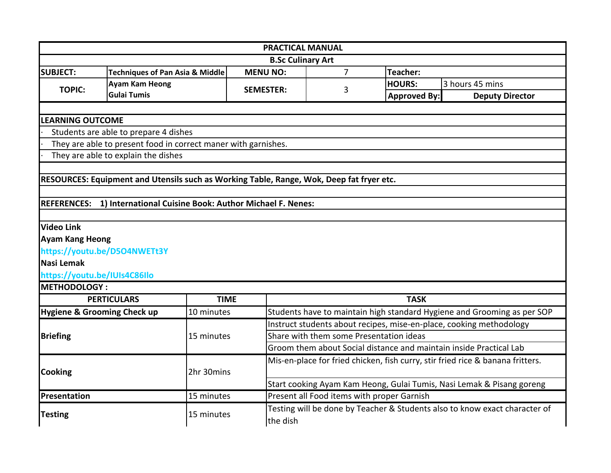| <b>B.Sc Culinary Art</b><br><b>MENU NO:</b><br>$\overline{7}$<br>Teacher:<br><b>Techniques of Pan Asia &amp; Middle</b><br><b>Ayam Kam Heong</b><br>3 hours 45 mins<br><b>HOURS:</b><br><b>TOPIC:</b><br><b>SEMESTER:</b><br>3<br><b>Gulai Tumis</b><br><b>Approved By:</b><br><b>Deputy Director</b><br><b>LEARNING OUTCOME</b><br>Students are able to prepare 4 dishes<br>They are able to present food in correct maner with garnishes.<br>They are able to explain the dishes<br>RESOURCES: Equipment and Utensils such as Working Table, Range, Wok, Deep fat fryer etc.<br>REFERENCES: 1) International Cuisine Book: Author Michael F. Nenes:<br><b>Video Link</b><br><b>Ayam Kang Heong</b><br>https://youtu.be/D5O4NWETt3Y<br>Nasi Lemak<br>https://youtu.be/IUIs4C86Ilo<br><b>METHODOLOGY:</b><br><b>PERTICULARS</b><br><b>TIME</b><br><b>TASK</b><br><b>Hygiene &amp; Grooming Check up</b><br>10 minutes<br>Students have to maintain high standard Hygiene and Grooming as per SOP<br>Instruct students about recipes, mise-en-place, cooking methodology<br>Share with them some Presentation ideas<br><b>Briefing</b><br>15 minutes<br>Groom them about Social distance and maintain inside Practical Lab<br>Mis-en-place for fried chicken, fish curry, stir fried rice & banana fritters.<br><b>Cooking</b><br>2hr 30mins<br>Start cooking Ayam Kam Heong, Gulai Tumis, Nasi Lemak & Pisang goreng<br>15 minutes<br>Present all Food items with proper Garnish<br>Testing will be done by Teacher & Students also to know exact character of<br><b>Testing</b><br>15 minutes<br>the dish | <b>PRACTICAL MANUAL</b> |  |  |  |  |  |  |  |
|------------------------------------------------------------------------------------------------------------------------------------------------------------------------------------------------------------------------------------------------------------------------------------------------------------------------------------------------------------------------------------------------------------------------------------------------------------------------------------------------------------------------------------------------------------------------------------------------------------------------------------------------------------------------------------------------------------------------------------------------------------------------------------------------------------------------------------------------------------------------------------------------------------------------------------------------------------------------------------------------------------------------------------------------------------------------------------------------------------------------------------------------------------------------------------------------------------------------------------------------------------------------------------------------------------------------------------------------------------------------------------------------------------------------------------------------------------------------------------------------------------------------------------------------------------------------------------------------------------|-------------------------|--|--|--|--|--|--|--|
|                                                                                                                                                                                                                                                                                                                                                                                                                                                                                                                                                                                                                                                                                                                                                                                                                                                                                                                                                                                                                                                                                                                                                                                                                                                                                                                                                                                                                                                                                                                                                                                                            |                         |  |  |  |  |  |  |  |
|                                                                                                                                                                                                                                                                                                                                                                                                                                                                                                                                                                                                                                                                                                                                                                                                                                                                                                                                                                                                                                                                                                                                                                                                                                                                                                                                                                                                                                                                                                                                                                                                            | <b>SUBJECT:</b>         |  |  |  |  |  |  |  |
|                                                                                                                                                                                                                                                                                                                                                                                                                                                                                                                                                                                                                                                                                                                                                                                                                                                                                                                                                                                                                                                                                                                                                                                                                                                                                                                                                                                                                                                                                                                                                                                                            |                         |  |  |  |  |  |  |  |
|                                                                                                                                                                                                                                                                                                                                                                                                                                                                                                                                                                                                                                                                                                                                                                                                                                                                                                                                                                                                                                                                                                                                                                                                                                                                                                                                                                                                                                                                                                                                                                                                            |                         |  |  |  |  |  |  |  |
|                                                                                                                                                                                                                                                                                                                                                                                                                                                                                                                                                                                                                                                                                                                                                                                                                                                                                                                                                                                                                                                                                                                                                                                                                                                                                                                                                                                                                                                                                                                                                                                                            |                         |  |  |  |  |  |  |  |
|                                                                                                                                                                                                                                                                                                                                                                                                                                                                                                                                                                                                                                                                                                                                                                                                                                                                                                                                                                                                                                                                                                                                                                                                                                                                                                                                                                                                                                                                                                                                                                                                            |                         |  |  |  |  |  |  |  |
|                                                                                                                                                                                                                                                                                                                                                                                                                                                                                                                                                                                                                                                                                                                                                                                                                                                                                                                                                                                                                                                                                                                                                                                                                                                                                                                                                                                                                                                                                                                                                                                                            |                         |  |  |  |  |  |  |  |
|                                                                                                                                                                                                                                                                                                                                                                                                                                                                                                                                                                                                                                                                                                                                                                                                                                                                                                                                                                                                                                                                                                                                                                                                                                                                                                                                                                                                                                                                                                                                                                                                            |                         |  |  |  |  |  |  |  |
|                                                                                                                                                                                                                                                                                                                                                                                                                                                                                                                                                                                                                                                                                                                                                                                                                                                                                                                                                                                                                                                                                                                                                                                                                                                                                                                                                                                                                                                                                                                                                                                                            |                         |  |  |  |  |  |  |  |
|                                                                                                                                                                                                                                                                                                                                                                                                                                                                                                                                                                                                                                                                                                                                                                                                                                                                                                                                                                                                                                                                                                                                                                                                                                                                                                                                                                                                                                                                                                                                                                                                            |                         |  |  |  |  |  |  |  |
|                                                                                                                                                                                                                                                                                                                                                                                                                                                                                                                                                                                                                                                                                                                                                                                                                                                                                                                                                                                                                                                                                                                                                                                                                                                                                                                                                                                                                                                                                                                                                                                                            |                         |  |  |  |  |  |  |  |
|                                                                                                                                                                                                                                                                                                                                                                                                                                                                                                                                                                                                                                                                                                                                                                                                                                                                                                                                                                                                                                                                                                                                                                                                                                                                                                                                                                                                                                                                                                                                                                                                            |                         |  |  |  |  |  |  |  |
|                                                                                                                                                                                                                                                                                                                                                                                                                                                                                                                                                                                                                                                                                                                                                                                                                                                                                                                                                                                                                                                                                                                                                                                                                                                                                                                                                                                                                                                                                                                                                                                                            |                         |  |  |  |  |  |  |  |
|                                                                                                                                                                                                                                                                                                                                                                                                                                                                                                                                                                                                                                                                                                                                                                                                                                                                                                                                                                                                                                                                                                                                                                                                                                                                                                                                                                                                                                                                                                                                                                                                            |                         |  |  |  |  |  |  |  |
|                                                                                                                                                                                                                                                                                                                                                                                                                                                                                                                                                                                                                                                                                                                                                                                                                                                                                                                                                                                                                                                                                                                                                                                                                                                                                                                                                                                                                                                                                                                                                                                                            |                         |  |  |  |  |  |  |  |
|                                                                                                                                                                                                                                                                                                                                                                                                                                                                                                                                                                                                                                                                                                                                                                                                                                                                                                                                                                                                                                                                                                                                                                                                                                                                                                                                                                                                                                                                                                                                                                                                            |                         |  |  |  |  |  |  |  |
|                                                                                                                                                                                                                                                                                                                                                                                                                                                                                                                                                                                                                                                                                                                                                                                                                                                                                                                                                                                                                                                                                                                                                                                                                                                                                                                                                                                                                                                                                                                                                                                                            |                         |  |  |  |  |  |  |  |
|                                                                                                                                                                                                                                                                                                                                                                                                                                                                                                                                                                                                                                                                                                                                                                                                                                                                                                                                                                                                                                                                                                                                                                                                                                                                                                                                                                                                                                                                                                                                                                                                            |                         |  |  |  |  |  |  |  |
|                                                                                                                                                                                                                                                                                                                                                                                                                                                                                                                                                                                                                                                                                                                                                                                                                                                                                                                                                                                                                                                                                                                                                                                                                                                                                                                                                                                                                                                                                                                                                                                                            |                         |  |  |  |  |  |  |  |
|                                                                                                                                                                                                                                                                                                                                                                                                                                                                                                                                                                                                                                                                                                                                                                                                                                                                                                                                                                                                                                                                                                                                                                                                                                                                                                                                                                                                                                                                                                                                                                                                            |                         |  |  |  |  |  |  |  |
|                                                                                                                                                                                                                                                                                                                                                                                                                                                                                                                                                                                                                                                                                                                                                                                                                                                                                                                                                                                                                                                                                                                                                                                                                                                                                                                                                                                                                                                                                                                                                                                                            |                         |  |  |  |  |  |  |  |
|                                                                                                                                                                                                                                                                                                                                                                                                                                                                                                                                                                                                                                                                                                                                                                                                                                                                                                                                                                                                                                                                                                                                                                                                                                                                                                                                                                                                                                                                                                                                                                                                            |                         |  |  |  |  |  |  |  |
|                                                                                                                                                                                                                                                                                                                                                                                                                                                                                                                                                                                                                                                                                                                                                                                                                                                                                                                                                                                                                                                                                                                                                                                                                                                                                                                                                                                                                                                                                                                                                                                                            |                         |  |  |  |  |  |  |  |
|                                                                                                                                                                                                                                                                                                                                                                                                                                                                                                                                                                                                                                                                                                                                                                                                                                                                                                                                                                                                                                                                                                                                                                                                                                                                                                                                                                                                                                                                                                                                                                                                            |                         |  |  |  |  |  |  |  |
|                                                                                                                                                                                                                                                                                                                                                                                                                                                                                                                                                                                                                                                                                                                                                                                                                                                                                                                                                                                                                                                                                                                                                                                                                                                                                                                                                                                                                                                                                                                                                                                                            |                         |  |  |  |  |  |  |  |
|                                                                                                                                                                                                                                                                                                                                                                                                                                                                                                                                                                                                                                                                                                                                                                                                                                                                                                                                                                                                                                                                                                                                                                                                                                                                                                                                                                                                                                                                                                                                                                                                            |                         |  |  |  |  |  |  |  |
|                                                                                                                                                                                                                                                                                                                                                                                                                                                                                                                                                                                                                                                                                                                                                                                                                                                                                                                                                                                                                                                                                                                                                                                                                                                                                                                                                                                                                                                                                                                                                                                                            |                         |  |  |  |  |  |  |  |
|                                                                                                                                                                                                                                                                                                                                                                                                                                                                                                                                                                                                                                                                                                                                                                                                                                                                                                                                                                                                                                                                                                                                                                                                                                                                                                                                                                                                                                                                                                                                                                                                            | Presentation            |  |  |  |  |  |  |  |
|                                                                                                                                                                                                                                                                                                                                                                                                                                                                                                                                                                                                                                                                                                                                                                                                                                                                                                                                                                                                                                                                                                                                                                                                                                                                                                                                                                                                                                                                                                                                                                                                            |                         |  |  |  |  |  |  |  |
|                                                                                                                                                                                                                                                                                                                                                                                                                                                                                                                                                                                                                                                                                                                                                                                                                                                                                                                                                                                                                                                                                                                                                                                                                                                                                                                                                                                                                                                                                                                                                                                                            |                         |  |  |  |  |  |  |  |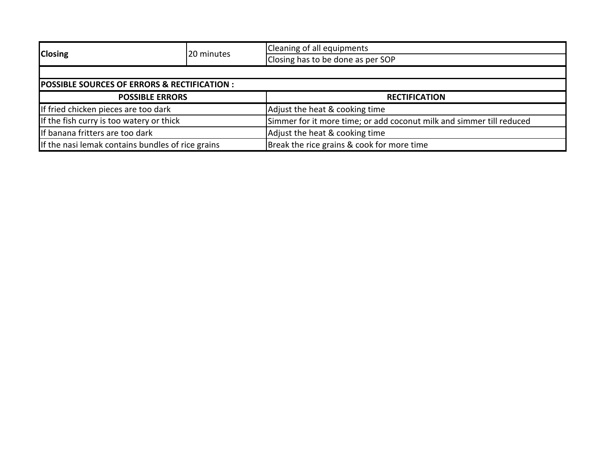| <b>Closing</b>                                          | 20 minutes | Cleaning of all equipments                                           |  |  |  |
|---------------------------------------------------------|------------|----------------------------------------------------------------------|--|--|--|
|                                                         |            | Closing has to be done as per SOP                                    |  |  |  |
|                                                         |            |                                                                      |  |  |  |
| <b>POSSIBLE SOURCES OF ERRORS &amp; RECTIFICATION :</b> |            |                                                                      |  |  |  |
| <b>POSSIBLE ERRORS</b>                                  |            | <b>RECTIFICATION</b>                                                 |  |  |  |
| If fried chicken pieces are too dark                    |            | Adjust the heat & cooking time                                       |  |  |  |
| If the fish curry is too watery or thick                |            | Simmer for it more time; or add coconut milk and simmer till reduced |  |  |  |
| If banana fritters are too dark                         |            | Adjust the heat & cooking time                                       |  |  |  |
| If the nasi lemak contains bundles of rice grains       |            | Break the rice grains & cook for more time                           |  |  |  |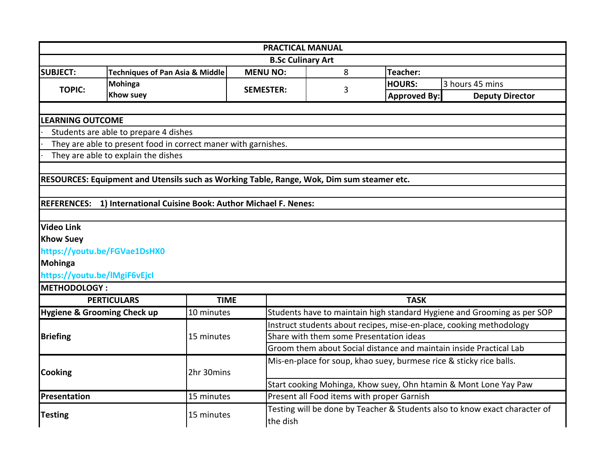|                              |                                                                                           |                  | <b>PRACTICAL MANUAL</b>                                             |   |                                            |                                                                            |  |
|------------------------------|-------------------------------------------------------------------------------------------|------------------|---------------------------------------------------------------------|---|--------------------------------------------|----------------------------------------------------------------------------|--|
|                              |                                                                                           |                  | <b>B.Sc Culinary Art</b>                                            |   |                                            |                                                                            |  |
| <b>SUBJECT:</b>              | <b>Techniques of Pan Asia &amp; Middle</b>                                                | <b>MENU NO:</b>  |                                                                     | 8 | Teacher:                                   |                                                                            |  |
| <b>TOPIC:</b>                | Mohinga                                                                                   | <b>SEMESTER:</b> |                                                                     | 3 | <b>HOURS:</b>                              | 3 hours 45 mins                                                            |  |
|                              | <b>Khow suey</b>                                                                          |                  |                                                                     |   | <b>Approved By:</b>                        | <b>Deputy Director</b>                                                     |  |
|                              |                                                                                           |                  |                                                                     |   |                                            |                                                                            |  |
| <b>LEARNING OUTCOME</b>      |                                                                                           |                  |                                                                     |   |                                            |                                                                            |  |
|                              | Students are able to prepare 4 dishes                                                     |                  |                                                                     |   |                                            |                                                                            |  |
|                              | They are able to present food in correct maner with garnishes.                            |                  |                                                                     |   |                                            |                                                                            |  |
|                              | They are able to explain the dishes                                                       |                  |                                                                     |   |                                            |                                                                            |  |
|                              |                                                                                           |                  |                                                                     |   |                                            |                                                                            |  |
|                              | RESOURCES: Equipment and Utensils such as Working Table, Range, Wok, Dim sum steamer etc. |                  |                                                                     |   |                                            |                                                                            |  |
|                              |                                                                                           |                  |                                                                     |   |                                            |                                                                            |  |
| <b>REFERENCES:</b>           | 1) International Cuisine Book: Author Michael F. Nenes:                                   |                  |                                                                     |   |                                            |                                                                            |  |
|                              |                                                                                           |                  |                                                                     |   |                                            |                                                                            |  |
| <b>Video Link</b>            |                                                                                           |                  |                                                                     |   |                                            |                                                                            |  |
| <b>Khow Suey</b>             |                                                                                           |                  |                                                                     |   |                                            |                                                                            |  |
|                              | https://youtu.be/FGVae1DsHX0                                                              |                  |                                                                     |   |                                            |                                                                            |  |
| Mohinga                      |                                                                                           |                  |                                                                     |   |                                            |                                                                            |  |
| https://youtu.be/IMgiF6vEjcl |                                                                                           |                  |                                                                     |   |                                            |                                                                            |  |
| METHODOLOGY:                 |                                                                                           |                  |                                                                     |   |                                            |                                                                            |  |
|                              | <b>PERTICULARS</b>                                                                        | <b>TIME</b>      |                                                                     |   | <b>TASK</b>                                |                                                                            |  |
|                              | <b>Hygiene &amp; Grooming Check up</b><br>10 minutes                                      |                  |                                                                     |   |                                            | Students have to maintain high standard Hygiene and Grooming as per SOP    |  |
|                              |                                                                                           |                  | Instruct students about recipes, mise-en-place, cooking methodology |   |                                            |                                                                            |  |
| <b>Briefing</b>              | 15 minutes                                                                                |                  | Share with them some Presentation ideas                             |   |                                            |                                                                            |  |
|                              |                                                                                           |                  |                                                                     |   |                                            | Groom them about Social distance and maintain inside Practical Lab         |  |
|                              |                                                                                           |                  |                                                                     |   |                                            | Mis-en-place for soup, khao suey, burmese rice & sticky rice balls.        |  |
| <b>Cooking</b>               | 2hr 30mins                                                                                |                  |                                                                     |   |                                            |                                                                            |  |
|                              |                                                                                           |                  |                                                                     |   |                                            | Start cooking Mohinga, Khow suey, Ohn htamin & Mont Lone Yay Paw           |  |
| Presentation                 | 15 minutes                                                                                |                  |                                                                     |   | Present all Food items with proper Garnish |                                                                            |  |
| <b>Testing</b>               | 15 minutes                                                                                |                  |                                                                     |   |                                            | Testing will be done by Teacher & Students also to know exact character of |  |
|                              |                                                                                           |                  | the dish                                                            |   |                                            |                                                                            |  |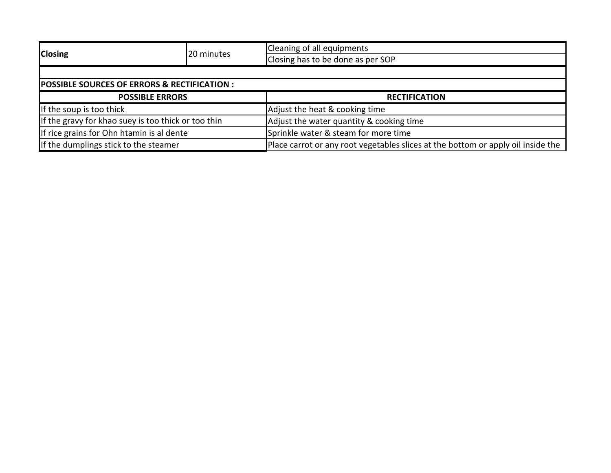|                                                        |            | Cleaning of all equipments                                                       |  |  |  |
|--------------------------------------------------------|------------|----------------------------------------------------------------------------------|--|--|--|
| <b>Closing</b>                                         | 20 minutes | Closing has to be done as per SOP                                                |  |  |  |
|                                                        |            |                                                                                  |  |  |  |
| <b>POSSIBLE SOURCES OF ERRORS &amp; RECTIFICATION:</b> |            |                                                                                  |  |  |  |
| <b>POSSIBLE ERRORS</b>                                 |            | <b>RECTIFICATION</b>                                                             |  |  |  |
| If the soup is too thick                               |            | Adjust the heat & cooking time                                                   |  |  |  |
| If the gravy for khao suey is too thick or too thin    |            | Adjust the water quantity & cooking time                                         |  |  |  |
| If rice grains for Ohn htamin is al dente              |            | Sprinkle water & steam for more time                                             |  |  |  |
| If the dumplings stick to the steamer                  |            | Place carrot or any root vegetables slices at the bottom or apply oil inside the |  |  |  |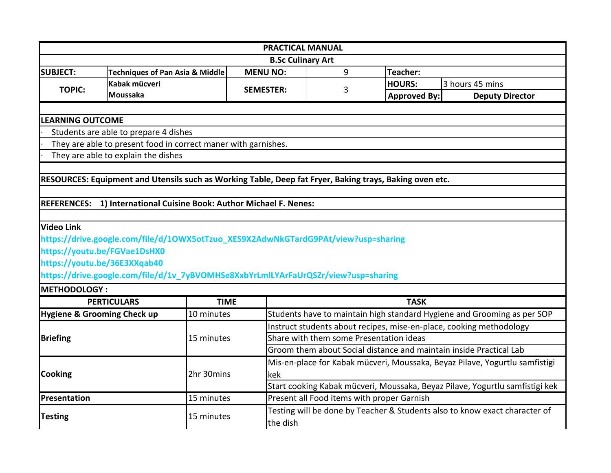|                                        |                                                                                                         |                  | <b>PRACTICAL MANUAL</b>                                                      |   |                                            |                                                                         |  |
|----------------------------------------|---------------------------------------------------------------------------------------------------------|------------------|------------------------------------------------------------------------------|---|--------------------------------------------|-------------------------------------------------------------------------|--|
|                                        |                                                                                                         |                  | <b>B.Sc Culinary Art</b>                                                     |   |                                            |                                                                         |  |
| <b>SUBJECT:</b>                        | <b>Techniques of Pan Asia &amp; Middle</b>                                                              | <b>MENU NO:</b>  |                                                                              | 9 | Teacher:                                   |                                                                         |  |
| <b>TOPIC:</b>                          | Kabak mücveri                                                                                           | <b>SEMESTER:</b> |                                                                              | 3 | <b>HOURS:</b>                              | 3 hours 45 mins                                                         |  |
|                                        | Moussaka                                                                                                |                  |                                                                              |   | <b>Approved By:</b>                        | <b>Deputy Director</b>                                                  |  |
|                                        |                                                                                                         |                  |                                                                              |   |                                            |                                                                         |  |
| <b>LEARNING OUTCOME</b>                |                                                                                                         |                  |                                                                              |   |                                            |                                                                         |  |
|                                        | Students are able to prepare 4 dishes                                                                   |                  |                                                                              |   |                                            |                                                                         |  |
|                                        | They are able to present food in correct maner with garnishes.                                          |                  |                                                                              |   |                                            |                                                                         |  |
|                                        | They are able to explain the dishes                                                                     |                  |                                                                              |   |                                            |                                                                         |  |
|                                        |                                                                                                         |                  |                                                                              |   |                                            |                                                                         |  |
|                                        | RESOURCES: Equipment and Utensils such as Working Table, Deep fat Fryer, Baking trays, Baking oven etc. |                  |                                                                              |   |                                            |                                                                         |  |
|                                        |                                                                                                         |                  |                                                                              |   |                                            |                                                                         |  |
|                                        | REFERENCES: 1) International Cuisine Book: Author Michael F. Nenes:                                     |                  |                                                                              |   |                                            |                                                                         |  |
|                                        |                                                                                                         |                  |                                                                              |   |                                            |                                                                         |  |
| <b>Video Link</b>                      |                                                                                                         |                  |                                                                              |   |                                            |                                                                         |  |
|                                        | https://drive.google.com/file/d/1OWX5otTzuo_XES9X2AdwNkGTardG9PAt/view?usp=sharing                      |                  |                                                                              |   |                                            |                                                                         |  |
|                                        | https://youtu.be/FGVae1DsHX0                                                                            |                  |                                                                              |   |                                            |                                                                         |  |
|                                        | https://youtu.be/36E3XXqab40                                                                            |                  |                                                                              |   |                                            |                                                                         |  |
|                                        | https://drive.google.com/file/d/1v_7yBVOMHSe8XxbYrLmlLYArFaUrQSZr/view?usp=sharing                      |                  |                                                                              |   |                                            |                                                                         |  |
| <b>METHODOLOGY:</b>                    |                                                                                                         |                  |                                                                              |   |                                            |                                                                         |  |
|                                        | <b>PERTICULARS</b>                                                                                      | <b>TIME</b>      |                                                                              |   | <b>TASK</b>                                |                                                                         |  |
| <b>Hygiene &amp; Grooming Check up</b> | 10 minutes                                                                                              |                  |                                                                              |   |                                            | Students have to maintain high standard Hygiene and Grooming as per SOP |  |
|                                        |                                                                                                         |                  | Instruct students about recipes, mise-en-place, cooking methodology          |   |                                            |                                                                         |  |
| <b>Briefing</b>                        | 15 minutes                                                                                              |                  | Share with them some Presentation ideas                                      |   |                                            |                                                                         |  |
|                                        |                                                                                                         |                  |                                                                              |   |                                            | Groom them about Social distance and maintain inside Practical Lab      |  |
|                                        |                                                                                                         |                  | Mis-en-place for Kabak mücveri, Moussaka, Beyaz Pilave, Yogurtlu samfistigi  |   |                                            |                                                                         |  |
| <b>Cooking</b>                         | 2hr 30mins                                                                                              |                  | kek                                                                          |   |                                            |                                                                         |  |
|                                        |                                                                                                         |                  | Start cooking Kabak mücveri, Moussaka, Beyaz Pilave, Yogurtlu samfistigi kek |   |                                            |                                                                         |  |
| Presentation                           | 15 minutes                                                                                              |                  |                                                                              |   | Present all Food items with proper Garnish |                                                                         |  |
| <b>Testing</b>                         |                                                                                                         |                  | Testing will be done by Teacher & Students also to know exact character of   |   |                                            |                                                                         |  |
|                                        | 15 minutes                                                                                              | the dish         |                                                                              |   |                                            |                                                                         |  |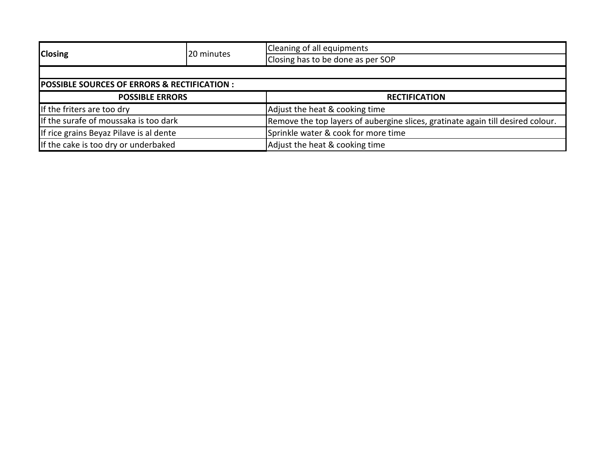| <b>Closing</b>                                         | 20 minutes | Cleaning of all equipments                                                      |  |  |  |
|--------------------------------------------------------|------------|---------------------------------------------------------------------------------|--|--|--|
|                                                        |            | Closing has to be done as per SOP                                               |  |  |  |
|                                                        |            |                                                                                 |  |  |  |
| <b>POSSIBLE SOURCES OF ERRORS &amp; RECTIFICATION:</b> |            |                                                                                 |  |  |  |
| <b>POSSIBLE ERRORS</b>                                 |            | <b>RECTIFICATION</b>                                                            |  |  |  |
| If the friters are too dry                             |            | Adjust the heat & cooking time                                                  |  |  |  |
| If the surafe of moussaka is too dark                  |            | Remove the top layers of aubergine slices, gratinate again till desired colour. |  |  |  |
| If rice grains Beyaz Pilave is al dente                |            | Sprinkle water & cook for more time                                             |  |  |  |
| If the cake is too dry or underbaked                   |            | Adjust the heat & cooking time                                                  |  |  |  |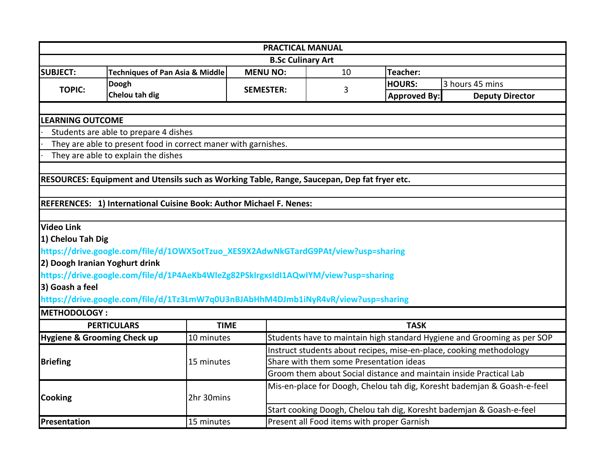|                                        |                                                                                              |                  | <b>PRACTICAL MANUAL</b>                                              |                     |                                                                         |  |  |
|----------------------------------------|----------------------------------------------------------------------------------------------|------------------|----------------------------------------------------------------------|---------------------|-------------------------------------------------------------------------|--|--|
|                                        |                                                                                              |                  | <b>B.Sc Culinary Art</b>                                             |                     |                                                                         |  |  |
| <b>SUBJECT:</b>                        | <b>Techniques of Pan Asia &amp; Middle</b>                                                   | <b>MENU NO:</b>  | 10                                                                   | Teacher:            |                                                                         |  |  |
| <b>TOPIC:</b>                          | Doogh                                                                                        | <b>SEMESTER:</b> | 3                                                                    | <b>HOURS:</b>       | 3 hours 45 mins                                                         |  |  |
|                                        | Chelou tah dig                                                                               |                  |                                                                      | <b>Approved By:</b> | <b>Deputy Director</b>                                                  |  |  |
|                                        |                                                                                              |                  |                                                                      |                     |                                                                         |  |  |
| <b>LEARNING OUTCOME</b>                |                                                                                              |                  |                                                                      |                     |                                                                         |  |  |
|                                        | Students are able to prepare 4 dishes                                                        |                  |                                                                      |                     |                                                                         |  |  |
|                                        | They are able to present food in correct maner with garnishes.                               |                  |                                                                      |                     |                                                                         |  |  |
|                                        | They are able to explain the dishes                                                          |                  |                                                                      |                     |                                                                         |  |  |
|                                        |                                                                                              |                  |                                                                      |                     |                                                                         |  |  |
|                                        | RESOURCES: Equipment and Utensils such as Working Table, Range, Saucepan, Dep fat fryer etc. |                  |                                                                      |                     |                                                                         |  |  |
|                                        |                                                                                              |                  |                                                                      |                     |                                                                         |  |  |
|                                        | REFERENCES: 1) International Cuisine Book: Author Michael F. Nenes:                          |                  |                                                                      |                     |                                                                         |  |  |
|                                        |                                                                                              |                  |                                                                      |                     |                                                                         |  |  |
| <b>Video Link</b>                      |                                                                                              |                  |                                                                      |                     |                                                                         |  |  |
| 1) Chelou Tah Dig                      |                                                                                              |                  |                                                                      |                     |                                                                         |  |  |
|                                        | https://drive.google.com/file/d/10WX5otTzuo_XES9X2AdwNkGTardG9PAt/view?usp=sharing           |                  |                                                                      |                     |                                                                         |  |  |
| 2) Doogh Iranian Yoghurt drink         |                                                                                              |                  |                                                                      |                     |                                                                         |  |  |
|                                        | https://drive.google.com/file/d/1P4AeKb4WleZg82PSkIrgxsIdI1AQwIYM/view?usp=sharing           |                  |                                                                      |                     |                                                                         |  |  |
| 3) Goash a feel                        |                                                                                              |                  |                                                                      |                     |                                                                         |  |  |
|                                        | https://drive.google.com/file/d/1Tz3LmW7q0U3nBJAbHhM4DJmb1iNyR4vR/view?usp=sharing           |                  |                                                                      |                     |                                                                         |  |  |
| <b>METHODOLOGY:</b>                    |                                                                                              |                  |                                                                      |                     |                                                                         |  |  |
|                                        | <b>PERTICULARS</b>                                                                           | <b>TIME</b>      |                                                                      | <b>TASK</b>         |                                                                         |  |  |
| <b>Hygiene &amp; Grooming Check up</b> | 10 minutes                                                                                   |                  |                                                                      |                     | Students have to maintain high standard Hygiene and Grooming as per SOP |  |  |
|                                        |                                                                                              |                  | Instruct students about recipes, mise-en-place, cooking methodology  |                     |                                                                         |  |  |
| <b>Briefing</b>                        | 15 minutes                                                                                   |                  | Share with them some Presentation ideas                              |                     |                                                                         |  |  |
|                                        |                                                                                              |                  | Groom them about Social distance and maintain inside Practical Lab   |                     |                                                                         |  |  |
|                                        |                                                                                              |                  |                                                                      |                     | Mis-en-place for Doogh, Chelou tah dig, Koresht bademjan & Goash-e-feel |  |  |
| <b>Cooking</b>                         | 2hr 30mins                                                                                   |                  |                                                                      |                     |                                                                         |  |  |
|                                        |                                                                                              |                  | Start cooking Doogh, Chelou tah dig, Koresht bademjan & Goash-e-feel |                     |                                                                         |  |  |
| Presentation                           | 15 minutes                                                                                   |                  | Present all Food items with proper Garnish                           |                     |                                                                         |  |  |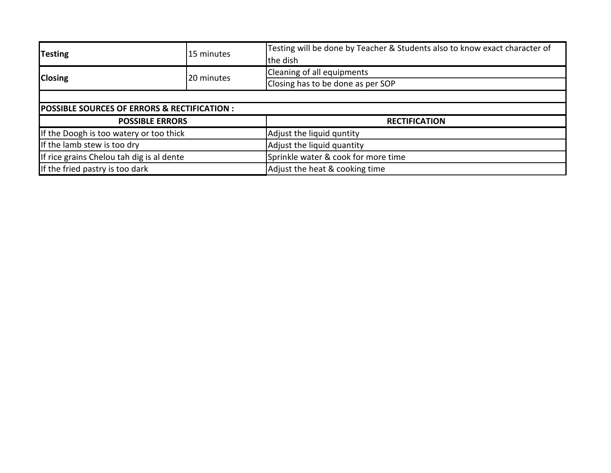| <b>Testing</b><br>15 minutes                            |                        | Testing will be done by Teacher & Students also to know exact character of<br>the dish |  |  |
|---------------------------------------------------------|------------------------|----------------------------------------------------------------------------------------|--|--|
|                                                         | 20 minutes             | Cleaning of all equipments                                                             |  |  |
| <b>Closing</b>                                          |                        | Closing has to be done as per SOP                                                      |  |  |
|                                                         |                        |                                                                                        |  |  |
| <b>POSSIBLE SOURCES OF ERRORS &amp; RECTIFICATION :</b> |                        |                                                                                        |  |  |
|                                                         | <b>POSSIBLE ERRORS</b> | <b>RECTIFICATION</b>                                                                   |  |  |
| If the Doogh is too watery or too thick                 |                        | Adjust the liquid quntity                                                              |  |  |
| If the lamb stew is too dry                             |                        | Adjust the liquid quantity                                                             |  |  |
| If rice grains Chelou tah dig is al dente               |                        | Sprinkle water & cook for more time                                                    |  |  |
| If the fried pastry is too dark                         |                        | Adjust the heat & cooking time                                                         |  |  |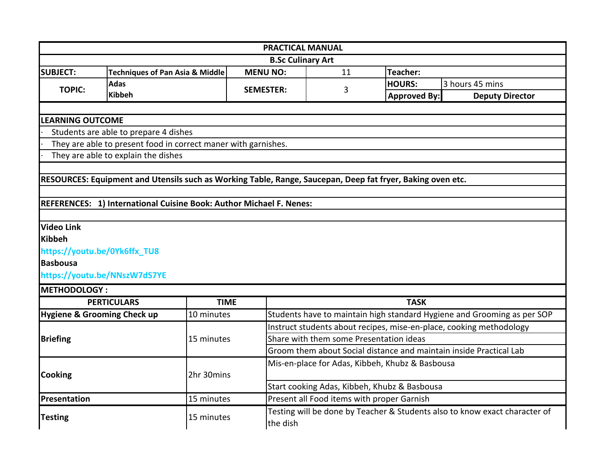|                         |                                                                                                            |             | <b>PRACTICAL MANUAL</b>                                             |                                            |                                                 |                                                                            |  |  |
|-------------------------|------------------------------------------------------------------------------------------------------------|-------------|---------------------------------------------------------------------|--------------------------------------------|-------------------------------------------------|----------------------------------------------------------------------------|--|--|
|                         |                                                                                                            |             | <b>B.Sc Culinary Art</b>                                            |                                            |                                                 |                                                                            |  |  |
| <b>SUBJECT:</b>         | <b>Techniques of Pan Asia &amp; Middle</b>                                                                 |             | <b>MENU NO:</b>                                                     | 11                                         | Teacher:                                        |                                                                            |  |  |
| <b>TOPIC:</b>           | <b>Adas</b>                                                                                                |             | <b>SEMESTER:</b>                                                    | 3                                          | <b>HOURS:</b>                                   | 3 hours 45 mins                                                            |  |  |
|                         | <b>Kibbeh</b>                                                                                              |             |                                                                     |                                            | <b>Approved By:</b>                             | <b>Deputy Director</b>                                                     |  |  |
|                         |                                                                                                            |             |                                                                     |                                            |                                                 |                                                                            |  |  |
| <b>LEARNING OUTCOME</b> |                                                                                                            |             |                                                                     |                                            |                                                 |                                                                            |  |  |
|                         | Students are able to prepare 4 dishes                                                                      |             |                                                                     |                                            |                                                 |                                                                            |  |  |
|                         | They are able to present food in correct maner with garnishes.                                             |             |                                                                     |                                            |                                                 |                                                                            |  |  |
|                         | They are able to explain the dishes                                                                        |             |                                                                     |                                            |                                                 |                                                                            |  |  |
|                         |                                                                                                            |             |                                                                     |                                            |                                                 |                                                                            |  |  |
|                         | RESOURCES: Equipment and Utensils such as Working Table, Range, Saucepan, Deep fat fryer, Baking oven etc. |             |                                                                     |                                            |                                                 |                                                                            |  |  |
|                         |                                                                                                            |             |                                                                     |                                            |                                                 |                                                                            |  |  |
|                         | REFERENCES: 1) International Cuisine Book: Author Michael F. Nenes:                                        |             |                                                                     |                                            |                                                 |                                                                            |  |  |
|                         |                                                                                                            |             |                                                                     |                                            |                                                 |                                                                            |  |  |
| <b>Video Link</b>       |                                                                                                            |             |                                                                     |                                            |                                                 |                                                                            |  |  |
| Kibbeh                  |                                                                                                            |             |                                                                     |                                            |                                                 |                                                                            |  |  |
|                         | https://youtu.be/0Yk6ffx_TU8                                                                               |             |                                                                     |                                            |                                                 |                                                                            |  |  |
| <b>Basbousa</b>         |                                                                                                            |             |                                                                     |                                            |                                                 |                                                                            |  |  |
|                         | https://youtu.be/NNszW7dS7YE                                                                               |             |                                                                     |                                            |                                                 |                                                                            |  |  |
| <b>IMETHODOLOGY:</b>    |                                                                                                            |             |                                                                     |                                            |                                                 |                                                                            |  |  |
|                         | <b>PERTICULARS</b>                                                                                         | <b>TIME</b> |                                                                     |                                            | <b>TASK</b>                                     |                                                                            |  |  |
|                         | <b>Hygiene &amp; Grooming Check up</b>                                                                     | 10 minutes  |                                                                     |                                            |                                                 | Students have to maintain high standard Hygiene and Grooming as per SOP    |  |  |
|                         |                                                                                                            |             | Instruct students about recipes, mise-en-place, cooking methodology |                                            |                                                 |                                                                            |  |  |
| <b>Briefing</b>         |                                                                                                            | 15 minutes  | Share with them some Presentation ideas                             |                                            |                                                 |                                                                            |  |  |
|                         |                                                                                                            |             | Groom them about Social distance and maintain inside Practical Lab  |                                            |                                                 |                                                                            |  |  |
|                         |                                                                                                            |             |                                                                     |                                            | Mis-en-place for Adas, Kibbeh, Khubz & Basbousa |                                                                            |  |  |
| <b>Cooking</b>          |                                                                                                            | 2hr 30mins  |                                                                     |                                            |                                                 |                                                                            |  |  |
|                         |                                                                                                            |             | Start cooking Adas, Kibbeh, Khubz & Basbousa                        |                                            |                                                 |                                                                            |  |  |
| Presentation            |                                                                                                            | 15 minutes  |                                                                     | Present all Food items with proper Garnish |                                                 |                                                                            |  |  |
|                         |                                                                                                            |             |                                                                     |                                            |                                                 | Testing will be done by Teacher & Students also to know exact character of |  |  |
| <b>Testing</b>          |                                                                                                            | 15 minutes  | the dish                                                            |                                            |                                                 |                                                                            |  |  |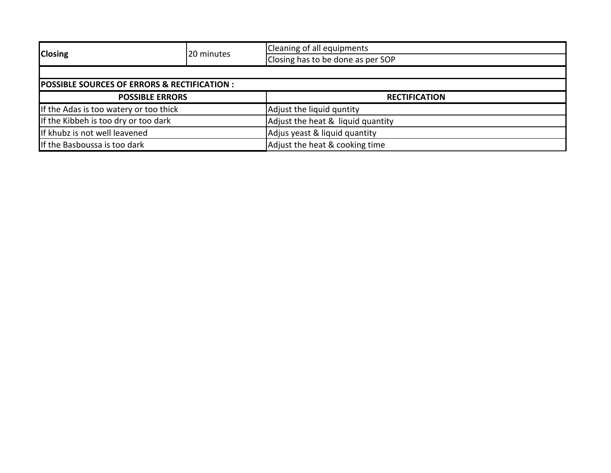|                                                        |            | Cleaning of all equipments        |  |  |
|--------------------------------------------------------|------------|-----------------------------------|--|--|
| <b>Closing</b>                                         | 20 minutes | Closing has to be done as per SOP |  |  |
|                                                        |            |                                   |  |  |
| <b>POSSIBLE SOURCES OF ERRORS &amp; RECTIFICATION:</b> |            |                                   |  |  |
| <b>POSSIBLE ERRORS</b>                                 |            | <b>RECTIFICATION</b>              |  |  |
| If the Adas is too watery or too thick                 |            | Adjust the liquid quntity         |  |  |
| If the Kibbeh is too dry or too dark                   |            | Adjust the heat & liquid quantity |  |  |
| If khubz is not well leavened                          |            | Adjus yeast & liquid quantity     |  |  |
| If the Basboussa is too dark                           |            | Adjust the heat & cooking time    |  |  |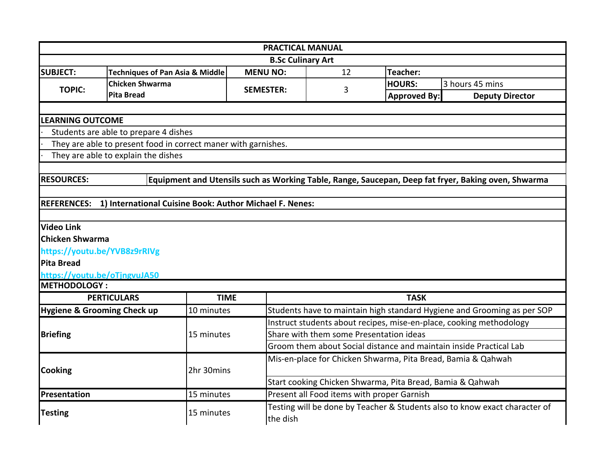| <b>PRACTICAL MANUAL</b>                                                                                                  |                                                                |                  |                                                                                                               |                                                              |                                                                            |  |  |  |
|--------------------------------------------------------------------------------------------------------------------------|----------------------------------------------------------------|------------------|---------------------------------------------------------------------------------------------------------------|--------------------------------------------------------------|----------------------------------------------------------------------------|--|--|--|
|                                                                                                                          |                                                                |                  | <b>B.Sc Culinary Art</b>                                                                                      |                                                              |                                                                            |  |  |  |
| <b>SUBJECT:</b>                                                                                                          | <b>Techniques of Pan Asia &amp; Middle</b>                     | <b>MENU NO:</b>  | 12                                                                                                            | Teacher:                                                     |                                                                            |  |  |  |
| <b>TOPIC:</b>                                                                                                            | <b>Chicken Shwarma</b>                                         | <b>SEMESTER:</b> | 3                                                                                                             | <b>HOURS:</b>                                                | 3 hours 45 mins                                                            |  |  |  |
|                                                                                                                          | <b>Pita Bread</b>                                              |                  |                                                                                                               | <b>Approved By:</b>                                          | <b>Deputy Director</b>                                                     |  |  |  |
|                                                                                                                          |                                                                |                  |                                                                                                               |                                                              |                                                                            |  |  |  |
| <b>LEARNING OUTCOME</b>                                                                                                  |                                                                |                  |                                                                                                               |                                                              |                                                                            |  |  |  |
| Students are able to prepare 4 dishes                                                                                    |                                                                |                  |                                                                                                               |                                                              |                                                                            |  |  |  |
|                                                                                                                          | They are able to present food in correct maner with garnishes. |                  |                                                                                                               |                                                              |                                                                            |  |  |  |
|                                                                                                                          | They are able to explain the dishes                            |                  |                                                                                                               |                                                              |                                                                            |  |  |  |
|                                                                                                                          |                                                                |                  |                                                                                                               |                                                              |                                                                            |  |  |  |
| <b>RESOURCES:</b><br>Equipment and Utensils such as Working Table, Range, Saucepan, Deep fat fryer, Baking oven, Shwarma |                                                                |                  |                                                                                                               |                                                              |                                                                            |  |  |  |
|                                                                                                                          |                                                                |                  |                                                                                                               |                                                              |                                                                            |  |  |  |
| <b>REFERENCES:</b>                                                                                                       | 1) International Cuisine Book: Author Michael F. Nenes:        |                  |                                                                                                               |                                                              |                                                                            |  |  |  |
|                                                                                                                          |                                                                |                  |                                                                                                               |                                                              |                                                                            |  |  |  |
| <b>Video Link</b>                                                                                                        |                                                                |                  |                                                                                                               |                                                              |                                                                            |  |  |  |
| <b>Chicken Shwarma</b>                                                                                                   |                                                                |                  |                                                                                                               |                                                              |                                                                            |  |  |  |
|                                                                                                                          | https://youtu.be/YVB8z9rRIVg                                   |                  |                                                                                                               |                                                              |                                                                            |  |  |  |
| Pita Bread                                                                                                               |                                                                |                  |                                                                                                               |                                                              |                                                                            |  |  |  |
| <b>METHODOLOGY:</b>                                                                                                      | https://youtu.be/oTjngvuJA50                                   |                  |                                                                                                               |                                                              |                                                                            |  |  |  |
|                                                                                                                          | <b>PERTICULARS</b>                                             | <b>TIME</b>      |                                                                                                               | <b>TASK</b>                                                  |                                                                            |  |  |  |
|                                                                                                                          |                                                                |                  |                                                                                                               |                                                              |                                                                            |  |  |  |
| Hygiene & Grooming Check up                                                                                              | 10 minutes                                                     |                  |                                                                                                               |                                                              | Students have to maintain high standard Hygiene and Grooming as per SOP    |  |  |  |
|                                                                                                                          |                                                                |                  |                                                                                                               |                                                              | Instruct students about recipes, mise-en-place, cooking methodology        |  |  |  |
| <b>Briefing</b>                                                                                                          | 15 minutes                                                     |                  | Share with them some Presentation ideas<br>Groom them about Social distance and maintain inside Practical Lab |                                                              |                                                                            |  |  |  |
|                                                                                                                          |                                                                |                  |                                                                                                               |                                                              |                                                                            |  |  |  |
|                                                                                                                          |                                                                |                  |                                                                                                               | Mis-en-place for Chicken Shwarma, Pita Bread, Bamia & Qahwah |                                                                            |  |  |  |
| <b>Cooking</b>                                                                                                           | 2hr 30mins                                                     |                  |                                                                                                               |                                                              |                                                                            |  |  |  |
|                                                                                                                          |                                                                |                  |                                                                                                               | Start cooking Chicken Shwarma, Pita Bread, Bamia & Qahwah    |                                                                            |  |  |  |
| Presentation                                                                                                             | 15 minutes                                                     |                  | Present all Food items with proper Garnish                                                                    |                                                              |                                                                            |  |  |  |
| <b>Testing</b>                                                                                                           | 15 minutes                                                     | the dish         |                                                                                                               |                                                              | Testing will be done by Teacher & Students also to know exact character of |  |  |  |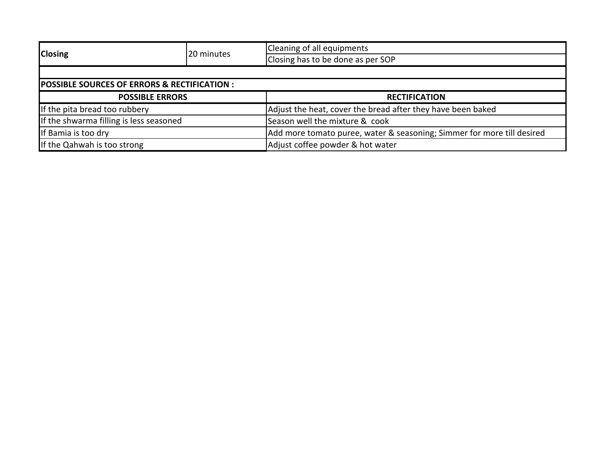| <b>Closing</b>                                         | 20 minutes | Cleaning of all equipments                                             |  |  |
|--------------------------------------------------------|------------|------------------------------------------------------------------------|--|--|
|                                                        |            | Closing has to be done as per SOP                                      |  |  |
|                                                        |            |                                                                        |  |  |
| <b>POSSIBLE SOURCES OF ERRORS &amp; RECTIFICATION:</b> |            |                                                                        |  |  |
| <b>POSSIBLE ERRORS</b>                                 |            | <b>RECTIFICATION</b>                                                   |  |  |
| If the pita bread too rubbery                          |            | Adjust the heat, cover the bread after they have been baked            |  |  |
| If the shwarma filling is less seasoned                |            | Season well the mixture & cook                                         |  |  |
| If Bamia is too dry                                    |            | Add more tomato puree, water & seasoning; Simmer for more till desired |  |  |
| If the Qahwah is too strong                            |            | Adjust coffee powder & hot water                                       |  |  |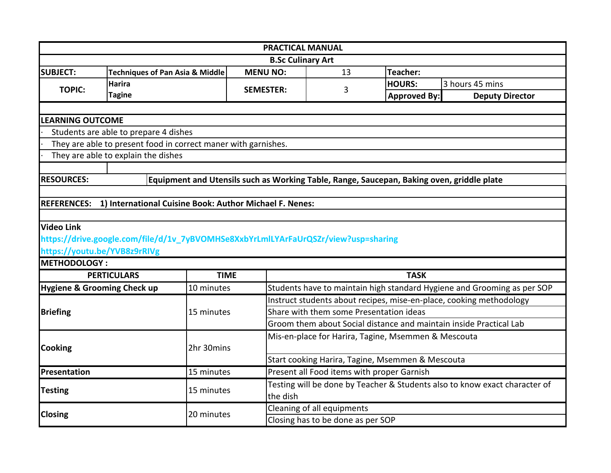| <b>PRACTICAL MANUAL</b>                                                  |                                                                                    |             |                                                                                                                |                                                                            |                                                                                           |                                                                         |  |
|--------------------------------------------------------------------------|------------------------------------------------------------------------------------|-------------|----------------------------------------------------------------------------------------------------------------|----------------------------------------------------------------------------|-------------------------------------------------------------------------------------------|-------------------------------------------------------------------------|--|
|                                                                          | <b>B.Sc Culinary Art</b>                                                           |             |                                                                                                                |                                                                            |                                                                                           |                                                                         |  |
| <b>SUBJECT:</b>                                                          | <b>Techniques of Pan Asia &amp; Middle</b>                                         |             | <b>MENU NO:</b>                                                                                                | 13                                                                         | Teacher:                                                                                  |                                                                         |  |
| <b>TOPIC:</b>                                                            | Harira                                                                             |             | <b>SEMESTER:</b>                                                                                               | 3                                                                          | <b>HOURS:</b>                                                                             | 3 hours 45 mins                                                         |  |
|                                                                          | <b>Tagine</b>                                                                      |             |                                                                                                                |                                                                            | <b>Approved By:</b>                                                                       | <b>Deputy Director</b>                                                  |  |
|                                                                          |                                                                                    |             |                                                                                                                |                                                                            |                                                                                           |                                                                         |  |
| <b>LEARNING OUTCOME</b>                                                  |                                                                                    |             |                                                                                                                |                                                                            |                                                                                           |                                                                         |  |
|                                                                          | Students are able to prepare 4 dishes                                              |             |                                                                                                                |                                                                            |                                                                                           |                                                                         |  |
|                                                                          | They are able to present food in correct maner with garnishes.                     |             |                                                                                                                |                                                                            |                                                                                           |                                                                         |  |
|                                                                          | They are able to explain the dishes                                                |             |                                                                                                                |                                                                            |                                                                                           |                                                                         |  |
|                                                                          |                                                                                    |             |                                                                                                                |                                                                            |                                                                                           |                                                                         |  |
| <b>RESOURCES:</b>                                                        |                                                                                    |             |                                                                                                                |                                                                            | Equipment and Utensils such as Working Table, Range, Saucepan, Baking oven, griddle plate |                                                                         |  |
|                                                                          |                                                                                    |             |                                                                                                                |                                                                            |                                                                                           |                                                                         |  |
| <b>REFERENCES:</b>                                                       | 1) International Cuisine Book: Author Michael F. Nenes:                            |             |                                                                                                                |                                                                            |                                                                                           |                                                                         |  |
|                                                                          |                                                                                    |             |                                                                                                                |                                                                            |                                                                                           |                                                                         |  |
| <b>Video Link</b>                                                        |                                                                                    |             |                                                                                                                |                                                                            |                                                                                           |                                                                         |  |
|                                                                          | https://drive.google.com/file/d/1v_7yBVOMHSe8XxbYrLmlLYArFaUrQSZr/view?usp=sharing |             |                                                                                                                |                                                                            |                                                                                           |                                                                         |  |
| <b>METHODOLOGY:</b>                                                      | https://youtu.be/YVB8z9rRIVg                                                       |             |                                                                                                                |                                                                            |                                                                                           |                                                                         |  |
|                                                                          | <b>PERTICULARS</b>                                                                 | <b>TIME</b> |                                                                                                                |                                                                            | <b>TASK</b>                                                                               |                                                                         |  |
|                                                                          | <b>Hygiene &amp; Grooming Check up</b>                                             | 10 minutes  |                                                                                                                |                                                                            |                                                                                           | Students have to maintain high standard Hygiene and Grooming as per SOP |  |
|                                                                          |                                                                                    |             |                                                                                                                |                                                                            |                                                                                           |                                                                         |  |
| <b>Briefing</b>                                                          |                                                                                    |             | Instruct students about recipes, mise-en-place, cooking methodology<br>Share with them some Presentation ideas |                                                                            |                                                                                           |                                                                         |  |
|                                                                          |                                                                                    | 15 minutes  | Groom them about Social distance and maintain inside Practical Lab                                             |                                                                            |                                                                                           |                                                                         |  |
|                                                                          |                                                                                    |             |                                                                                                                |                                                                            |                                                                                           |                                                                         |  |
| <b>Cooking</b>                                                           |                                                                                    | 2hr 30mins  | Mis-en-place for Harira, Tagine, Msemmen & Mescouta                                                            |                                                                            |                                                                                           |                                                                         |  |
|                                                                          |                                                                                    |             | Start cooking Harira, Tagine, Msemmen & Mescouta                                                               |                                                                            |                                                                                           |                                                                         |  |
| Present all Food items with proper Garnish<br>Presentation<br>15 minutes |                                                                                    |             |                                                                                                                |                                                                            |                                                                                           |                                                                         |  |
|                                                                          |                                                                                    |             |                                                                                                                | Testing will be done by Teacher & Students also to know exact character of |                                                                                           |                                                                         |  |
| <b>Testing</b>                                                           | 15 minutes                                                                         |             | the dish                                                                                                       |                                                                            |                                                                                           |                                                                         |  |
|                                                                          |                                                                                    |             |                                                                                                                | Cleaning of all equipments                                                 |                                                                                           |                                                                         |  |
| <b>Closing</b>                                                           |                                                                                    | 20 minutes  |                                                                                                                | Closing has to be done as per SOP                                          |                                                                                           |                                                                         |  |
|                                                                          |                                                                                    |             |                                                                                                                |                                                                            |                                                                                           |                                                                         |  |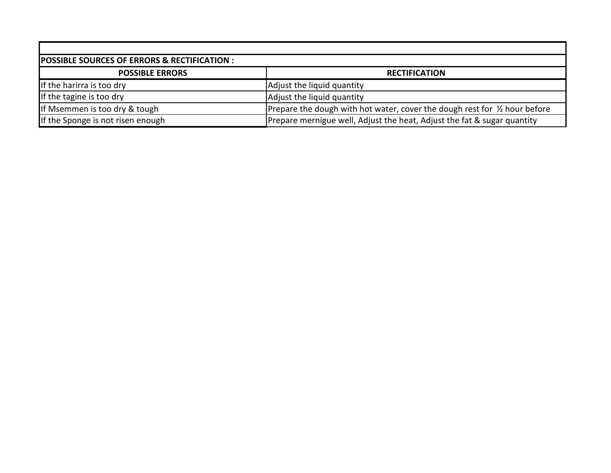| POSSIBLE SOURCES OF ERRORS & RECTIFICATION : |                                                                            |  |  |  |
|----------------------------------------------|----------------------------------------------------------------------------|--|--|--|
| <b>POSSIBLE ERRORS</b>                       | <b>RECTIFICATION</b>                                                       |  |  |  |
| If the harirra is too dry                    | Adjust the liquid quantity                                                 |  |  |  |
| If the tagine is too dry                     | Adjust the liquid quantity                                                 |  |  |  |
| If Msemmen is too dry & tough                | Prepare the dough with hot water, cover the dough rest for 1/2 hour before |  |  |  |
| If the Sponge is not risen enough            | Prepare mernigue well, Adjust the heat, Adjust the fat & sugar quantity    |  |  |  |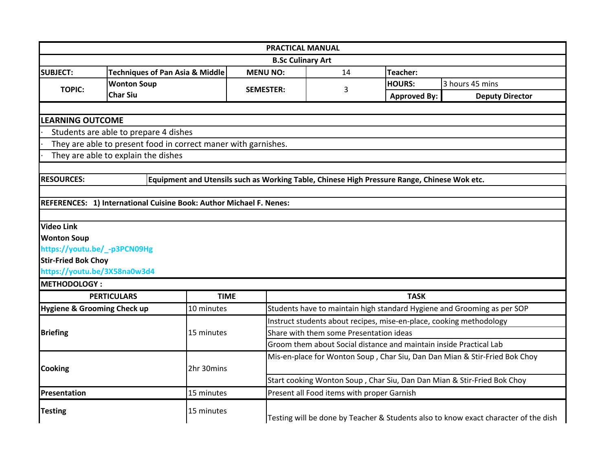|                                        |                                                                     | <b>PRACTICAL MANUAL</b>                                                                           |                                                                         |                     |                                                                            |  |  |  |
|----------------------------------------|---------------------------------------------------------------------|---------------------------------------------------------------------------------------------------|-------------------------------------------------------------------------|---------------------|----------------------------------------------------------------------------|--|--|--|
|                                        | <b>B.Sc Culinary Art</b>                                            |                                                                                                   |                                                                         |                     |                                                                            |  |  |  |
| <b>SUBJECT:</b>                        | <b>Techniques of Pan Asia &amp; Middle</b>                          | <b>MENU NO:</b>                                                                                   | 14                                                                      | <b>Teacher:</b>     |                                                                            |  |  |  |
| <b>TOPIC:</b>                          | <b>Wonton Soup</b>                                                  |                                                                                                   |                                                                         | <b>HOURS:</b>       | 3 hours 45 mins                                                            |  |  |  |
|                                        | <b>Char Siu</b>                                                     | <b>SEMESTER:</b>                                                                                  | 3                                                                       | <b>Approved By:</b> | <b>Deputy Director</b>                                                     |  |  |  |
|                                        |                                                                     |                                                                                                   |                                                                         |                     |                                                                            |  |  |  |
|                                        | <b>LEARNING OUTCOME</b>                                             |                                                                                                   |                                                                         |                     |                                                                            |  |  |  |
|                                        | Students are able to prepare 4 dishes                               |                                                                                                   |                                                                         |                     |                                                                            |  |  |  |
|                                        | They are able to present food in correct maner with garnishes.      |                                                                                                   |                                                                         |                     |                                                                            |  |  |  |
|                                        | They are able to explain the dishes                                 |                                                                                                   |                                                                         |                     |                                                                            |  |  |  |
|                                        |                                                                     |                                                                                                   |                                                                         |                     |                                                                            |  |  |  |
| <b>RESOURCES:</b>                      |                                                                     | Equipment and Utensils such as Working Table, Chinese High Pressure Range, Chinese Wok etc.       |                                                                         |                     |                                                                            |  |  |  |
|                                        |                                                                     |                                                                                                   |                                                                         |                     |                                                                            |  |  |  |
|                                        | REFERENCES: 1) International Cuisine Book: Author Michael F. Nenes: |                                                                                                   |                                                                         |                     |                                                                            |  |  |  |
|                                        |                                                                     |                                                                                                   |                                                                         |                     |                                                                            |  |  |  |
| <b>Video Link</b>                      |                                                                     |                                                                                                   |                                                                         |                     |                                                                            |  |  |  |
| <b>Wonton Soup</b>                     |                                                                     |                                                                                                   |                                                                         |                     |                                                                            |  |  |  |
| https://youtu.be/_-p3PCN09Hg           |                                                                     |                                                                                                   |                                                                         |                     |                                                                            |  |  |  |
| <b>Stir-Fried Bok Choy</b>             |                                                                     |                                                                                                   |                                                                         |                     |                                                                            |  |  |  |
| https://youtu.be/3X58na0w3d4           |                                                                     |                                                                                                   |                                                                         |                     |                                                                            |  |  |  |
| <b>METHODOLOGY:</b>                    |                                                                     |                                                                                                   |                                                                         |                     |                                                                            |  |  |  |
|                                        | <b>PERTICULARS</b>                                                  | <b>TIME</b>                                                                                       |                                                                         | <b>TASK</b>         |                                                                            |  |  |  |
| <b>Hygiene &amp; Grooming Check up</b> | 10 minutes                                                          |                                                                                                   |                                                                         |                     | Students have to maintain high standard Hygiene and Grooming as per SOP    |  |  |  |
|                                        |                                                                     |                                                                                                   | Instruct students about recipes, mise-en-place, cooking methodology     |                     |                                                                            |  |  |  |
| <b>Briefing</b>                        | 15 minutes                                                          |                                                                                                   | Share with them some Presentation ideas                                 |                     |                                                                            |  |  |  |
|                                        |                                                                     |                                                                                                   | Groom them about Social distance and maintain inside Practical Lab      |                     |                                                                            |  |  |  |
|                                        |                                                                     |                                                                                                   |                                                                         |                     | Mis-en-place for Wonton Soup, Char Siu, Dan Dan Mian & Stir-Fried Bok Choy |  |  |  |
| <b>Cooking</b>                         | 2hr 30mins                                                          |                                                                                                   |                                                                         |                     |                                                                            |  |  |  |
|                                        |                                                                     |                                                                                                   | Start cooking Wonton Soup, Char Siu, Dan Dan Mian & Stir-Fried Bok Choy |                     |                                                                            |  |  |  |
| Presentation                           | 15 minutes                                                          |                                                                                                   | Present all Food items with proper Garnish                              |                     |                                                                            |  |  |  |
| <b>Testing</b>                         |                                                                     | 15 minutes<br>Testing will be done by Teacher & Students also to know exact character of the dish |                                                                         |                     |                                                                            |  |  |  |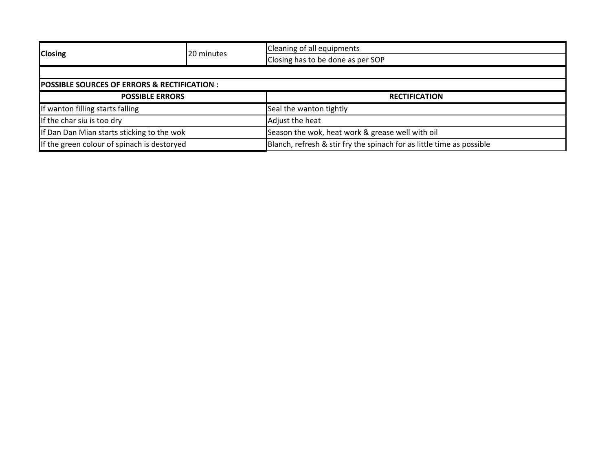| <b>Closing</b>                                         | 20 minutes | Cleaning of all equipments                                            |  |  |
|--------------------------------------------------------|------------|-----------------------------------------------------------------------|--|--|
|                                                        |            | Closing has to be done as per SOP                                     |  |  |
|                                                        |            |                                                                       |  |  |
| <b>POSSIBLE SOURCES OF ERRORS &amp; RECTIFICATION:</b> |            |                                                                       |  |  |
| <b>POSSIBLE ERRORS</b>                                 |            | <b>RECTIFICATION</b>                                                  |  |  |
| If wanton filling starts falling                       |            | Seal the wanton tightly                                               |  |  |
| If the char siu is too dry                             |            | Adjust the heat                                                       |  |  |
| If Dan Dan Mian starts sticking to the wok             |            | Season the wok, heat work & grease well with oil                      |  |  |
| If the green colour of spinach is destoryed            |            | Blanch, refresh & stir fry the spinach for as little time as possible |  |  |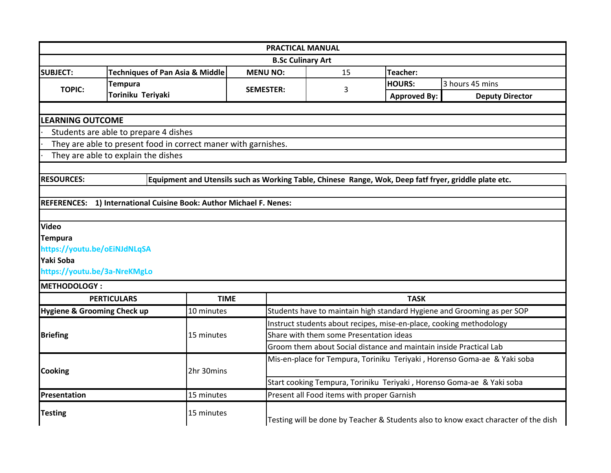| <b>PRACTICAL MANUAL</b>                |                                                                                                       |                                                                                                   |                                                                       |                     |                                                                          |  |  |  |
|----------------------------------------|-------------------------------------------------------------------------------------------------------|---------------------------------------------------------------------------------------------------|-----------------------------------------------------------------------|---------------------|--------------------------------------------------------------------------|--|--|--|
|                                        | <b>B.Sc Culinary Art</b>                                                                              |                                                                                                   |                                                                       |                     |                                                                          |  |  |  |
| <b>SUBJECT:</b>                        | <b>Techniques of Pan Asia &amp; Middle</b>                                                            | <b>MENU NO:</b>                                                                                   | 15                                                                    | Teacher:            |                                                                          |  |  |  |
| <b>TOPIC:</b>                          | <b>Tempura</b>                                                                                        | <b>SEMESTER:</b>                                                                                  | 3                                                                     | <b>HOURS:</b>       | 3 hours 45 mins                                                          |  |  |  |
|                                        | Toriniku Teriyaki                                                                                     |                                                                                                   |                                                                       | <b>Approved By:</b> | <b>Deputy Director</b>                                                   |  |  |  |
|                                        |                                                                                                       |                                                                                                   |                                                                       |                     |                                                                          |  |  |  |
|                                        | <b>LEARNING OUTCOME</b>                                                                               |                                                                                                   |                                                                       |                     |                                                                          |  |  |  |
|                                        | Students are able to prepare 4 dishes                                                                 |                                                                                                   |                                                                       |                     |                                                                          |  |  |  |
|                                        | They are able to present food in correct maner with garnishes.                                        |                                                                                                   |                                                                       |                     |                                                                          |  |  |  |
|                                        | They are able to explain the dishes                                                                   |                                                                                                   |                                                                       |                     |                                                                          |  |  |  |
|                                        |                                                                                                       |                                                                                                   |                                                                       |                     |                                                                          |  |  |  |
| <b>RESOURCES:</b>                      | Equipment and Utensils such as Working Table, Chinese Range, Wok, Deep fatf fryer, griddle plate etc. |                                                                                                   |                                                                       |                     |                                                                          |  |  |  |
|                                        |                                                                                                       |                                                                                                   |                                                                       |                     |                                                                          |  |  |  |
|                                        | REFERENCES: 1) International Cuisine Book: Author Michael F. Nenes:                                   |                                                                                                   |                                                                       |                     |                                                                          |  |  |  |
|                                        |                                                                                                       |                                                                                                   |                                                                       |                     |                                                                          |  |  |  |
| <b>Video</b>                           |                                                                                                       |                                                                                                   |                                                                       |                     |                                                                          |  |  |  |
| <b>Tempura</b>                         |                                                                                                       |                                                                                                   |                                                                       |                     |                                                                          |  |  |  |
| https://youtu.be/oEiNJdNLqSA           |                                                                                                       |                                                                                                   |                                                                       |                     |                                                                          |  |  |  |
| Yaki Soba                              |                                                                                                       |                                                                                                   |                                                                       |                     |                                                                          |  |  |  |
| https://youtu.be/3a-NreKMgLo           |                                                                                                       |                                                                                                   |                                                                       |                     |                                                                          |  |  |  |
| <b>METHODOLOGY:</b>                    |                                                                                                       |                                                                                                   |                                                                       |                     |                                                                          |  |  |  |
|                                        | <b>PERTICULARS</b>                                                                                    | <b>TIME</b>                                                                                       |                                                                       | <b>TASK</b>         |                                                                          |  |  |  |
| <b>Hygiene &amp; Grooming Check up</b> | 10 minutes                                                                                            |                                                                                                   |                                                                       |                     | Students have to maintain high standard Hygiene and Grooming as per SOP  |  |  |  |
|                                        |                                                                                                       |                                                                                                   | Instruct students about recipes, mise-en-place, cooking methodology   |                     |                                                                          |  |  |  |
| <b>Briefing</b>                        | 15 minutes                                                                                            |                                                                                                   | Share with them some Presentation ideas                               |                     |                                                                          |  |  |  |
|                                        |                                                                                                       |                                                                                                   | Groom them about Social distance and maintain inside Practical Lab    |                     |                                                                          |  |  |  |
|                                        |                                                                                                       |                                                                                                   |                                                                       |                     | Mis-en-place for Tempura, Toriniku Teriyaki, Horenso Goma-ae & Yaki soba |  |  |  |
| <b>Cooking</b>                         | 2hr 30mins                                                                                            |                                                                                                   |                                                                       |                     |                                                                          |  |  |  |
|                                        |                                                                                                       |                                                                                                   | Start cooking Tempura, Toriniku Teriyaki, Horenso Goma-ae & Yaki soba |                     |                                                                          |  |  |  |
| Presentation                           | 15 minutes                                                                                            |                                                                                                   | Present all Food items with proper Garnish                            |                     |                                                                          |  |  |  |
| <b>Testing</b>                         |                                                                                                       | 15 minutes<br>Testing will be done by Teacher & Students also to know exact character of the dish |                                                                       |                     |                                                                          |  |  |  |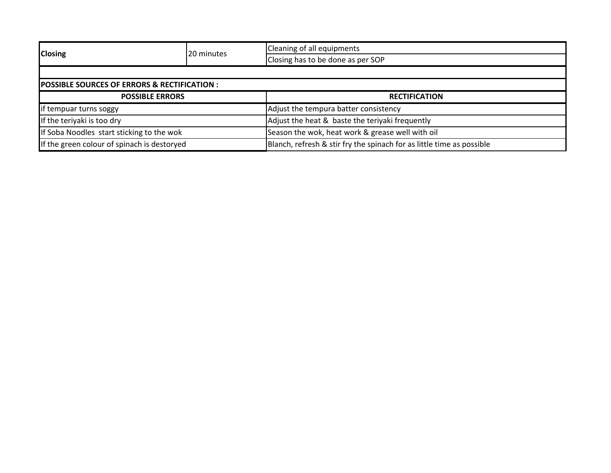| <b>Closing</b>                                         | 20 minutes | Cleaning of all equipments                                            |  |  |
|--------------------------------------------------------|------------|-----------------------------------------------------------------------|--|--|
|                                                        |            | Closing has to be done as per SOP                                     |  |  |
|                                                        |            |                                                                       |  |  |
| <b>POSSIBLE SOURCES OF ERRORS &amp; RECTIFICATION:</b> |            |                                                                       |  |  |
| <b>POSSIBLE ERRORS</b>                                 |            | <b>RECTIFICATION</b>                                                  |  |  |
| if tempuar turns soggy                                 |            | Adjust the tempura batter consistency                                 |  |  |
| If the teriyaki is too dry                             |            | Adjust the heat & baste the teriyaki frequently                       |  |  |
| If Soba Noodles start sticking to the wok              |            | Season the wok, heat work & grease well with oil                      |  |  |
| If the green colour of spinach is destoryed            |            | Blanch, refresh & stir fry the spinach for as little time as possible |  |  |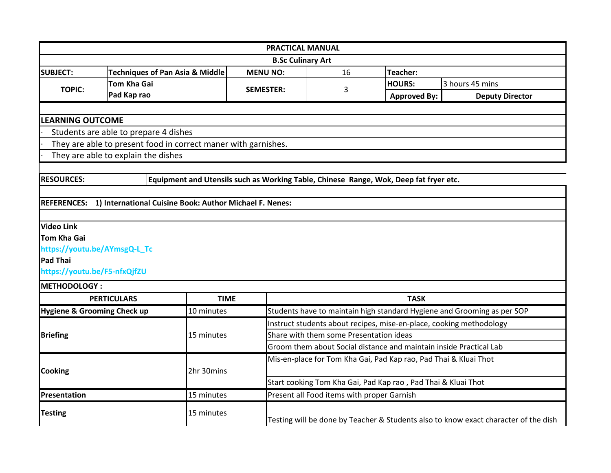|                                        |                                                                     |                  | <b>PRACTICAL MANUAL</b>                                                               |                                                                         |                        |  |  |
|----------------------------------------|---------------------------------------------------------------------|------------------|---------------------------------------------------------------------------------------|-------------------------------------------------------------------------|------------------------|--|--|
|                                        |                                                                     |                  | <b>B.Sc Culinary Art</b>                                                              |                                                                         |                        |  |  |
| <b>SUBJECT:</b>                        | <b>Techniques of Pan Asia &amp; Middle</b>                          | <b>MENU NO:</b>  | 16                                                                                    | Teacher:                                                                |                        |  |  |
| <b>TOPIC:</b>                          | <b>Tom Kha Gai</b>                                                  |                  |                                                                                       | <b>HOURS:</b>                                                           | 3 hours 45 mins        |  |  |
|                                        | Pad Kap rao                                                         | <b>SEMESTER:</b> | 3                                                                                     | <b>Approved By:</b>                                                     | <b>Deputy Director</b> |  |  |
|                                        |                                                                     |                  |                                                                                       |                                                                         |                        |  |  |
| <b>LEARNING OUTCOME</b>                |                                                                     |                  |                                                                                       |                                                                         |                        |  |  |
|                                        | Students are able to prepare 4 dishes                               |                  |                                                                                       |                                                                         |                        |  |  |
|                                        | They are able to present food in correct maner with garnishes.      |                  |                                                                                       |                                                                         |                        |  |  |
|                                        | They are able to explain the dishes                                 |                  |                                                                                       |                                                                         |                        |  |  |
|                                        |                                                                     |                  |                                                                                       |                                                                         |                        |  |  |
| <b>RESOURCES:</b>                      |                                                                     |                  | Equipment and Utensils such as Working Table, Chinese Range, Wok, Deep fat fryer etc. |                                                                         |                        |  |  |
|                                        |                                                                     |                  |                                                                                       |                                                                         |                        |  |  |
|                                        | REFERENCES: 1) International Cuisine Book: Author Michael F. Nenes: |                  |                                                                                       |                                                                         |                        |  |  |
|                                        |                                                                     |                  |                                                                                       |                                                                         |                        |  |  |
| <b>Video Link</b>                      |                                                                     |                  |                                                                                       |                                                                         |                        |  |  |
| <b>Tom Kha Gai</b>                     |                                                                     |                  |                                                                                       |                                                                         |                        |  |  |
| https://youtu.be/AYmsgQ-L_Tc           |                                                                     |                  |                                                                                       |                                                                         |                        |  |  |
| <b>Pad Thai</b>                        |                                                                     |                  |                                                                                       |                                                                         |                        |  |  |
| https://youtu.be/F5-nfxQjfZU           |                                                                     |                  |                                                                                       |                                                                         |                        |  |  |
| <b>METHODOLOGY:</b>                    |                                                                     |                  |                                                                                       |                                                                         |                        |  |  |
|                                        | <b>PERTICULARS</b>                                                  | <b>TIME</b>      | <b>TASK</b>                                                                           |                                                                         |                        |  |  |
| <b>Hygiene &amp; Grooming Check up</b> | 10 minutes                                                          |                  |                                                                                       | Students have to maintain high standard Hygiene and Grooming as per SOP |                        |  |  |
|                                        |                                                                     |                  | Instruct students about recipes, mise-en-place, cooking methodology                   |                                                                         |                        |  |  |
| <b>Briefing</b>                        | 15 minutes                                                          |                  | Share with them some Presentation ideas                                               |                                                                         |                        |  |  |
|                                        |                                                                     |                  | Groom them about Social distance and maintain inside Practical Lab                    |                                                                         |                        |  |  |
|                                        |                                                                     |                  | Mis-en-place for Tom Kha Gai, Pad Kap rao, Pad Thai & Kluai Thot                      |                                                                         |                        |  |  |
| <b>Cooking</b>                         | 2hr 30mins                                                          |                  |                                                                                       |                                                                         |                        |  |  |
|                                        |                                                                     |                  | Start cooking Tom Kha Gai, Pad Kap rao, Pad Thai & Kluai Thot                         |                                                                         |                        |  |  |
| <b>Presentation</b>                    | 15 minutes                                                          |                  | Present all Food items with proper Garnish                                            |                                                                         |                        |  |  |
| <b>Testing</b>                         | 15 minutes                                                          |                  | Testing will be done by Teacher & Students also to know exact character of the dish   |                                                                         |                        |  |  |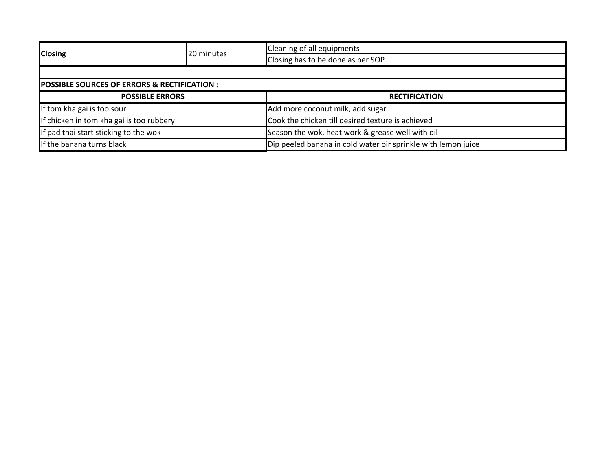| <b>Closing</b>                                         | 20 minutes | Cleaning of all equipments                                    |  |  |  |
|--------------------------------------------------------|------------|---------------------------------------------------------------|--|--|--|
|                                                        |            | Closing has to be done as per SOP                             |  |  |  |
|                                                        |            |                                                               |  |  |  |
| <b>POSSIBLE SOURCES OF ERRORS &amp; RECTIFICATION:</b> |            |                                                               |  |  |  |
| <b>POSSIBLE ERRORS</b>                                 |            | <b>RECTIFICATION</b>                                          |  |  |  |
| If tom kha gai is too sour                             |            | Add more coconut milk, add sugar                              |  |  |  |
| If chicken in tom kha gai is too rubbery               |            | Cook the chicken till desired texture is achieved             |  |  |  |
| If pad thai start sticking to the wok                  |            | Season the wok, heat work & grease well with oil              |  |  |  |
| If the banana turns black                              |            | Dip peeled banana in cold water oir sprinkle with lemon juice |  |  |  |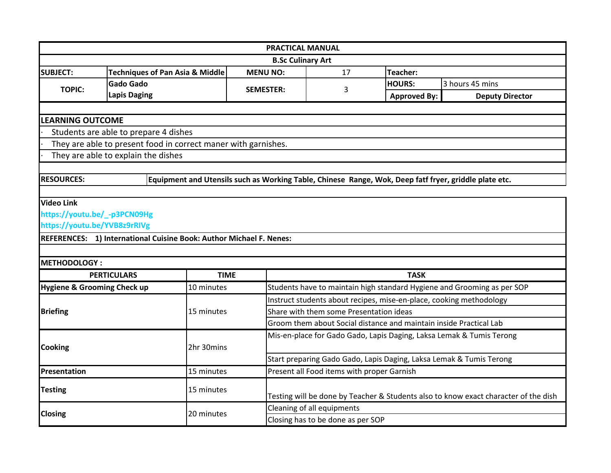|                                        |                                                                     |                                                                                                       | <b>PRACTICAL MANUAL</b>                                             |                                                                                     |                                                                         |  |  |
|----------------------------------------|---------------------------------------------------------------------|-------------------------------------------------------------------------------------------------------|---------------------------------------------------------------------|-------------------------------------------------------------------------------------|-------------------------------------------------------------------------|--|--|
| <b>B.Sc Culinary Art</b>               |                                                                     |                                                                                                       |                                                                     |                                                                                     |                                                                         |  |  |
| <b>SUBJECT:</b>                        | <b>Techniques of Pan Asia &amp; Middle</b>                          | <b>MENU NO:</b>                                                                                       | 17                                                                  | <b>Teacher:</b>                                                                     |                                                                         |  |  |
| <b>TOPIC:</b>                          | <b>Gado Gado</b>                                                    | <b>SEMESTER:</b>                                                                                      | 3                                                                   | <b>HOURS:</b>                                                                       | 3 hours 45 mins                                                         |  |  |
|                                        | <b>Lapis Daging</b>                                                 |                                                                                                       |                                                                     | <b>Approved By:</b>                                                                 | <b>Deputy Director</b>                                                  |  |  |
|                                        |                                                                     |                                                                                                       |                                                                     |                                                                                     |                                                                         |  |  |
| <b>LEARNING OUTCOME</b>                |                                                                     |                                                                                                       |                                                                     |                                                                                     |                                                                         |  |  |
|                                        | Students are able to prepare 4 dishes                               |                                                                                                       |                                                                     |                                                                                     |                                                                         |  |  |
|                                        | They are able to present food in correct maner with garnishes.      |                                                                                                       |                                                                     |                                                                                     |                                                                         |  |  |
|                                        | They are able to explain the dishes                                 |                                                                                                       |                                                                     |                                                                                     |                                                                         |  |  |
|                                        |                                                                     |                                                                                                       |                                                                     |                                                                                     |                                                                         |  |  |
| <b>RESOURCES:</b>                      |                                                                     | Equipment and Utensils such as Working Table, Chinese Range, Wok, Deep fatf fryer, griddle plate etc. |                                                                     |                                                                                     |                                                                         |  |  |
|                                        |                                                                     |                                                                                                       |                                                                     |                                                                                     |                                                                         |  |  |
| <b>Video Link</b>                      |                                                                     |                                                                                                       |                                                                     |                                                                                     |                                                                         |  |  |
| https://youtu.be/_-p3PCN09Hg           |                                                                     |                                                                                                       |                                                                     |                                                                                     |                                                                         |  |  |
| https://youtu.be/YVB8z9rRIVg           |                                                                     |                                                                                                       |                                                                     |                                                                                     |                                                                         |  |  |
|                                        | REFERENCES: 1) International Cuisine Book: Author Michael F. Nenes: |                                                                                                       |                                                                     |                                                                                     |                                                                         |  |  |
|                                        |                                                                     |                                                                                                       |                                                                     |                                                                                     |                                                                         |  |  |
| <b>METHODOLOGY:</b>                    |                                                                     |                                                                                                       |                                                                     |                                                                                     |                                                                         |  |  |
|                                        | <b>PERTICULARS</b>                                                  | <b>TIME</b>                                                                                           |                                                                     | <b>TASK</b>                                                                         |                                                                         |  |  |
| <b>Hygiene &amp; Grooming Check up</b> | 10 minutes                                                          |                                                                                                       |                                                                     |                                                                                     | Students have to maintain high standard Hygiene and Grooming as per SOP |  |  |
|                                        |                                                                     |                                                                                                       | Instruct students about recipes, mise-en-place, cooking methodology |                                                                                     |                                                                         |  |  |
| <b>Briefing</b>                        | 15 minutes                                                          |                                                                                                       | Share with them some Presentation ideas                             |                                                                                     |                                                                         |  |  |
|                                        |                                                                     |                                                                                                       | Groom them about Social distance and maintain inside Practical Lab  |                                                                                     |                                                                         |  |  |
|                                        |                                                                     |                                                                                                       |                                                                     |                                                                                     | Mis-en-place for Gado Gado, Lapis Daging, Laksa Lemak & Tumis Terong    |  |  |
| <b>Cooking</b>                         | 2hr 30mins                                                          |                                                                                                       |                                                                     |                                                                                     |                                                                         |  |  |
|                                        |                                                                     |                                                                                                       | Start preparing Gado Gado, Lapis Daging, Laksa Lemak & Tumis Terong |                                                                                     |                                                                         |  |  |
| Presentation                           | 15 minutes                                                          |                                                                                                       | Present all Food items with proper Garnish                          |                                                                                     |                                                                         |  |  |
| <b>Testing</b><br>15 minutes           |                                                                     |                                                                                                       |                                                                     |                                                                                     |                                                                         |  |  |
|                                        |                                                                     |                                                                                                       |                                                                     | Testing will be done by Teacher & Students also to know exact character of the dish |                                                                         |  |  |
| <b>Closing</b>                         | 20 minutes                                                          |                                                                                                       | Cleaning of all equipments                                          |                                                                                     |                                                                         |  |  |
|                                        |                                                                     |                                                                                                       | Closing has to be done as per SOP                                   |                                                                                     |                                                                         |  |  |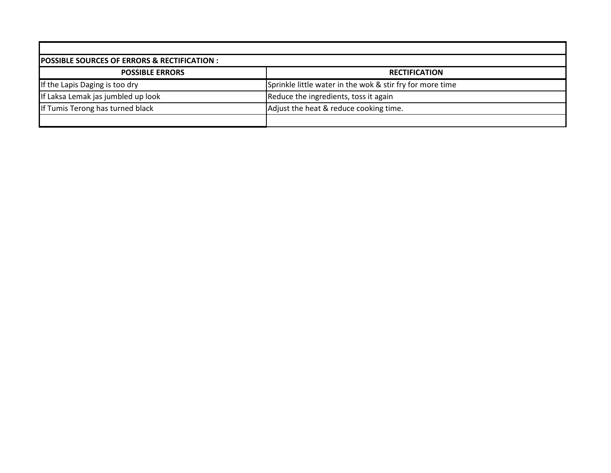| <b>POSSIBLE SOURCES OF ERRORS &amp; RECTIFICATION :</b> |                                                           |  |  |  |  |  |
|---------------------------------------------------------|-----------------------------------------------------------|--|--|--|--|--|
| <b>POSSIBLE ERRORS</b>                                  | <b>RECTIFICATION</b>                                      |  |  |  |  |  |
| If the Lapis Daging is too dry                          | Sprinkle little water in the wok & stir fry for more time |  |  |  |  |  |
| If Laksa Lemak jas jumbled up look                      | Reduce the ingredients, toss it again                     |  |  |  |  |  |
| If Tumis Terong has turned black                        | Adjust the heat & reduce cooking time.                    |  |  |  |  |  |
|                                                         |                                                           |  |  |  |  |  |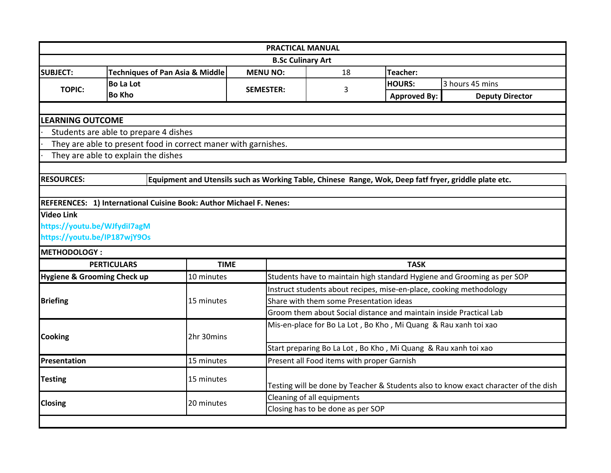|                                                      |                                                                     |                                                                                                       | <b>PRACTICAL MANUAL</b>                                                             |                     |                        |  |  |
|------------------------------------------------------|---------------------------------------------------------------------|-------------------------------------------------------------------------------------------------------|-------------------------------------------------------------------------------------|---------------------|------------------------|--|--|
|                                                      |                                                                     |                                                                                                       | <b>B.Sc Culinary Art</b>                                                            |                     |                        |  |  |
| <b>SUBJECT:</b>                                      | <b>Techniques of Pan Asia &amp; Middle</b>                          | <b>MENU NO:</b>                                                                                       | 18<br>Teacher:                                                                      |                     |                        |  |  |
| <b>TOPIC:</b>                                        | <b>Bo La Lot</b>                                                    | <b>SEMESTER:</b>                                                                                      | 3                                                                                   | <b>HOURS:</b>       | 3 hours 45 mins        |  |  |
|                                                      | <b>Bo Kho</b>                                                       |                                                                                                       |                                                                                     | <b>Approved By:</b> | <b>Deputy Director</b> |  |  |
|                                                      |                                                                     |                                                                                                       |                                                                                     |                     |                        |  |  |
| <b>LEARNING OUTCOME</b>                              |                                                                     |                                                                                                       |                                                                                     |                     |                        |  |  |
|                                                      | Students are able to prepare 4 dishes                               |                                                                                                       |                                                                                     |                     |                        |  |  |
|                                                      | They are able to present food in correct maner with garnishes.      |                                                                                                       |                                                                                     |                     |                        |  |  |
|                                                      | They are able to explain the dishes                                 |                                                                                                       |                                                                                     |                     |                        |  |  |
|                                                      |                                                                     |                                                                                                       |                                                                                     |                     |                        |  |  |
| <b>RESOURCES:</b>                                    |                                                                     | Equipment and Utensils such as Working Table, Chinese Range, Wok, Deep fatf fryer, griddle plate etc. |                                                                                     |                     |                        |  |  |
|                                                      |                                                                     |                                                                                                       |                                                                                     |                     |                        |  |  |
|                                                      | REFERENCES: 1) International Cuisine Book: Author Michael F. Nenes: |                                                                                                       |                                                                                     |                     |                        |  |  |
| <b>Video Link</b>                                    |                                                                     |                                                                                                       |                                                                                     |                     |                        |  |  |
| https://youtu.be/WJfydiI7agM                         |                                                                     |                                                                                                       |                                                                                     |                     |                        |  |  |
| https://youtu.be/IP187wjY9Os                         |                                                                     |                                                                                                       |                                                                                     |                     |                        |  |  |
| <b>METHODOLOGY:</b>                                  |                                                                     |                                                                                                       |                                                                                     |                     |                        |  |  |
| <b>PERTICULARS</b>                                   |                                                                     | <b>TIME</b>                                                                                           | <b>TASK</b>                                                                         |                     |                        |  |  |
| <b>Hygiene &amp; Grooming Check up</b><br>10 minutes |                                                                     |                                                                                                       | Students have to maintain high standard Hygiene and Grooming as per SOP             |                     |                        |  |  |
|                                                      |                                                                     |                                                                                                       | Instruct students about recipes, mise-en-place, cooking methodology                 |                     |                        |  |  |
| <b>Briefing</b>                                      | 15 minutes                                                          |                                                                                                       | Share with them some Presentation ideas                                             |                     |                        |  |  |
|                                                      |                                                                     |                                                                                                       | Groom them about Social distance and maintain inside Practical Lab                  |                     |                        |  |  |
|                                                      |                                                                     |                                                                                                       | Mis-en-place for Bo La Lot, Bo Kho, Mi Quang & Rau xanh toi xao                     |                     |                        |  |  |
| <b>Cooking</b>                                       | 2hr 30mins                                                          |                                                                                                       |                                                                                     |                     |                        |  |  |
|                                                      |                                                                     |                                                                                                       | Start preparing Bo La Lot, Bo Kho, Mi Quang & Rau xanh toi xao                      |                     |                        |  |  |
| Presentation                                         | Present all Food items with proper Garnish<br>15 minutes            |                                                                                                       |                                                                                     |                     |                        |  |  |
| <b>Testing</b>                                       | 15 minutes                                                          |                                                                                                       |                                                                                     |                     |                        |  |  |
|                                                      |                                                                     |                                                                                                       | Testing will be done by Teacher & Students also to know exact character of the dish |                     |                        |  |  |
| <b>Closing</b>                                       | 20 minutes                                                          |                                                                                                       | Cleaning of all equipments                                                          |                     |                        |  |  |
|                                                      |                                                                     |                                                                                                       | Closing has to be done as per SOP                                                   |                     |                        |  |  |
|                                                      |                                                                     |                                                                                                       |                                                                                     |                     |                        |  |  |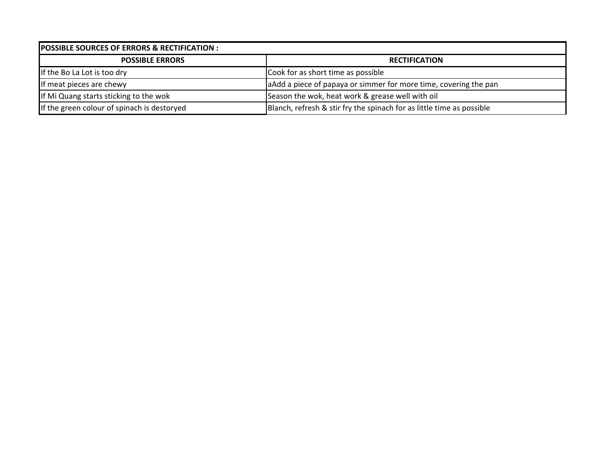| <b>POSSIBLE SOURCES OF ERRORS &amp; RECTIFICATION:</b> |                                                                       |  |  |  |  |
|--------------------------------------------------------|-----------------------------------------------------------------------|--|--|--|--|
| <b>POSSIBLE ERRORS</b>                                 | <b>RECTIFICATION</b>                                                  |  |  |  |  |
| If the Bo La Lot is too dry                            | Cook for as short time as possible                                    |  |  |  |  |
| If meat pieces are chewy                               | a Add a piece of papaya or simmer for more time, covering the pan     |  |  |  |  |
| If Mi Quang starts sticking to the wok                 | Season the wok, heat work & grease well with oil                      |  |  |  |  |
| If the green colour of spinach is destoryed            | Blanch, refresh & stir fry the spinach for as little time as possible |  |  |  |  |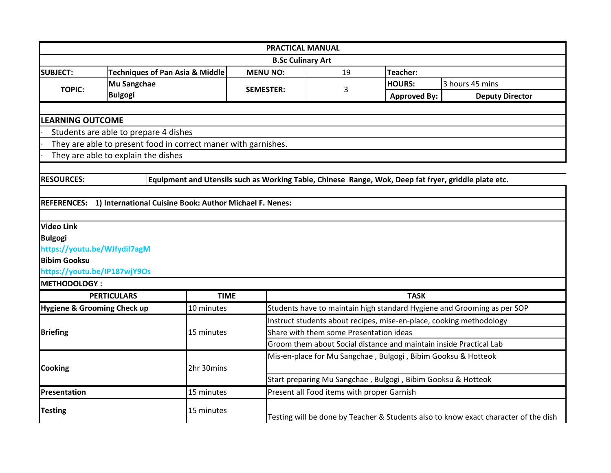|                                                     |                                                                     | <b>PRACTICAL MANUAL</b>                                                                              |                                                                                                               |                                                               |                                                                         |  |
|-----------------------------------------------------|---------------------------------------------------------------------|------------------------------------------------------------------------------------------------------|---------------------------------------------------------------------------------------------------------------|---------------------------------------------------------------|-------------------------------------------------------------------------|--|
| <b>B.Sc Culinary Art</b>                            |                                                                     |                                                                                                      |                                                                                                               |                                                               |                                                                         |  |
| <b>SUBJECT:</b>                                     | <b>Techniques of Pan Asia &amp; Middle</b>                          | <b>MENU NO:</b>                                                                                      | 19                                                                                                            | <b>Teacher:</b>                                               |                                                                         |  |
| <b>TOPIC:</b>                                       | <b>Mu Sangchae</b>                                                  | <b>SEMESTER:</b>                                                                                     | 3                                                                                                             | <b>HOURS:</b>                                                 | 3 hours 45 mins                                                         |  |
|                                                     | <b>Bulgogi</b>                                                      |                                                                                                      |                                                                                                               | <b>Approved By:</b>                                           | <b>Deputy Director</b>                                                  |  |
|                                                     |                                                                     |                                                                                                      |                                                                                                               |                                                               |                                                                         |  |
| <b>LEARNING OUTCOME</b>                             |                                                                     |                                                                                                      |                                                                                                               |                                                               |                                                                         |  |
|                                                     | Students are able to prepare 4 dishes                               |                                                                                                      |                                                                                                               |                                                               |                                                                         |  |
|                                                     | They are able to present food in correct maner with garnishes.      |                                                                                                      |                                                                                                               |                                                               |                                                                         |  |
|                                                     | They are able to explain the dishes                                 |                                                                                                      |                                                                                                               |                                                               |                                                                         |  |
|                                                     |                                                                     |                                                                                                      |                                                                                                               |                                                               |                                                                         |  |
| <b>RESOURCES:</b>                                   |                                                                     | Equipment and Utensils such as Working Table, Chinese Range, Wok, Deep fat fryer, griddle plate etc. |                                                                                                               |                                                               |                                                                         |  |
|                                                     |                                                                     |                                                                                                      |                                                                                                               |                                                               |                                                                         |  |
|                                                     | REFERENCES: 1) International Cuisine Book: Author Michael F. Nenes: |                                                                                                      |                                                                                                               |                                                               |                                                                         |  |
|                                                     |                                                                     |                                                                                                      |                                                                                                               |                                                               |                                                                         |  |
| <b>Video Link</b>                                   |                                                                     |                                                                                                      |                                                                                                               |                                                               |                                                                         |  |
| <b>Bulgogi</b>                                      |                                                                     |                                                                                                      |                                                                                                               |                                                               |                                                                         |  |
| https://youtu.be/WJfydiI7agM                        |                                                                     |                                                                                                      |                                                                                                               |                                                               |                                                                         |  |
| <b>Bibim Gooksu</b>                                 |                                                                     |                                                                                                      |                                                                                                               |                                                               |                                                                         |  |
| https://youtu.be/IP187wjY9Os<br><b>METHODOLOGY:</b> |                                                                     |                                                                                                      |                                                                                                               |                                                               |                                                                         |  |
|                                                     | <b>PERTICULARS</b>                                                  | <b>TIME</b>                                                                                          |                                                                                                               | <b>TASK</b>                                                   |                                                                         |  |
|                                                     |                                                                     |                                                                                                      |                                                                                                               |                                                               |                                                                         |  |
| Hygiene & Grooming Check up                         | 10 minutes                                                          |                                                                                                      |                                                                                                               |                                                               | Students have to maintain high standard Hygiene and Grooming as per SOP |  |
|                                                     |                                                                     |                                                                                                      | Instruct students about recipes, mise-en-place, cooking methodology                                           |                                                               |                                                                         |  |
| <b>Briefing</b>                                     | 15 minutes                                                          |                                                                                                      | Share with them some Presentation ideas<br>Groom them about Social distance and maintain inside Practical Lab |                                                               |                                                                         |  |
|                                                     |                                                                     |                                                                                                      |                                                                                                               |                                                               |                                                                         |  |
|                                                     |                                                                     |                                                                                                      |                                                                                                               | Mis-en-place for Mu Sangchae, Bulgogi, Bibim Gooksu & Hotteok |                                                                         |  |
| <b>Cooking</b>                                      | 2hr 30mins                                                          |                                                                                                      |                                                                                                               |                                                               |                                                                         |  |
|                                                     |                                                                     | Start preparing Mu Sangchae, Bulgogi, Bibim Gooksu & Hotteok                                         |                                                                                                               |                                                               |                                                                         |  |
| Presentation                                        | 15 minutes                                                          |                                                                                                      | Present all Food items with proper Garnish                                                                    |                                                               |                                                                         |  |
| <b>Testing</b>                                      | 15 minutes                                                          |                                                                                                      | Testing will be done by Teacher & Students also to know exact character of the dish                           |                                                               |                                                                         |  |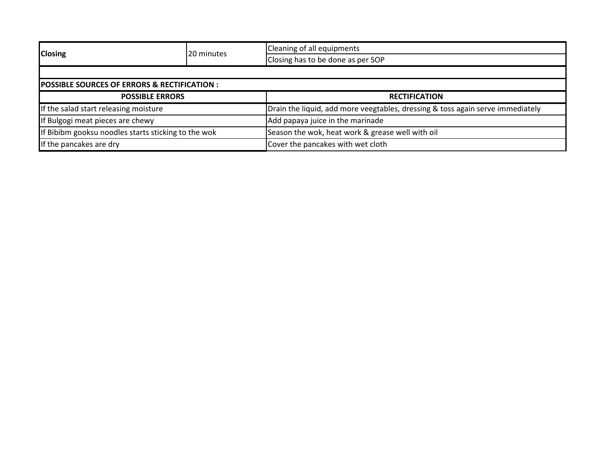| <b>Closing</b>                                         | <b>120 minutes</b> | Cleaning of all equipments                                                     |  |  |
|--------------------------------------------------------|--------------------|--------------------------------------------------------------------------------|--|--|
|                                                        |                    | Closing has to be done as per SOP                                              |  |  |
|                                                        |                    |                                                                                |  |  |
| <b>POSSIBLE SOURCES OF ERRORS &amp; RECTIFICATION:</b> |                    |                                                                                |  |  |
| <b>POSSIBLE ERRORS</b>                                 |                    | <b>RECTIFICATION</b>                                                           |  |  |
| If the salad start releasing moisture                  |                    | Drain the liquid, add more veegtables, dressing & toss again serve immediately |  |  |
| If Bulgogi meat pieces are chewy                       |                    | Add papaya juice in the marinade                                               |  |  |
| If Bibibm gooksu noodles starts sticking to the wok    |                    | Season the wok, heat work & grease well with oil                               |  |  |
| If the pancakes are dry                                |                    | Cover the pancakes with wet cloth                                              |  |  |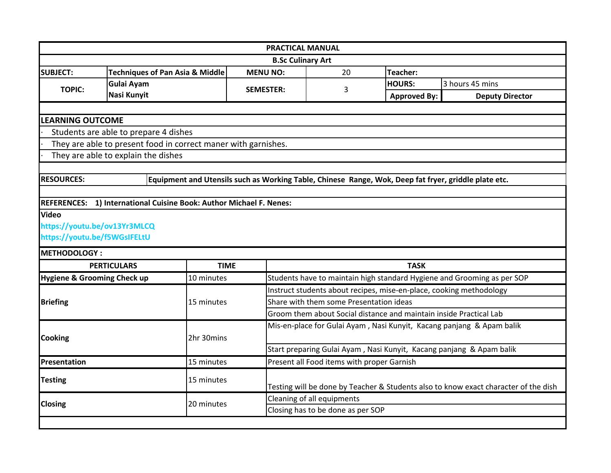|                              |                                                                     |                  | <b>PRACTICAL MANUAL</b>                                                                              |                     |                                                                       |  |  |
|------------------------------|---------------------------------------------------------------------|------------------|------------------------------------------------------------------------------------------------------|---------------------|-----------------------------------------------------------------------|--|--|
| <b>B.Sc Culinary Art</b>     |                                                                     |                  |                                                                                                      |                     |                                                                       |  |  |
| <b>SUBJECT:</b>              | <b>Techniques of Pan Asia &amp; Middle</b>                          | <b>MENU NO:</b>  | 20<br>Teacher:                                                                                       |                     |                                                                       |  |  |
| <b>TOPIC:</b>                | <b>Gulai Ayam</b>                                                   | <b>SEMESTER:</b> | 3                                                                                                    | <b>HOURS:</b>       | 3 hours 45 mins                                                       |  |  |
|                              | Nasi Kunyit                                                         |                  |                                                                                                      | <b>Approved By:</b> | <b>Deputy Director</b>                                                |  |  |
|                              |                                                                     |                  |                                                                                                      |                     |                                                                       |  |  |
| <b>LEARNING OUTCOME</b>      |                                                                     |                  |                                                                                                      |                     |                                                                       |  |  |
|                              | Students are able to prepare 4 dishes                               |                  |                                                                                                      |                     |                                                                       |  |  |
|                              | They are able to present food in correct maner with garnishes.      |                  |                                                                                                      |                     |                                                                       |  |  |
|                              | They are able to explain the dishes                                 |                  |                                                                                                      |                     |                                                                       |  |  |
|                              |                                                                     |                  |                                                                                                      |                     |                                                                       |  |  |
| <b>RESOURCES:</b>            |                                                                     |                  | Equipment and Utensils such as Working Table, Chinese Range, Wok, Deep fat fryer, griddle plate etc. |                     |                                                                       |  |  |
|                              |                                                                     |                  |                                                                                                      |                     |                                                                       |  |  |
|                              | REFERENCES: 1) International Cuisine Book: Author Michael F. Nenes: |                  |                                                                                                      |                     |                                                                       |  |  |
| <b>Video</b>                 |                                                                     |                  |                                                                                                      |                     |                                                                       |  |  |
| https://youtu.be/ov13Yr3MLCQ |                                                                     |                  |                                                                                                      |                     |                                                                       |  |  |
| https://youtu.be/f5WGsIFELtU |                                                                     |                  |                                                                                                      |                     |                                                                       |  |  |
| <b>METHODOLOGY:</b>          |                                                                     |                  |                                                                                                      |                     |                                                                       |  |  |
|                              | <b>PERTICULARS</b>                                                  | <b>TIME</b>      | <b>TASK</b>                                                                                          |                     |                                                                       |  |  |
| Hygiene & Grooming Check up  | 10 minutes                                                          |                  | Students have to maintain high standard Hygiene and Grooming as per SOP                              |                     |                                                                       |  |  |
|                              |                                                                     |                  | Instruct students about recipes, mise-en-place, cooking methodology                                  |                     |                                                                       |  |  |
| <b>Briefing</b>              | 15 minutes                                                          |                  | Share with them some Presentation ideas                                                              |                     |                                                                       |  |  |
|                              |                                                                     |                  | Groom them about Social distance and maintain inside Practical Lab                                   |                     |                                                                       |  |  |
|                              |                                                                     |                  |                                                                                                      |                     | Mis-en-place for Gulai Ayam, Nasi Kunyit, Kacang panjang & Apam balik |  |  |
| <b>Cooking</b>               | 2hr 30mins                                                          |                  |                                                                                                      |                     |                                                                       |  |  |
|                              |                                                                     |                  | Start preparing Gulai Ayam, Nasi Kunyit, Kacang panjang & Apam balik                                 |                     |                                                                       |  |  |
| Presentation<br>15 minutes   |                                                                     |                  | Present all Food items with proper Garnish                                                           |                     |                                                                       |  |  |
| <b>Testing</b>               | 15 minutes                                                          |                  |                                                                                                      |                     |                                                                       |  |  |
|                              |                                                                     |                  | Testing will be done by Teacher & Students also to know exact character of the dish                  |                     |                                                                       |  |  |
| <b>Closing</b>               | 20 minutes                                                          |                  | Cleaning of all equipments                                                                           |                     |                                                                       |  |  |
|                              |                                                                     |                  | Closing has to be done as per SOP                                                                    |                     |                                                                       |  |  |
|                              |                                                                     |                  |                                                                                                      |                     |                                                                       |  |  |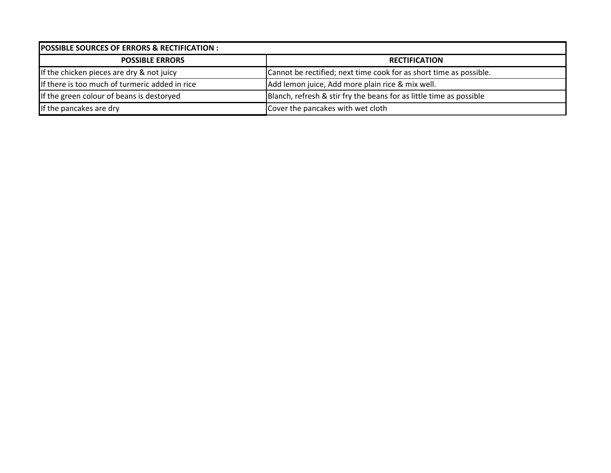| <b>POSSIBLE SOURCES OF ERRORS &amp; RECTIFICATION :</b> |                                                                     |  |  |  |  |
|---------------------------------------------------------|---------------------------------------------------------------------|--|--|--|--|
| <b>POSSIBLE ERRORS</b>                                  | <b>RECTIFICATION</b>                                                |  |  |  |  |
| If the chicken pieces are dry & not juicy               | Cannot be rectified; next time cook for as short time as possible.  |  |  |  |  |
| If there is too much of turmeric added in rice          | Add lemon juice, Add more plain rice & mix well.                    |  |  |  |  |
| If the green colour of beans is destoryed               | Blanch, refresh & stir fry the beans for as little time as possible |  |  |  |  |
| If the pancakes are dry                                 | Cover the pancakes with wet cloth                                   |  |  |  |  |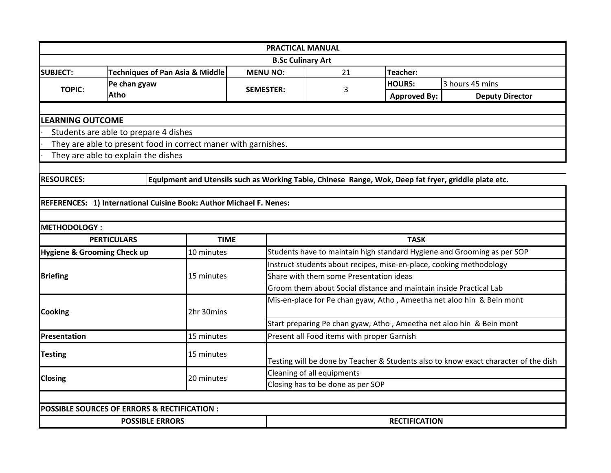|                             |                                                                                                      | <b>PRACTICAL MANUAL</b>  |                                                                       |                      |                                                                                     |  |  |
|-----------------------------|------------------------------------------------------------------------------------------------------|--------------------------|-----------------------------------------------------------------------|----------------------|-------------------------------------------------------------------------------------|--|--|
|                             |                                                                                                      | <b>B.Sc Culinary Art</b> |                                                                       |                      |                                                                                     |  |  |
| <b>SUBJECT:</b>             | <b>Techniques of Pan Asia &amp; Middle</b>                                                           | <b>MENU NO:</b>          | <b>Teacher:</b><br>21                                                 |                      |                                                                                     |  |  |
| <b>TOPIC:</b>               | Pe chan gyaw                                                                                         | <b>SEMESTER:</b>         |                                                                       | <b>HOURS:</b>        | 3 hours 45 mins                                                                     |  |  |
|                             | Atho                                                                                                 |                          | 3                                                                     | <b>Approved By:</b>  | <b>Deputy Director</b>                                                              |  |  |
|                             |                                                                                                      |                          |                                                                       |                      |                                                                                     |  |  |
| <b>LEARNING OUTCOME</b>     |                                                                                                      |                          |                                                                       |                      |                                                                                     |  |  |
|                             | Students are able to prepare 4 dishes                                                                |                          |                                                                       |                      |                                                                                     |  |  |
|                             | They are able to present food in correct maner with garnishes.                                       |                          |                                                                       |                      |                                                                                     |  |  |
|                             | They are able to explain the dishes                                                                  |                          |                                                                       |                      |                                                                                     |  |  |
|                             |                                                                                                      |                          |                                                                       |                      |                                                                                     |  |  |
| <b>RESOURCES:</b>           | Equipment and Utensils such as Working Table, Chinese Range, Wok, Deep fat fryer, griddle plate etc. |                          |                                                                       |                      |                                                                                     |  |  |
|                             |                                                                                                      |                          |                                                                       |                      |                                                                                     |  |  |
|                             | REFERENCES: 1) International Cuisine Book: Author Michael F. Nenes:                                  |                          |                                                                       |                      |                                                                                     |  |  |
|                             |                                                                                                      |                          |                                                                       |                      |                                                                                     |  |  |
| <b>METHODOLOGY:</b>         |                                                                                                      |                          |                                                                       |                      |                                                                                     |  |  |
|                             | <b>PERTICULARS</b>                                                                                   | <b>TIME</b>              | <b>TASK</b>                                                           |                      |                                                                                     |  |  |
| Hygiene & Grooming Check up | 10 minutes                                                                                           |                          |                                                                       |                      | Students have to maintain high standard Hygiene and Grooming as per SOP             |  |  |
|                             |                                                                                                      |                          | Instruct students about recipes, mise-en-place, cooking methodology   |                      |                                                                                     |  |  |
| <b>Briefing</b>             | 15 minutes                                                                                           |                          | Share with them some Presentation ideas                               |                      |                                                                                     |  |  |
|                             |                                                                                                      |                          | Groom them about Social distance and maintain inside Practical Lab    |                      |                                                                                     |  |  |
|                             |                                                                                                      |                          | Mis-en-place for Pe chan gyaw, Atho, Ameetha net aloo hin & Bein mont |                      |                                                                                     |  |  |
| <b>Cooking</b>              | 2hr 30mins                                                                                           |                          |                                                                       |                      |                                                                                     |  |  |
|                             |                                                                                                      |                          | Start preparing Pe chan gyaw, Atho, Ameetha net aloo hin & Bein mont  |                      |                                                                                     |  |  |
| Presentation                | 15 minutes                                                                                           |                          | Present all Food items with proper Garnish                            |                      |                                                                                     |  |  |
| <b>Testing</b>              | 15 minutes                                                                                           |                          |                                                                       |                      |                                                                                     |  |  |
|                             |                                                                                                      |                          |                                                                       |                      | Testing will be done by Teacher & Students also to know exact character of the dish |  |  |
| <b>Closing</b>              | 20 minutes                                                                                           |                          | Cleaning of all equipments                                            |                      |                                                                                     |  |  |
|                             |                                                                                                      |                          | Closing has to be done as per SOP                                     |                      |                                                                                     |  |  |
|                             |                                                                                                      |                          |                                                                       |                      |                                                                                     |  |  |
|                             | POSSIBLE SOURCES OF ERRORS & RECTIFICATION :                                                         |                          |                                                                       |                      |                                                                                     |  |  |
| <b>POSSIBLE ERRORS</b>      |                                                                                                      |                          |                                                                       | <b>RECTIFICATION</b> |                                                                                     |  |  |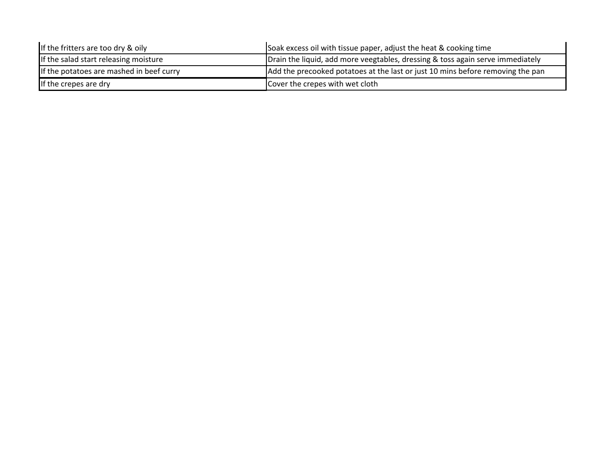| If the fritters are too dry & oily       | Soak excess oil with tissue paper, adjust the heat & cooking time              |  |  |  |
|------------------------------------------|--------------------------------------------------------------------------------|--|--|--|
| If the salad start releasing moisture    | Drain the liquid, add more veegtables, dressing & toss again serve immediately |  |  |  |
| If the potatoes are mashed in beef curry | Add the precooked potatoes at the last or just 10 mins before removing the pan |  |  |  |
| If the crepes are dry                    | Cover the crepes with wet cloth                                                |  |  |  |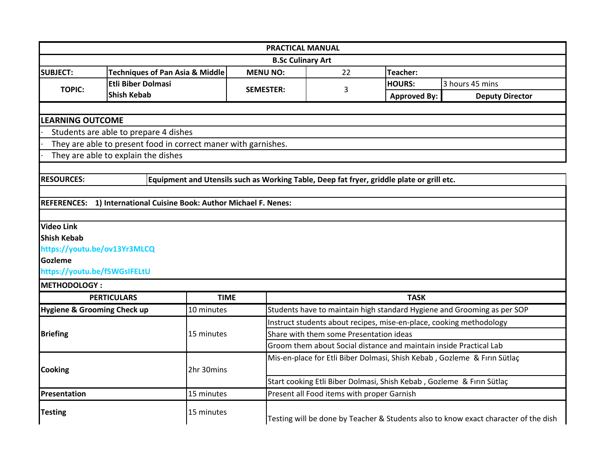|                                                                          |                                                                                           |                                                                                     | <b>PRACTICAL MANUAL</b>                                               |                     |                                                                         |  |
|--------------------------------------------------------------------------|-------------------------------------------------------------------------------------------|-------------------------------------------------------------------------------------|-----------------------------------------------------------------------|---------------------|-------------------------------------------------------------------------|--|
| <b>B.Sc Culinary Art</b>                                                 |                                                                                           |                                                                                     |                                                                       |                     |                                                                         |  |
| <b>SUBJECT:</b>                                                          | <b>Techniques of Pan Asia &amp; Middle</b>                                                | <b>MENU NO:</b>                                                                     | <b>Teacher:</b><br>22                                                 |                     |                                                                         |  |
|                                                                          | <b>Etli Biber Dolmasi</b>                                                                 |                                                                                     | 3                                                                     | <b>HOURS:</b>       | 3 hours 45 mins                                                         |  |
| <b>TOPIC:</b>                                                            | <b>Shish Kebab</b>                                                                        | <b>SEMESTER:</b>                                                                    |                                                                       | <b>Approved By:</b> | <b>Deputy Director</b>                                                  |  |
|                                                                          |                                                                                           |                                                                                     |                                                                       |                     |                                                                         |  |
| <b>LEARNING OUTCOME</b>                                                  |                                                                                           |                                                                                     |                                                                       |                     |                                                                         |  |
|                                                                          | Students are able to prepare 4 dishes                                                     |                                                                                     |                                                                       |                     |                                                                         |  |
|                                                                          | They are able to present food in correct maner with garnishes.                            |                                                                                     |                                                                       |                     |                                                                         |  |
|                                                                          | They are able to explain the dishes                                                       |                                                                                     |                                                                       |                     |                                                                         |  |
|                                                                          |                                                                                           |                                                                                     |                                                                       |                     |                                                                         |  |
| <b>RESOURCES:</b>                                                        | Equipment and Utensils such as Working Table, Deep fat fryer, griddle plate or grill etc. |                                                                                     |                                                                       |                     |                                                                         |  |
|                                                                          |                                                                                           |                                                                                     |                                                                       |                     |                                                                         |  |
|                                                                          | REFERENCES: 1) International Cuisine Book: Author Michael F. Nenes:                       |                                                                                     |                                                                       |                     |                                                                         |  |
|                                                                          |                                                                                           |                                                                                     |                                                                       |                     |                                                                         |  |
| <b>Video Link</b>                                                        |                                                                                           |                                                                                     |                                                                       |                     |                                                                         |  |
| <b>Shish Kebab</b>                                                       |                                                                                           |                                                                                     |                                                                       |                     |                                                                         |  |
| https://youtu.be/ov13Yr3MLCQ                                             |                                                                                           |                                                                                     |                                                                       |                     |                                                                         |  |
| Gozleme                                                                  |                                                                                           |                                                                                     |                                                                       |                     |                                                                         |  |
| https://youtu.be/f5WGsIFELtU                                             |                                                                                           |                                                                                     |                                                                       |                     |                                                                         |  |
| <b>METHODOLOGY:</b>                                                      |                                                                                           |                                                                                     |                                                                       |                     |                                                                         |  |
|                                                                          | <b>PERTICULARS</b>                                                                        | <b>TIME</b>                                                                         |                                                                       | <b>TASK</b>         |                                                                         |  |
| <b>Hygiene &amp; Grooming Check up</b>                                   | 10 minutes                                                                                |                                                                                     |                                                                       |                     | Students have to maintain high standard Hygiene and Grooming as per SOP |  |
|                                                                          |                                                                                           |                                                                                     | Instruct students about recipes, mise-en-place, cooking methodology   |                     |                                                                         |  |
| <b>Briefing</b>                                                          | 15 minutes                                                                                |                                                                                     | Share with them some Presentation ideas                               |                     |                                                                         |  |
| Groom them about Social distance and maintain inside Practical Lab       |                                                                                           |                                                                                     |                                                                       |                     |                                                                         |  |
| Mis-en-place for Etli Biber Dolmasi, Shish Kebab, Gozleme & Firin Sütlaç |                                                                                           |                                                                                     |                                                                       |                     |                                                                         |  |
| <b>Cooking</b>                                                           | 2hr 30mins                                                                                |                                                                                     |                                                                       |                     |                                                                         |  |
|                                                                          |                                                                                           |                                                                                     | Start cooking Etli Biber Dolmasi, Shish Kebab, Gozleme & Fırın Sütlaç |                     |                                                                         |  |
| <b>Presentation</b>                                                      | 15 minutes                                                                                |                                                                                     | Present all Food items with proper Garnish                            |                     |                                                                         |  |
| <b>Testing</b>                                                           | 15 minutes                                                                                | Testing will be done by Teacher & Students also to know exact character of the dish |                                                                       |                     |                                                                         |  |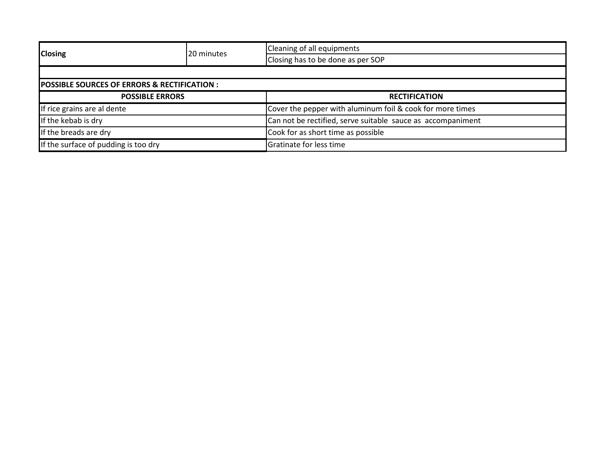| <b>Closing</b>                                          | 20 minutes | Cleaning of all equipments                                  |  |  |
|---------------------------------------------------------|------------|-------------------------------------------------------------|--|--|
|                                                         |            | Closing has to be done as per SOP                           |  |  |
|                                                         |            |                                                             |  |  |
| <b>POSSIBLE SOURCES OF ERRORS &amp; RECTIFICATION :</b> |            |                                                             |  |  |
| <b>POSSIBLE ERRORS</b>                                  |            | <b>RECTIFICATION</b>                                        |  |  |
| If rice grains are al dente                             |            | Cover the pepper with aluminum foil & cook for more times   |  |  |
| If the kebab is dry                                     |            | Can not be rectified, serve suitable sauce as accompaniment |  |  |
| If the breads are dry                                   |            | Cook for as short time as possible                          |  |  |
| If the surface of pudding is too dry                    |            | Gratinate for less time                                     |  |  |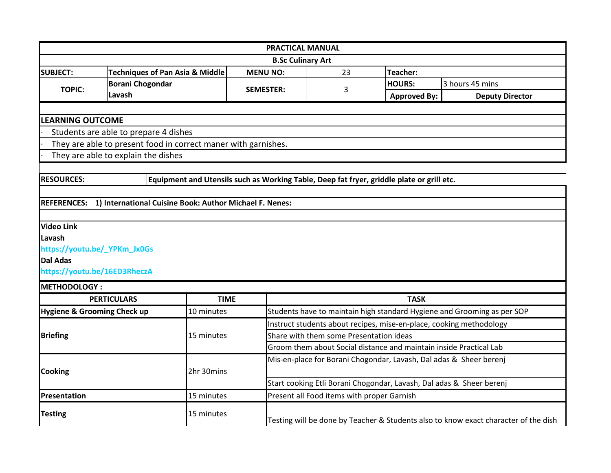| <b>PRACTICAL MANUAL</b>                |                                                                                                   |                                                                                           |                                                                      |                                                                     |                                                                         |  |  |
|----------------------------------------|---------------------------------------------------------------------------------------------------|-------------------------------------------------------------------------------------------|----------------------------------------------------------------------|---------------------------------------------------------------------|-------------------------------------------------------------------------|--|--|
| <b>B.Sc Culinary Art</b>               |                                                                                                   |                                                                                           |                                                                      |                                                                     |                                                                         |  |  |
| <b>SUBJECT:</b>                        | <b>Techniques of Pan Asia &amp; Middle</b>                                                        | <b>MENU NO:</b>                                                                           | 23<br><b>Teacher:</b>                                                |                                                                     |                                                                         |  |  |
| <b>TOPIC:</b>                          | <b>Borani Chogondar</b>                                                                           |                                                                                           |                                                                      | <b>HOURS:</b>                                                       | 3 hours 45 mins                                                         |  |  |
|                                        | Lavash                                                                                            | <b>SEMESTER:</b>                                                                          | 3                                                                    | <b>Approved By:</b>                                                 | <b>Deputy Director</b>                                                  |  |  |
|                                        |                                                                                                   |                                                                                           |                                                                      |                                                                     |                                                                         |  |  |
| <b>LEARNING OUTCOME</b>                |                                                                                                   |                                                                                           |                                                                      |                                                                     |                                                                         |  |  |
|                                        | Students are able to prepare 4 dishes                                                             |                                                                                           |                                                                      |                                                                     |                                                                         |  |  |
|                                        | They are able to present food in correct maner with garnishes.                                    |                                                                                           |                                                                      |                                                                     |                                                                         |  |  |
|                                        | They are able to explain the dishes                                                               |                                                                                           |                                                                      |                                                                     |                                                                         |  |  |
|                                        |                                                                                                   |                                                                                           |                                                                      |                                                                     |                                                                         |  |  |
| <b>RESOURCES:</b>                      |                                                                                                   | Equipment and Utensils such as Working Table, Deep fat fryer, griddle plate or grill etc. |                                                                      |                                                                     |                                                                         |  |  |
|                                        |                                                                                                   |                                                                                           |                                                                      |                                                                     |                                                                         |  |  |
| <b>REFERENCES:</b>                     | 1) International Cuisine Book: Author Michael F. Nenes:                                           |                                                                                           |                                                                      |                                                                     |                                                                         |  |  |
|                                        |                                                                                                   |                                                                                           |                                                                      |                                                                     |                                                                         |  |  |
| <b>Video Link</b>                      |                                                                                                   |                                                                                           |                                                                      |                                                                     |                                                                         |  |  |
| <b>Lavash</b>                          |                                                                                                   |                                                                                           |                                                                      |                                                                     |                                                                         |  |  |
| https://youtu.be/_YPKm_Jx0Gs           |                                                                                                   |                                                                                           |                                                                      |                                                                     |                                                                         |  |  |
| <b>Dal Adas</b>                        |                                                                                                   |                                                                                           |                                                                      |                                                                     |                                                                         |  |  |
| https://youtu.be/16ED3RheczA           |                                                                                                   |                                                                                           |                                                                      |                                                                     |                                                                         |  |  |
| <b>METHODOLOGY:</b>                    |                                                                                                   |                                                                                           |                                                                      |                                                                     |                                                                         |  |  |
|                                        | <b>PERTICULARS</b>                                                                                | <b>TIME</b>                                                                               |                                                                      | <b>TASK</b>                                                         |                                                                         |  |  |
| <b>Hygiene &amp; Grooming Check up</b> | 10 minutes                                                                                        |                                                                                           |                                                                      |                                                                     | Students have to maintain high standard Hygiene and Grooming as per SOP |  |  |
|                                        |                                                                                                   |                                                                                           |                                                                      | Instruct students about recipes, mise-en-place, cooking methodology |                                                                         |  |  |
| <b>Briefing</b>                        | 15 minutes                                                                                        |                                                                                           | Share with them some Presentation ideas                              |                                                                     |                                                                         |  |  |
|                                        |                                                                                                   |                                                                                           |                                                                      | Groom them about Social distance and maintain inside Practical Lab  |                                                                         |  |  |
|                                        |                                                                                                   |                                                                                           | Mis-en-place for Borani Chogondar, Lavash, Dal adas & Sheer berenj   |                                                                     |                                                                         |  |  |
| <b>Cooking</b><br>2hr 30mins           |                                                                                                   |                                                                                           |                                                                      |                                                                     |                                                                         |  |  |
|                                        |                                                                                                   |                                                                                           | Start cooking Etli Borani Chogondar, Lavash, Dal adas & Sheer berenj |                                                                     |                                                                         |  |  |
| <b>Presentation</b>                    | 15 minutes                                                                                        |                                                                                           | Present all Food items with proper Garnish                           |                                                                     |                                                                         |  |  |
| <b>Testing</b>                         | 15 minutes<br>Testing will be done by Teacher & Students also to know exact character of the dish |                                                                                           |                                                                      |                                                                     |                                                                         |  |  |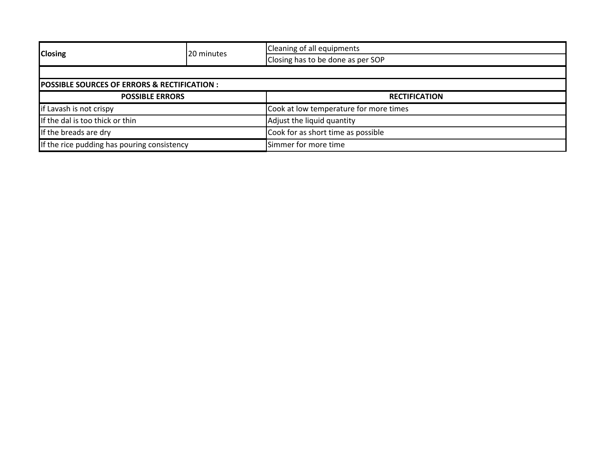| <b>Closing</b>                                         | 20 minutes | Cleaning of all equipments             |  |  |  |
|--------------------------------------------------------|------------|----------------------------------------|--|--|--|
|                                                        |            | Closing has to be done as per SOP      |  |  |  |
|                                                        |            |                                        |  |  |  |
| <b>POSSIBLE SOURCES OF ERRORS &amp; RECTIFICATION:</b> |            |                                        |  |  |  |
| <b>POSSIBLE ERRORS</b>                                 |            | <b>RECTIFICATION</b>                   |  |  |  |
| if Lavash is not crispy                                |            | Cook at low temperature for more times |  |  |  |
| If the dal is too thick or thin                        |            | Adjust the liquid quantity             |  |  |  |
| If the breads are dry                                  |            | Cook for as short time as possible     |  |  |  |
| If the rice pudding has pouring consistency            |            | Simmer for more time                   |  |  |  |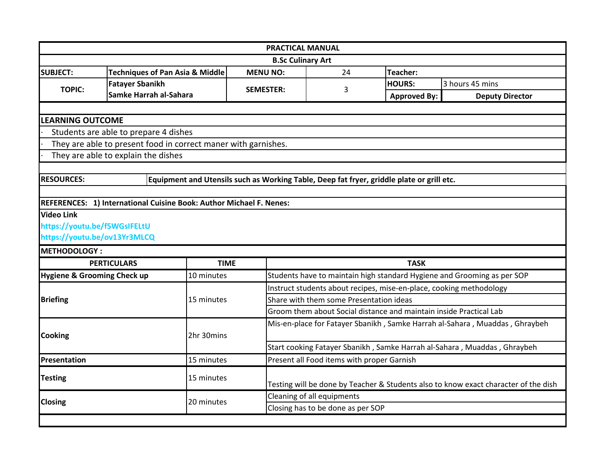| <b>PRACTICAL MANUAL</b>                |                                                                     |                  |                                                                                           |                     |                                                                                     |  |  |
|----------------------------------------|---------------------------------------------------------------------|------------------|-------------------------------------------------------------------------------------------|---------------------|-------------------------------------------------------------------------------------|--|--|
|                                        | <b>B.Sc Culinary Art</b>                                            |                  |                                                                                           |                     |                                                                                     |  |  |
| <b>SUBJECT:</b>                        | <b>Techniques of Pan Asia &amp; Middle</b>                          | <b>MENU NO:</b>  | Teacher:<br>24                                                                            |                     |                                                                                     |  |  |
|                                        | <b>Fatayer Sbanikh</b>                                              |                  | 3                                                                                         | <b>HOURS:</b>       | 3 hours 45 mins                                                                     |  |  |
| <b>TOPIC:</b>                          | Samke Harrah al-Sahara                                              | <b>SEMESTER:</b> |                                                                                           | <b>Approved By:</b> | <b>Deputy Director</b>                                                              |  |  |
|                                        |                                                                     |                  |                                                                                           |                     |                                                                                     |  |  |
| <b>LEARNING OUTCOME</b>                |                                                                     |                  |                                                                                           |                     |                                                                                     |  |  |
|                                        | Students are able to prepare 4 dishes                               |                  |                                                                                           |                     |                                                                                     |  |  |
|                                        | They are able to present food in correct maner with garnishes.      |                  |                                                                                           |                     |                                                                                     |  |  |
|                                        | They are able to explain the dishes                                 |                  |                                                                                           |                     |                                                                                     |  |  |
| <b>RESOURCES:</b>                      |                                                                     |                  |                                                                                           |                     |                                                                                     |  |  |
|                                        |                                                                     |                  | Equipment and Utensils such as Working Table, Deep fat fryer, griddle plate or grill etc. |                     |                                                                                     |  |  |
|                                        | REFERENCES: 1) International Cuisine Book: Author Michael F. Nenes: |                  |                                                                                           |                     |                                                                                     |  |  |
| <b>Video Link</b>                      |                                                                     |                  |                                                                                           |                     |                                                                                     |  |  |
| https://youtu.be/f5WGsIFELtU           |                                                                     |                  |                                                                                           |                     |                                                                                     |  |  |
| https://youtu.be/ov13Yr3MLCQ           |                                                                     |                  |                                                                                           |                     |                                                                                     |  |  |
| <b>METHODOLOGY:</b>                    |                                                                     |                  |                                                                                           |                     |                                                                                     |  |  |
|                                        | <b>PERTICULARS</b>                                                  | <b>TIME</b>      |                                                                                           | <b>TASK</b>         |                                                                                     |  |  |
| <b>Hygiene &amp; Grooming Check up</b> | 10 minutes                                                          |                  | Students have to maintain high standard Hygiene and Grooming as per SOP                   |                     |                                                                                     |  |  |
|                                        |                                                                     |                  | Instruct students about recipes, mise-en-place, cooking methodology                       |                     |                                                                                     |  |  |
| <b>Briefing</b>                        | 15 minutes                                                          |                  | Share with them some Presentation ideas                                                   |                     |                                                                                     |  |  |
|                                        |                                                                     |                  | Groom them about Social distance and maintain inside Practical Lab                        |                     |                                                                                     |  |  |
|                                        |                                                                     |                  |                                                                                           |                     | Mis-en-place for Fatayer Sbanikh, Samke Harrah al-Sahara, Muaddas, Ghraybeh         |  |  |
| <b>Cooking</b>                         | 2hr 30mins                                                          |                  |                                                                                           |                     |                                                                                     |  |  |
|                                        |                                                                     |                  | Start cooking Fatayer Sbanikh, Samke Harrah al-Sahara, Muaddas, Ghraybeh                  |                     |                                                                                     |  |  |
| Presentation                           | 15 minutes                                                          |                  | Present all Food items with proper Garnish                                                |                     |                                                                                     |  |  |
| 15 minutes                             |                                                                     |                  |                                                                                           |                     |                                                                                     |  |  |
| <b>Testing</b>                         |                                                                     |                  |                                                                                           |                     | Testing will be done by Teacher & Students also to know exact character of the dish |  |  |
| <b>Closing</b>                         | 20 minutes                                                          |                  | Cleaning of all equipments                                                                |                     |                                                                                     |  |  |
|                                        |                                                                     |                  | Closing has to be done as per SOP                                                         |                     |                                                                                     |  |  |
|                                        |                                                                     |                  |                                                                                           |                     |                                                                                     |  |  |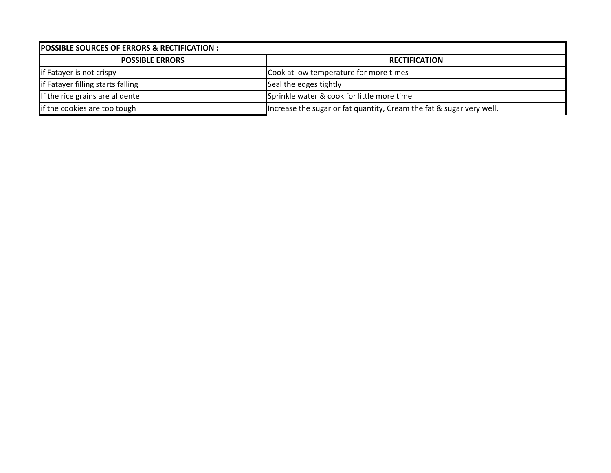| <b>POSSIBLE SOURCES OF ERRORS &amp; RECTIFICATION :</b> |                                                                      |  |  |  |
|---------------------------------------------------------|----------------------------------------------------------------------|--|--|--|
| <b>POSSIBLE ERRORS</b>                                  | <b>RECTIFICATION</b>                                                 |  |  |  |
| if Fatayer is not crispy                                | Cook at low temperature for more times                               |  |  |  |
| if Fatayer filling starts falling                       | Seal the edges tightly                                               |  |  |  |
| If the rice grains are al dente                         | Sprinkle water & cook for little more time                           |  |  |  |
| if the cookies are too tough                            | Increase the sugar or fat quantity, Cream the fat & sugar very well. |  |  |  |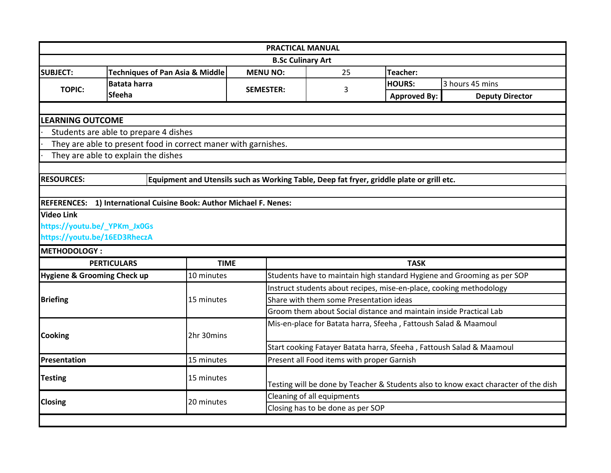|                              |                                                                                           |                  | <b>PRACTICAL MANUAL</b>                                                             |                     |                                                                         |  |  |
|------------------------------|-------------------------------------------------------------------------------------------|------------------|-------------------------------------------------------------------------------------|---------------------|-------------------------------------------------------------------------|--|--|
| <b>B.Sc Culinary Art</b>     |                                                                                           |                  |                                                                                     |                     |                                                                         |  |  |
| <b>SUBJECT:</b>              | <b>Techniques of Pan Asia &amp; Middle</b>                                                | <b>MENU NO:</b>  | 25<br>Teacher:                                                                      |                     |                                                                         |  |  |
|                              | <b>Batata harra</b>                                                                       |                  | 3                                                                                   | <b>HOURS:</b>       | 3 hours 45 mins                                                         |  |  |
| <b>TOPIC:</b>                | <b>Sfeeha</b>                                                                             | <b>SEMESTER:</b> |                                                                                     | <b>Approved By:</b> | <b>Deputy Director</b>                                                  |  |  |
|                              |                                                                                           |                  |                                                                                     |                     |                                                                         |  |  |
| <b>LEARNING OUTCOME</b>      |                                                                                           |                  |                                                                                     |                     |                                                                         |  |  |
|                              | Students are able to prepare 4 dishes                                                     |                  |                                                                                     |                     |                                                                         |  |  |
|                              | They are able to present food in correct maner with garnishes.                            |                  |                                                                                     |                     |                                                                         |  |  |
|                              | They are able to explain the dishes                                                       |                  |                                                                                     |                     |                                                                         |  |  |
|                              |                                                                                           |                  |                                                                                     |                     |                                                                         |  |  |
| <b>RESOURCES:</b>            | Equipment and Utensils such as Working Table, Deep fat fryer, griddle plate or grill etc. |                  |                                                                                     |                     |                                                                         |  |  |
|                              |                                                                                           |                  |                                                                                     |                     |                                                                         |  |  |
|                              | REFERENCES: 1) International Cuisine Book: Author Michael F. Nenes:                       |                  |                                                                                     |                     |                                                                         |  |  |
| <b>Video Link</b>            |                                                                                           |                  |                                                                                     |                     |                                                                         |  |  |
| https://youtu.be/_YPKm_Jx0Gs |                                                                                           |                  |                                                                                     |                     |                                                                         |  |  |
| https://youtu.be/16ED3RheczA |                                                                                           |                  |                                                                                     |                     |                                                                         |  |  |
| <b>METHODOLOGY:</b>          |                                                                                           |                  |                                                                                     |                     |                                                                         |  |  |
|                              | <b>PERTICULARS</b>                                                                        | <b>TIME</b>      |                                                                                     | <b>TASK</b>         |                                                                         |  |  |
| Hygiene & Grooming Check up  | 10 minutes                                                                                |                  |                                                                                     |                     | Students have to maintain high standard Hygiene and Grooming as per SOP |  |  |
|                              |                                                                                           |                  | Instruct students about recipes, mise-en-place, cooking methodology                 |                     |                                                                         |  |  |
| <b>Briefing</b>              | 15 minutes                                                                                |                  | Share with them some Presentation ideas                                             |                     |                                                                         |  |  |
|                              |                                                                                           |                  | Groom them about Social distance and maintain inside Practical Lab                  |                     |                                                                         |  |  |
|                              |                                                                                           |                  | Mis-en-place for Batata harra, Sfeeha, Fattoush Salad & Maamoul                     |                     |                                                                         |  |  |
| <b>Cooking</b>               | 2hr 30mins                                                                                |                  |                                                                                     |                     |                                                                         |  |  |
|                              |                                                                                           |                  |                                                                                     |                     | Start cooking Fatayer Batata harra, Sfeeha, Fattoush Salad & Maamoul    |  |  |
| Presentation                 | 15 minutes                                                                                |                  | Present all Food items with proper Garnish                                          |                     |                                                                         |  |  |
| <b>Testing</b><br>15 minutes |                                                                                           |                  |                                                                                     |                     |                                                                         |  |  |
|                              |                                                                                           |                  | Testing will be done by Teacher & Students also to know exact character of the dish |                     |                                                                         |  |  |
| <b>Closing</b>               | 20 minutes                                                                                |                  | Cleaning of all equipments                                                          |                     |                                                                         |  |  |
|                              |                                                                                           |                  | Closing has to be done as per SOP                                                   |                     |                                                                         |  |  |
|                              |                                                                                           |                  |                                                                                     |                     |                                                                         |  |  |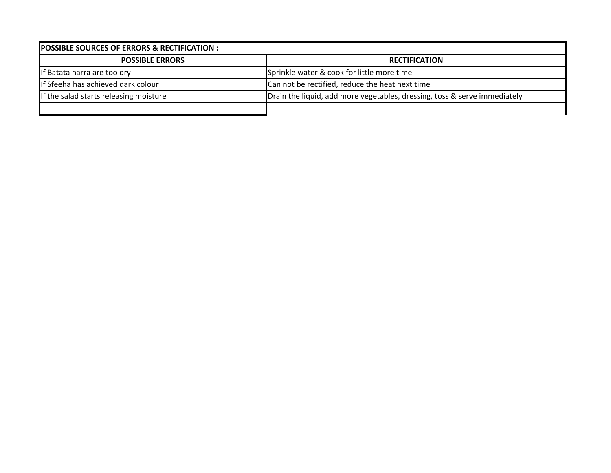| <b>POSSIBLE SOURCES OF ERRORS &amp; RECTIFICATION :</b> |                                                                           |  |  |  |
|---------------------------------------------------------|---------------------------------------------------------------------------|--|--|--|
| <b>POSSIBLE ERRORS</b>                                  | <b>RECTIFICATION</b>                                                      |  |  |  |
| If Batata harra are too dry                             | Sprinkle water & cook for little more time                                |  |  |  |
| If Sfeeha has achieved dark colour                      | Can not be rectified, reduce the heat next time                           |  |  |  |
| If the salad starts releasing moisture                  | Drain the liquid, add more vegetables, dressing, toss & serve immediately |  |  |  |
|                                                         |                                                                           |  |  |  |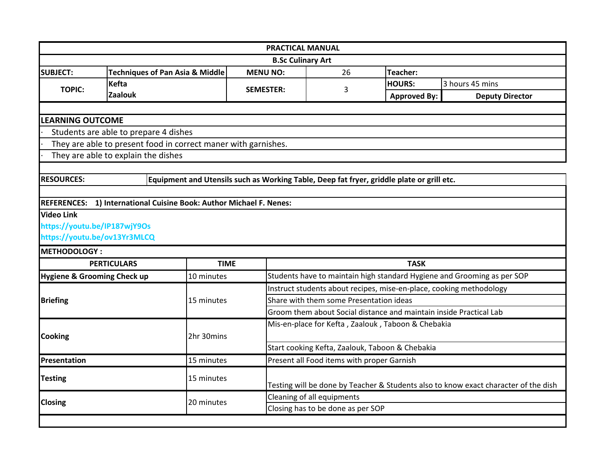| <b>PRACTICAL MANUAL</b><br><b>B.Sc Culinary Art</b> |                                                                                           |                  |                                                                                     |                                                 |                                                                         |  |                 |
|-----------------------------------------------------|-------------------------------------------------------------------------------------------|------------------|-------------------------------------------------------------------------------------|-------------------------------------------------|-------------------------------------------------------------------------|--|-----------------|
|                                                     |                                                                                           |                  |                                                                                     |                                                 |                                                                         |  | <b>SUBJECT:</b> |
| <b>TOPIC:</b>                                       | <b>Kefta</b>                                                                              | <b>SEMESTER:</b> | 3                                                                                   | <b>HOURS:</b>                                   | 3 hours 45 mins                                                         |  |                 |
|                                                     | <b>Zaalouk</b>                                                                            |                  |                                                                                     | <b>Approved By:</b>                             | <b>Deputy Director</b>                                                  |  |                 |
|                                                     |                                                                                           |                  |                                                                                     |                                                 |                                                                         |  |                 |
| <b>LEARNING OUTCOME</b>                             |                                                                                           |                  |                                                                                     |                                                 |                                                                         |  |                 |
|                                                     | Students are able to prepare 4 dishes                                                     |                  |                                                                                     |                                                 |                                                                         |  |                 |
|                                                     | They are able to present food in correct maner with garnishes.                            |                  |                                                                                     |                                                 |                                                                         |  |                 |
|                                                     | They are able to explain the dishes                                                       |                  |                                                                                     |                                                 |                                                                         |  |                 |
|                                                     |                                                                                           |                  |                                                                                     |                                                 |                                                                         |  |                 |
| <b>RESOURCES:</b>                                   | Equipment and Utensils such as Working Table, Deep fat fryer, griddle plate or grill etc. |                  |                                                                                     |                                                 |                                                                         |  |                 |
|                                                     |                                                                                           |                  |                                                                                     |                                                 |                                                                         |  |                 |
|                                                     | REFERENCES: 1) International Cuisine Book: Author Michael F. Nenes:                       |                  |                                                                                     |                                                 |                                                                         |  |                 |
| <b>Video Link</b>                                   |                                                                                           |                  |                                                                                     |                                                 |                                                                         |  |                 |
| https://youtu.be/IP187wjY9Os                        |                                                                                           |                  |                                                                                     |                                                 |                                                                         |  |                 |
| https://youtu.be/ov13Yr3MLCQ                        |                                                                                           |                  |                                                                                     |                                                 |                                                                         |  |                 |
| <b>METHODOLOGY:</b>                                 |                                                                                           |                  |                                                                                     |                                                 |                                                                         |  |                 |
|                                                     | <b>PERTICULARS</b>                                                                        | <b>TIME</b>      |                                                                                     | <b>TASK</b>                                     |                                                                         |  |                 |
| <b>Hygiene &amp; Grooming Check up</b>              | 10 minutes                                                                                |                  |                                                                                     |                                                 | Students have to maintain high standard Hygiene and Grooming as per SOP |  |                 |
|                                                     |                                                                                           |                  | Instruct students about recipes, mise-en-place, cooking methodology                 |                                                 |                                                                         |  |                 |
| <b>Briefing</b>                                     | 15 minutes                                                                                |                  | Share with them some Presentation ideas                                             |                                                 |                                                                         |  |                 |
|                                                     |                                                                                           |                  | Groom them about Social distance and maintain inside Practical Lab                  |                                                 |                                                                         |  |                 |
|                                                     |                                                                                           |                  | Mis-en-place for Kefta, Zaalouk, Taboon & Chebakia                                  |                                                 |                                                                         |  |                 |
| <b>Cooking</b>                                      | 2hr 30mins                                                                                |                  |                                                                                     |                                                 |                                                                         |  |                 |
|                                                     |                                                                                           |                  |                                                                                     | Start cooking Kefta, Zaalouk, Taboon & Chebakia |                                                                         |  |                 |
| Presentation                                        | 15 minutes                                                                                |                  | Present all Food items with proper Garnish                                          |                                                 |                                                                         |  |                 |
| <b>Testing</b><br>15 minutes                        |                                                                                           |                  |                                                                                     |                                                 |                                                                         |  |                 |
|                                                     |                                                                                           |                  | Testing will be done by Teacher & Students also to know exact character of the dish |                                                 |                                                                         |  |                 |
| <b>Closing</b>                                      | 20 minutes                                                                                |                  | Cleaning of all equipments                                                          |                                                 |                                                                         |  |                 |
|                                                     |                                                                                           |                  | Closing has to be done as per SOP                                                   |                                                 |                                                                         |  |                 |
|                                                     |                                                                                           |                  |                                                                                     |                                                 |                                                                         |  |                 |